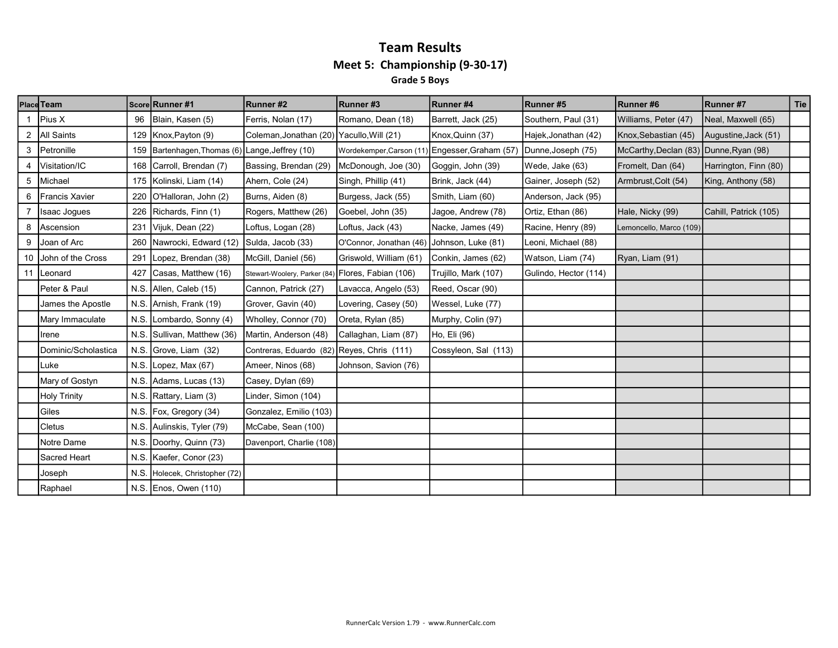#### Team Results Meet 5: Championship (9-30-17) Grade 5 Boys

|    | <b>Place Team</b><br>Score Runner #1 |      |                                             | Runner#2                                          | Runner#3                                       | Runner #4            | Runner #5             | Runner #6                              | Runner#7              | <b>Tie</b> |
|----|--------------------------------------|------|---------------------------------------------|---------------------------------------------------|------------------------------------------------|----------------------|-----------------------|----------------------------------------|-----------------------|------------|
|    | Pius X                               | 96   | Blain, Kasen (5)                            | Ferris, Nolan (17)                                | Romano, Dean (18)                              | Barrett, Jack (25)   | Southern, Paul (31)   | Williams, Peter (47)                   | Neal, Maxwell (65)    |            |
|    | 2   All Saints                       | 129  | Knox, Payton (9)                            | Coleman, Jonathan (20) Yacullo, Will (21)         |                                                | Knox, Quinn (37)     | Hajek, Jonathan (42)  | Knox, Sebastian (45)                   | Augustine, Jack (51)  |            |
| 3  | Petronille                           | 159  | Bartenhagen, Thomas (6) Lange, Jeffrey (10) |                                                   | Wordekemper, Carson (11) Engesser, Graham (57) |                      | Dunne, Joseph (75)    | McCarthy, Declan (83) Dunne, Ryan (98) |                       |            |
|    | Visitation/IC                        | 168  | Carroll, Brendan (7)                        | Bassing, Brendan (29)                             | McDonough, Joe (30)                            | Goggin, John (39)    | Wede, Jake (63)       | Fromelt, Dan (64)                      | Harrington, Finn (80) |            |
| 5  | Michael                              | 175  | Kolinski, Liam (14)                         | Ahern, Cole (24)                                  | Singh, Phillip (41)                            | Brink, Jack (44)     | Gainer, Joseph (52)   | Armbrust, Colt (54)                    | King, Anthony (58)    |            |
| 6  | <b>Francis Xavier</b>                | 220  | O'Halloran, John (2)                        | Burns, Aiden (8)                                  | Burgess, Jack (55)                             | Smith, Liam (60)     | Anderson, Jack (95)   |                                        |                       |            |
|    | Isaac Jogues                         | 226  | Richards, Finn (1)                          | Rogers, Matthew (26)                              | Goebel, John (35)                              | Jagoe, Andrew (78)   | Ortiz, Ethan (86)     | Hale, Nicky (99)                       | Cahill, Patrick (105) |            |
| 8  | Ascension                            | 231  | Vijuk, Dean (22)                            | Loftus, Logan (28)                                | Loftus, Jack (43)                              | Nacke, James (49)    | Racine, Henry (89)    | Lemoncello, Marco (109)                |                       |            |
| 9  | Joan of Arc                          | 260  | Nawrocki, Edward (12)                       | Sulda, Jacob (33)                                 | O'Connor, Jonathan (46)                        | Johnson, Luke (81)   | Leoni, Michael (88)   |                                        |                       |            |
| 10 | John of the Cross                    | 291  | Lopez, Brendan (38)                         | McGill, Daniel (56)                               | Griswold, William (61)                         | Conkin, James (62)   | Watson, Liam (74)     | Ryan, Liam (91)                        |                       |            |
| 11 | Leonard                              | 427  | Casas, Matthew (16)                         | Stewart-Woolery, Parker (84) Flores, Fabian (106) |                                                | Trujillo, Mark (107) | Gulindo, Hector (114) |                                        |                       |            |
|    | Peter & Paul                         | N.S. | Allen, Caleb (15)                           | Cannon, Patrick (27)                              | Lavacca, Angelo (53)                           | Reed, Oscar (90)     |                       |                                        |                       |            |
|    | James the Apostle                    |      | N.S. Arnish, Frank (19)                     | Grover, Gavin (40)                                | Lovering, Casey (50)                           | Wessel, Luke (77)    |                       |                                        |                       |            |
|    | Mary Immaculate                      | N.S. | Lombardo, Sonny (4)                         | Wholley, Connor (70)                              | Oreta, Rylan (85)                              | Murphy, Colin (97)   |                       |                                        |                       |            |
|    | Irene                                | N.S. | Sullivan, Matthew (36)                      | Martin, Anderson (48)                             | Callaghan, Liam (87)                           | Ho, Eli (96)         |                       |                                        |                       |            |
|    | Dominic/Scholastica                  | N.S. | Grove, Liam (32)                            | Contreras, Eduardo (82) Reyes, Chris (111)        |                                                | Cossyleon, Sal (113) |                       |                                        |                       |            |
|    | Luke                                 | N.S. | Lopez, Max (67)                             | Ameer, Ninos (68)                                 | Johnson, Savion (76)                           |                      |                       |                                        |                       |            |
|    | Mary of Gostyn                       |      | N.S. Adams, Lucas (13)                      | Casey, Dylan (69)                                 |                                                |                      |                       |                                        |                       |            |
|    | <b>Holy Trinity</b>                  |      | N.S. Rattary, Liam (3)                      | Linder, Simon (104)                               |                                                |                      |                       |                                        |                       |            |
|    | Giles                                |      | N.S. Fox, Gregory (34)                      | Gonzalez, Emilio (103)                            |                                                |                      |                       |                                        |                       |            |
|    | Cletus                               |      | N.S. Aulinskis, Tyler (79)                  | McCabe, Sean (100)                                |                                                |                      |                       |                                        |                       |            |
|    | Notre Dame                           | N.S. | Doorhy, Quinn (73)                          | Davenport, Charlie (108)                          |                                                |                      |                       |                                        |                       |            |
|    | Sacred Heart                         | N.S. | Kaefer, Conor (23)                          |                                                   |                                                |                      |                       |                                        |                       |            |
|    | Joseph                               | N.S. | Holecek, Christopher (72)                   |                                                   |                                                |                      |                       |                                        |                       |            |
|    | Raphael                              |      | N.S. Enos, Owen (110)                       |                                                   |                                                |                      |                       |                                        |                       |            |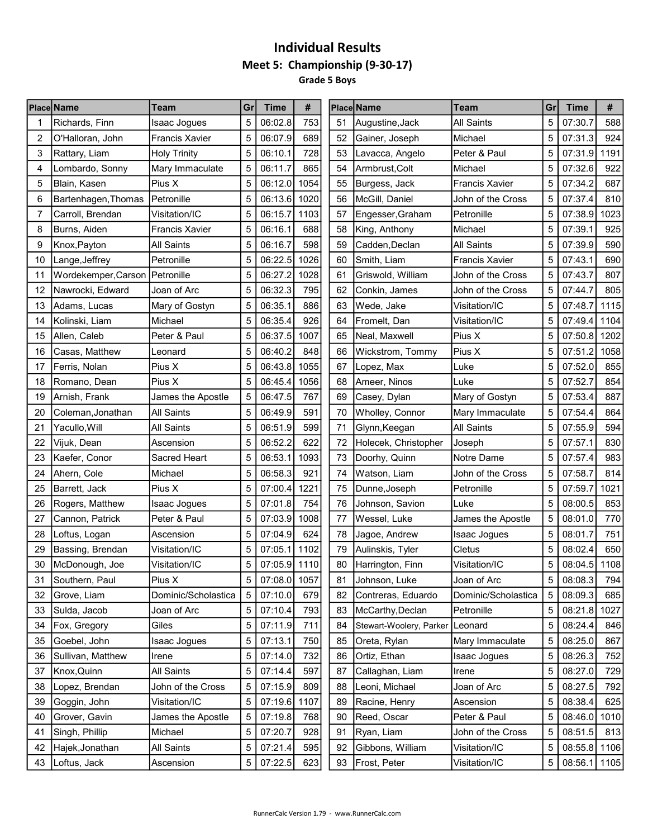### Individual Results Meet 5: Championship (9-30-17) Grade 5 Boys

| 5<br>06:02.8<br>753<br>All Saints<br>5<br>07:30.7<br>Richards, Finn<br>51<br>Augustine, Jack<br>Isaac Jogues<br>5<br>06:07.9<br>689<br>5<br>07:31.3<br>2<br>O'Halloran, John<br><b>Francis Xavier</b><br>52<br>Gainer, Joseph<br>Michael<br>5<br>728<br>53<br>5<br>3<br>Peter & Paul<br>Rattary, Liam<br><b>Holy Trinity</b><br>06:10.1<br>Lavacca, Angelo<br>07:31.9<br>922<br>5<br>5<br>07:32.6<br>06:11.7<br>865<br>54<br>Michael<br>4<br>Lombardo, Sonny<br>Mary Immaculate<br>Armbrust, Colt<br>5<br>687<br>Blain, Kasen<br>Pius X<br>5<br>06:12.0<br>1054<br>07:34.2<br>5<br>55<br>Burgess, Jack<br><b>Francis Xavier</b><br>5<br>06:13.6<br>1020<br>John of the Cross<br>5<br>07:37.4<br>6<br>Bartenhagen, Thomas<br>l Petronille<br>56<br>McGill, Daniel<br>5<br>06:15.7<br>5<br>7<br>Carroll, Brendan<br>1103<br>57<br>Petronille<br>07:38.9<br>Visitation/IC<br>Engesser, Graham<br>5<br>5<br>58<br>07:39.1<br>8<br>Burns, Aiden<br><b>Francis Xavier</b><br>06:16.1<br>688<br>Michael<br>King, Anthony<br>5<br>5<br><b>All Saints</b><br>06:16.7<br>598<br>59<br><b>All Saints</b><br>07:39.9<br>9<br>Knox, Payton<br>Cadden, Declan<br>5<br>Petronille<br>5<br>06:22.5<br>1026<br>07:43.1<br>10<br>Lange, Jeffrey<br>60<br>Smith, Liam<br><b>Francis Xavier</b><br>807<br>Wordekemper, Carson Petronille<br>5<br>06:27.2<br>1028<br>5<br>07:43.7<br>61<br>Griswold, William<br>John of the Cross<br>11<br>805<br>5<br>06:32.3<br>795<br>5<br>07:44.7<br>Nawrocki, Edward<br>Joan of Arc<br>62<br>John of the Cross<br>12<br>Conkin, James<br>5<br>5<br>06:35.1<br>886<br>63<br>Mary of Gostyn<br>Visitation/IC<br>07:48.7<br>13<br>Adams, Lucas<br>Wede, Jake<br>5<br>5<br>Michael<br>06:35.4<br>926<br>64<br>Visitation/IC<br>07:49.4<br>Kolinski, Liam<br>Fromelt, Dan<br>14<br>5<br>Allen, Caleb<br>5<br>06:37.5<br>1007<br>Pius X<br>07:50.8<br>Peter & Paul<br>65<br>Neal, Maxwell<br>15<br>5<br>5<br>06:40.2<br>848<br>Pius X<br>07:51.2<br>Casas, Matthew<br>66<br>Wickstrom, Tommy<br>16<br>Leonard<br>855<br>Pius X<br>5<br>06:43.8<br>1055<br>5<br>07:52.0<br>Ferris, Nolan<br>67<br>Luke<br>17<br>Lopez, Max<br>5<br>5<br>07:52.7<br>Pius X<br>06:45.4<br>1056<br>68<br>Luke<br>18<br>Romano, Dean<br>Ameer, Ninos<br>5<br>5<br>07:53.4<br>887<br>06:47.5<br>767<br>69<br>19<br>Arnish, Frank<br>James the Apostle<br>Casey, Dylan<br>Mary of Gostyn<br>591<br>5<br>06:49.9<br>5<br>07:54.4<br>20<br>Coleman, Jonathan<br><b>All Saints</b><br>70<br>Wholley, Connor<br>Mary Immaculate<br>5<br>5<br>06:51.9<br>599<br>71<br><b>All Saints</b><br>07:55.9<br>21<br>Yacullo, Will<br><b>All Saints</b><br>Glynn, Keegan<br>5<br>830<br>5<br>06:52.2<br>622<br>07:57.1<br>22<br>Vijuk, Dean<br>72<br>Holecek, Christopher<br>Ascension<br>Joseph<br>5<br>5<br>06:53.1<br>1093<br>73<br>07:57.4<br>23<br>Kaefer, Conor<br>Sacred Heart<br>Doorhy, Quinn<br>Notre Dame<br>5<br>06:58.3<br>5<br>07:58.7<br>921<br>John of the Cross<br>24<br>Ahern, Cole<br>Michael<br>74<br>Watson, Liam<br>Pius X<br>5<br>07:00.4<br>1221<br>Petronille<br>5<br>07:59.7<br>25<br>75<br> Barrett, Jack<br>Dunne, Joseph<br>5<br>5<br>07:01.8<br>08:00.5<br>754<br>76<br>Johnson, Savion<br>26<br>Rogers, Matthew<br>Isaac Jogues<br>Luke<br>5<br>07:03.9<br>1008<br>5<br>27<br>Cannon, Patrick<br>Peter & Paul<br>77<br>Wessel, Luke<br>James the Apostle<br>08:01.0<br>5<br>5<br>07:04.9<br>624<br>78<br>28<br>08:01.7<br>Loftus, Logan<br>Ascension<br>Jagoe, Andrew<br>Isaac Jogues<br>5<br>5<br>08:02.4<br>Visitation/IC<br>07:05.1<br>1102<br>Cletus<br>29<br>Bassing, Brendan<br>79<br>Aulinskis, Tyler<br>5<br>5<br>07:05.9<br>1110<br>80<br>Visitation/IC<br>08:04.5<br>30<br>McDonough, Joe<br>Visitation/IC<br>Harrington, Finn<br>Southern, Paul<br>07:08.0 1057<br>Johnson, Luke<br>Joan of Arc<br>08:08.3<br>Pius X<br>31<br>81<br>5<br>07:10.0<br>Dominic/Scholastica<br>5<br>08:09.3<br>32<br>Grove, Liam<br>Dominic/Scholastica<br>679<br>82<br>Contreras, Eduardo<br>5<br>07:10.4<br>793<br>Petronille<br>5<br>33<br>Sulda, Jacob<br>Joan of Arc<br>83<br>McCarthy, Declan<br>08:21.8<br>5<br>07:11.9<br>711<br>5<br>08:24.4<br>34<br>Fox, Gregory<br>Giles<br>84<br>Stewart-Woolery, Parker<br>Leonard<br>Goebel, John<br>5<br>07:13.1<br>750<br>Mary Immaculate<br>5<br>08:25.0<br>Isaac Jogues<br>85<br>Oreta, Rylan<br>35<br>5<br>07:14.0<br>732<br>Ortiz, Ethan<br>5<br>08:26.3<br>Sullivan, Matthew<br>86<br><b>Isaac Jogues</b><br>36<br>Irene<br>Knox, Quinn<br><b>All Saints</b><br>07:14.4<br>Callaghan, Liam<br>5<br>08:27.0<br>5<br>597<br>87<br>37<br>Irene<br>5<br>John of the Cross<br>5<br>07:15.9<br>Joan of Arc<br>38<br>Lopez, Brendan<br>809<br>88<br>Leoni, Michael<br>08:27.5<br>Visitation/IC<br>5<br>07:19.6<br>1107<br>5<br>08:38.4<br>39<br>Goggin, John<br>89<br>Racine, Henry<br>Ascension<br>Grover, Gavin<br>5<br>07:19.8<br>768<br>5<br>08:46.0<br>40<br>James the Apostle<br>90<br>Reed, Oscar<br>Peter & Paul<br>Singh, Phillip<br>5<br>07:20.7<br>928<br>5<br>08:51.5<br>41<br>Michael<br>91<br>Ryan, Liam<br>John of the Cross |    | <b>Place Name</b> | Team       | Gr | <b>Time</b> | #   |    | <b>Place Name</b> | Team          | Gr | Time    | #    |
|---------------------------------------------------------------------------------------------------------------------------------------------------------------------------------------------------------------------------------------------------------------------------------------------------------------------------------------------------------------------------------------------------------------------------------------------------------------------------------------------------------------------------------------------------------------------------------------------------------------------------------------------------------------------------------------------------------------------------------------------------------------------------------------------------------------------------------------------------------------------------------------------------------------------------------------------------------------------------------------------------------------------------------------------------------------------------------------------------------------------------------------------------------------------------------------------------------------------------------------------------------------------------------------------------------------------------------------------------------------------------------------------------------------------------------------------------------------------------------------------------------------------------------------------------------------------------------------------------------------------------------------------------------------------------------------------------------------------------------------------------------------------------------------------------------------------------------------------------------------------------------------------------------------------------------------------------------------------------------------------------------------------------------------------------------------------------------------------------------------------------------------------------------------------------------------------------------------------------------------------------------------------------------------------------------------------------------------------------------------------------------------------------------------------------------------------------------------------------------------------------------------------------------------------------------------------------------------------------------------------------------------------------------------------------------------------------------------------------------------------------------------------------------------------------------------------------------------------------------------------------------------------------------------------------------------------------------------------------------------------------------------------------------------------------------------------------------------------------------------------------------------------------------------------------------------------------------------------------------------------------------------------------------------------------------------------------------------------------------------------------------------------------------------------------------------------------------------------------------------------------------------------------------------------------------------------------------------------------------------------------------------------------------------------------------------------------------------------------------------------------------------------------------------------------------------------------------------------------------------------------------------------------------------------------------------------------------------------------------------------------------------------------------------------------------------------------------------------------------------------------------------------------------------------------------------------------------------------------------------------------------------------------------------------------------------------------------------------------------------------------------------------------------------------------------------------------------------------------------------------------------------------------------------------------------------------------------------------------------------------------------------------------------------------------------------------------------------------------------------------------------------------------------------------------------------------------------------------------------------------------------------------------------------------------------------------------------------------------------------------------------------------------------------------------------------------------------------|----|-------------------|------------|----|-------------|-----|----|-------------------|---------------|----|---------|------|
| 924<br>1191<br>810<br>1023<br>925<br>590<br>690<br>1115<br>1104<br>1202<br>1058<br>854<br>864<br>594<br>983<br>814<br>1021<br>853<br>770<br>751<br>650<br>1108<br>794<br>685<br>1027<br>846<br>867<br>752<br>729<br>792<br>625<br>1010<br>813                                                                                                                                                                                                                                                                                                                                                                                                                                                                                                                                                                                                                                                                                                                                                                                                                                                                                                                                                                                                                                                                                                                                                                                                                                                                                                                                                                                                                                                                                                                                                                                                                                                                                                                                                                                                                                                                                                                                                                                                                                                                                                                                                                                                                                                                                                                                                                                                                                                                                                                                                                                                                                                                                                                                                                                                                                                                                                                                                                                                                                                                                                                                                                                                                                                                                                                                                                                                                                                                                                                                                                                                                                                                                                                                                                                                                                                                                                                                                                                                                                                                                                                                                                                                                                                                                                                                                                                                                                                                                                                                                                                                                                                                                                                                                                                                                                         |    |                   |            |    |             |     |    |                   |               |    |         | 588  |
|                                                                                                                                                                                                                                                                                                                                                                                                                                                                                                                                                                                                                                                                                                                                                                                                                                                                                                                                                                                                                                                                                                                                                                                                                                                                                                                                                                                                                                                                                                                                                                                                                                                                                                                                                                                                                                                                                                                                                                                                                                                                                                                                                                                                                                                                                                                                                                                                                                                                                                                                                                                                                                                                                                                                                                                                                                                                                                                                                                                                                                                                                                                                                                                                                                                                                                                                                                                                                                                                                                                                                                                                                                                                                                                                                                                                                                                                                                                                                                                                                                                                                                                                                                                                                                                                                                                                                                                                                                                                                                                                                                                                                                                                                                                                                                                                                                                                                                                                                                                                                                                                                       |    |                   |            |    |             |     |    |                   |               |    |         |      |
|                                                                                                                                                                                                                                                                                                                                                                                                                                                                                                                                                                                                                                                                                                                                                                                                                                                                                                                                                                                                                                                                                                                                                                                                                                                                                                                                                                                                                                                                                                                                                                                                                                                                                                                                                                                                                                                                                                                                                                                                                                                                                                                                                                                                                                                                                                                                                                                                                                                                                                                                                                                                                                                                                                                                                                                                                                                                                                                                                                                                                                                                                                                                                                                                                                                                                                                                                                                                                                                                                                                                                                                                                                                                                                                                                                                                                                                                                                                                                                                                                                                                                                                                                                                                                                                                                                                                                                                                                                                                                                                                                                                                                                                                                                                                                                                                                                                                                                                                                                                                                                                                                       |    |                   |            |    |             |     |    |                   |               |    |         |      |
|                                                                                                                                                                                                                                                                                                                                                                                                                                                                                                                                                                                                                                                                                                                                                                                                                                                                                                                                                                                                                                                                                                                                                                                                                                                                                                                                                                                                                                                                                                                                                                                                                                                                                                                                                                                                                                                                                                                                                                                                                                                                                                                                                                                                                                                                                                                                                                                                                                                                                                                                                                                                                                                                                                                                                                                                                                                                                                                                                                                                                                                                                                                                                                                                                                                                                                                                                                                                                                                                                                                                                                                                                                                                                                                                                                                                                                                                                                                                                                                                                                                                                                                                                                                                                                                                                                                                                                                                                                                                                                                                                                                                                                                                                                                                                                                                                                                                                                                                                                                                                                                                                       |    |                   |            |    |             |     |    |                   |               |    |         |      |
|                                                                                                                                                                                                                                                                                                                                                                                                                                                                                                                                                                                                                                                                                                                                                                                                                                                                                                                                                                                                                                                                                                                                                                                                                                                                                                                                                                                                                                                                                                                                                                                                                                                                                                                                                                                                                                                                                                                                                                                                                                                                                                                                                                                                                                                                                                                                                                                                                                                                                                                                                                                                                                                                                                                                                                                                                                                                                                                                                                                                                                                                                                                                                                                                                                                                                                                                                                                                                                                                                                                                                                                                                                                                                                                                                                                                                                                                                                                                                                                                                                                                                                                                                                                                                                                                                                                                                                                                                                                                                                                                                                                                                                                                                                                                                                                                                                                                                                                                                                                                                                                                                       |    |                   |            |    |             |     |    |                   |               |    |         |      |
|                                                                                                                                                                                                                                                                                                                                                                                                                                                                                                                                                                                                                                                                                                                                                                                                                                                                                                                                                                                                                                                                                                                                                                                                                                                                                                                                                                                                                                                                                                                                                                                                                                                                                                                                                                                                                                                                                                                                                                                                                                                                                                                                                                                                                                                                                                                                                                                                                                                                                                                                                                                                                                                                                                                                                                                                                                                                                                                                                                                                                                                                                                                                                                                                                                                                                                                                                                                                                                                                                                                                                                                                                                                                                                                                                                                                                                                                                                                                                                                                                                                                                                                                                                                                                                                                                                                                                                                                                                                                                                                                                                                                                                                                                                                                                                                                                                                                                                                                                                                                                                                                                       |    |                   |            |    |             |     |    |                   |               |    |         |      |
|                                                                                                                                                                                                                                                                                                                                                                                                                                                                                                                                                                                                                                                                                                                                                                                                                                                                                                                                                                                                                                                                                                                                                                                                                                                                                                                                                                                                                                                                                                                                                                                                                                                                                                                                                                                                                                                                                                                                                                                                                                                                                                                                                                                                                                                                                                                                                                                                                                                                                                                                                                                                                                                                                                                                                                                                                                                                                                                                                                                                                                                                                                                                                                                                                                                                                                                                                                                                                                                                                                                                                                                                                                                                                                                                                                                                                                                                                                                                                                                                                                                                                                                                                                                                                                                                                                                                                                                                                                                                                                                                                                                                                                                                                                                                                                                                                                                                                                                                                                                                                                                                                       |    |                   |            |    |             |     |    |                   |               |    |         |      |
|                                                                                                                                                                                                                                                                                                                                                                                                                                                                                                                                                                                                                                                                                                                                                                                                                                                                                                                                                                                                                                                                                                                                                                                                                                                                                                                                                                                                                                                                                                                                                                                                                                                                                                                                                                                                                                                                                                                                                                                                                                                                                                                                                                                                                                                                                                                                                                                                                                                                                                                                                                                                                                                                                                                                                                                                                                                                                                                                                                                                                                                                                                                                                                                                                                                                                                                                                                                                                                                                                                                                                                                                                                                                                                                                                                                                                                                                                                                                                                                                                                                                                                                                                                                                                                                                                                                                                                                                                                                                                                                                                                                                                                                                                                                                                                                                                                                                                                                                                                                                                                                                                       |    |                   |            |    |             |     |    |                   |               |    |         |      |
|                                                                                                                                                                                                                                                                                                                                                                                                                                                                                                                                                                                                                                                                                                                                                                                                                                                                                                                                                                                                                                                                                                                                                                                                                                                                                                                                                                                                                                                                                                                                                                                                                                                                                                                                                                                                                                                                                                                                                                                                                                                                                                                                                                                                                                                                                                                                                                                                                                                                                                                                                                                                                                                                                                                                                                                                                                                                                                                                                                                                                                                                                                                                                                                                                                                                                                                                                                                                                                                                                                                                                                                                                                                                                                                                                                                                                                                                                                                                                                                                                                                                                                                                                                                                                                                                                                                                                                                                                                                                                                                                                                                                                                                                                                                                                                                                                                                                                                                                                                                                                                                                                       |    |                   |            |    |             |     |    |                   |               |    |         |      |
|                                                                                                                                                                                                                                                                                                                                                                                                                                                                                                                                                                                                                                                                                                                                                                                                                                                                                                                                                                                                                                                                                                                                                                                                                                                                                                                                                                                                                                                                                                                                                                                                                                                                                                                                                                                                                                                                                                                                                                                                                                                                                                                                                                                                                                                                                                                                                                                                                                                                                                                                                                                                                                                                                                                                                                                                                                                                                                                                                                                                                                                                                                                                                                                                                                                                                                                                                                                                                                                                                                                                                                                                                                                                                                                                                                                                                                                                                                                                                                                                                                                                                                                                                                                                                                                                                                                                                                                                                                                                                                                                                                                                                                                                                                                                                                                                                                                                                                                                                                                                                                                                                       |    |                   |            |    |             |     |    |                   |               |    |         |      |
|                                                                                                                                                                                                                                                                                                                                                                                                                                                                                                                                                                                                                                                                                                                                                                                                                                                                                                                                                                                                                                                                                                                                                                                                                                                                                                                                                                                                                                                                                                                                                                                                                                                                                                                                                                                                                                                                                                                                                                                                                                                                                                                                                                                                                                                                                                                                                                                                                                                                                                                                                                                                                                                                                                                                                                                                                                                                                                                                                                                                                                                                                                                                                                                                                                                                                                                                                                                                                                                                                                                                                                                                                                                                                                                                                                                                                                                                                                                                                                                                                                                                                                                                                                                                                                                                                                                                                                                                                                                                                                                                                                                                                                                                                                                                                                                                                                                                                                                                                                                                                                                                                       |    |                   |            |    |             |     |    |                   |               |    |         |      |
|                                                                                                                                                                                                                                                                                                                                                                                                                                                                                                                                                                                                                                                                                                                                                                                                                                                                                                                                                                                                                                                                                                                                                                                                                                                                                                                                                                                                                                                                                                                                                                                                                                                                                                                                                                                                                                                                                                                                                                                                                                                                                                                                                                                                                                                                                                                                                                                                                                                                                                                                                                                                                                                                                                                                                                                                                                                                                                                                                                                                                                                                                                                                                                                                                                                                                                                                                                                                                                                                                                                                                                                                                                                                                                                                                                                                                                                                                                                                                                                                                                                                                                                                                                                                                                                                                                                                                                                                                                                                                                                                                                                                                                                                                                                                                                                                                                                                                                                                                                                                                                                                                       |    |                   |            |    |             |     |    |                   |               |    |         |      |
|                                                                                                                                                                                                                                                                                                                                                                                                                                                                                                                                                                                                                                                                                                                                                                                                                                                                                                                                                                                                                                                                                                                                                                                                                                                                                                                                                                                                                                                                                                                                                                                                                                                                                                                                                                                                                                                                                                                                                                                                                                                                                                                                                                                                                                                                                                                                                                                                                                                                                                                                                                                                                                                                                                                                                                                                                                                                                                                                                                                                                                                                                                                                                                                                                                                                                                                                                                                                                                                                                                                                                                                                                                                                                                                                                                                                                                                                                                                                                                                                                                                                                                                                                                                                                                                                                                                                                                                                                                                                                                                                                                                                                                                                                                                                                                                                                                                                                                                                                                                                                                                                                       |    |                   |            |    |             |     |    |                   |               |    |         |      |
|                                                                                                                                                                                                                                                                                                                                                                                                                                                                                                                                                                                                                                                                                                                                                                                                                                                                                                                                                                                                                                                                                                                                                                                                                                                                                                                                                                                                                                                                                                                                                                                                                                                                                                                                                                                                                                                                                                                                                                                                                                                                                                                                                                                                                                                                                                                                                                                                                                                                                                                                                                                                                                                                                                                                                                                                                                                                                                                                                                                                                                                                                                                                                                                                                                                                                                                                                                                                                                                                                                                                                                                                                                                                                                                                                                                                                                                                                                                                                                                                                                                                                                                                                                                                                                                                                                                                                                                                                                                                                                                                                                                                                                                                                                                                                                                                                                                                                                                                                                                                                                                                                       |    |                   |            |    |             |     |    |                   |               |    |         |      |
|                                                                                                                                                                                                                                                                                                                                                                                                                                                                                                                                                                                                                                                                                                                                                                                                                                                                                                                                                                                                                                                                                                                                                                                                                                                                                                                                                                                                                                                                                                                                                                                                                                                                                                                                                                                                                                                                                                                                                                                                                                                                                                                                                                                                                                                                                                                                                                                                                                                                                                                                                                                                                                                                                                                                                                                                                                                                                                                                                                                                                                                                                                                                                                                                                                                                                                                                                                                                                                                                                                                                                                                                                                                                                                                                                                                                                                                                                                                                                                                                                                                                                                                                                                                                                                                                                                                                                                                                                                                                                                                                                                                                                                                                                                                                                                                                                                                                                                                                                                                                                                                                                       |    |                   |            |    |             |     |    |                   |               |    |         |      |
|                                                                                                                                                                                                                                                                                                                                                                                                                                                                                                                                                                                                                                                                                                                                                                                                                                                                                                                                                                                                                                                                                                                                                                                                                                                                                                                                                                                                                                                                                                                                                                                                                                                                                                                                                                                                                                                                                                                                                                                                                                                                                                                                                                                                                                                                                                                                                                                                                                                                                                                                                                                                                                                                                                                                                                                                                                                                                                                                                                                                                                                                                                                                                                                                                                                                                                                                                                                                                                                                                                                                                                                                                                                                                                                                                                                                                                                                                                                                                                                                                                                                                                                                                                                                                                                                                                                                                                                                                                                                                                                                                                                                                                                                                                                                                                                                                                                                                                                                                                                                                                                                                       |    |                   |            |    |             |     |    |                   |               |    |         |      |
|                                                                                                                                                                                                                                                                                                                                                                                                                                                                                                                                                                                                                                                                                                                                                                                                                                                                                                                                                                                                                                                                                                                                                                                                                                                                                                                                                                                                                                                                                                                                                                                                                                                                                                                                                                                                                                                                                                                                                                                                                                                                                                                                                                                                                                                                                                                                                                                                                                                                                                                                                                                                                                                                                                                                                                                                                                                                                                                                                                                                                                                                                                                                                                                                                                                                                                                                                                                                                                                                                                                                                                                                                                                                                                                                                                                                                                                                                                                                                                                                                                                                                                                                                                                                                                                                                                                                                                                                                                                                                                                                                                                                                                                                                                                                                                                                                                                                                                                                                                                                                                                                                       |    |                   |            |    |             |     |    |                   |               |    |         |      |
|                                                                                                                                                                                                                                                                                                                                                                                                                                                                                                                                                                                                                                                                                                                                                                                                                                                                                                                                                                                                                                                                                                                                                                                                                                                                                                                                                                                                                                                                                                                                                                                                                                                                                                                                                                                                                                                                                                                                                                                                                                                                                                                                                                                                                                                                                                                                                                                                                                                                                                                                                                                                                                                                                                                                                                                                                                                                                                                                                                                                                                                                                                                                                                                                                                                                                                                                                                                                                                                                                                                                                                                                                                                                                                                                                                                                                                                                                                                                                                                                                                                                                                                                                                                                                                                                                                                                                                                                                                                                                                                                                                                                                                                                                                                                                                                                                                                                                                                                                                                                                                                                                       |    |                   |            |    |             |     |    |                   |               |    |         |      |
|                                                                                                                                                                                                                                                                                                                                                                                                                                                                                                                                                                                                                                                                                                                                                                                                                                                                                                                                                                                                                                                                                                                                                                                                                                                                                                                                                                                                                                                                                                                                                                                                                                                                                                                                                                                                                                                                                                                                                                                                                                                                                                                                                                                                                                                                                                                                                                                                                                                                                                                                                                                                                                                                                                                                                                                                                                                                                                                                                                                                                                                                                                                                                                                                                                                                                                                                                                                                                                                                                                                                                                                                                                                                                                                                                                                                                                                                                                                                                                                                                                                                                                                                                                                                                                                                                                                                                                                                                                                                                                                                                                                                                                                                                                                                                                                                                                                                                                                                                                                                                                                                                       |    |                   |            |    |             |     |    |                   |               |    |         |      |
|                                                                                                                                                                                                                                                                                                                                                                                                                                                                                                                                                                                                                                                                                                                                                                                                                                                                                                                                                                                                                                                                                                                                                                                                                                                                                                                                                                                                                                                                                                                                                                                                                                                                                                                                                                                                                                                                                                                                                                                                                                                                                                                                                                                                                                                                                                                                                                                                                                                                                                                                                                                                                                                                                                                                                                                                                                                                                                                                                                                                                                                                                                                                                                                                                                                                                                                                                                                                                                                                                                                                                                                                                                                                                                                                                                                                                                                                                                                                                                                                                                                                                                                                                                                                                                                                                                                                                                                                                                                                                                                                                                                                                                                                                                                                                                                                                                                                                                                                                                                                                                                                                       |    |                   |            |    |             |     |    |                   |               |    |         |      |
|                                                                                                                                                                                                                                                                                                                                                                                                                                                                                                                                                                                                                                                                                                                                                                                                                                                                                                                                                                                                                                                                                                                                                                                                                                                                                                                                                                                                                                                                                                                                                                                                                                                                                                                                                                                                                                                                                                                                                                                                                                                                                                                                                                                                                                                                                                                                                                                                                                                                                                                                                                                                                                                                                                                                                                                                                                                                                                                                                                                                                                                                                                                                                                                                                                                                                                                                                                                                                                                                                                                                                                                                                                                                                                                                                                                                                                                                                                                                                                                                                                                                                                                                                                                                                                                                                                                                                                                                                                                                                                                                                                                                                                                                                                                                                                                                                                                                                                                                                                                                                                                                                       |    |                   |            |    |             |     |    |                   |               |    |         |      |
|                                                                                                                                                                                                                                                                                                                                                                                                                                                                                                                                                                                                                                                                                                                                                                                                                                                                                                                                                                                                                                                                                                                                                                                                                                                                                                                                                                                                                                                                                                                                                                                                                                                                                                                                                                                                                                                                                                                                                                                                                                                                                                                                                                                                                                                                                                                                                                                                                                                                                                                                                                                                                                                                                                                                                                                                                                                                                                                                                                                                                                                                                                                                                                                                                                                                                                                                                                                                                                                                                                                                                                                                                                                                                                                                                                                                                                                                                                                                                                                                                                                                                                                                                                                                                                                                                                                                                                                                                                                                                                                                                                                                                                                                                                                                                                                                                                                                                                                                                                                                                                                                                       |    |                   |            |    |             |     |    |                   |               |    |         |      |
|                                                                                                                                                                                                                                                                                                                                                                                                                                                                                                                                                                                                                                                                                                                                                                                                                                                                                                                                                                                                                                                                                                                                                                                                                                                                                                                                                                                                                                                                                                                                                                                                                                                                                                                                                                                                                                                                                                                                                                                                                                                                                                                                                                                                                                                                                                                                                                                                                                                                                                                                                                                                                                                                                                                                                                                                                                                                                                                                                                                                                                                                                                                                                                                                                                                                                                                                                                                                                                                                                                                                                                                                                                                                                                                                                                                                                                                                                                                                                                                                                                                                                                                                                                                                                                                                                                                                                                                                                                                                                                                                                                                                                                                                                                                                                                                                                                                                                                                                                                                                                                                                                       |    |                   |            |    |             |     |    |                   |               |    |         |      |
|                                                                                                                                                                                                                                                                                                                                                                                                                                                                                                                                                                                                                                                                                                                                                                                                                                                                                                                                                                                                                                                                                                                                                                                                                                                                                                                                                                                                                                                                                                                                                                                                                                                                                                                                                                                                                                                                                                                                                                                                                                                                                                                                                                                                                                                                                                                                                                                                                                                                                                                                                                                                                                                                                                                                                                                                                                                                                                                                                                                                                                                                                                                                                                                                                                                                                                                                                                                                                                                                                                                                                                                                                                                                                                                                                                                                                                                                                                                                                                                                                                                                                                                                                                                                                                                                                                                                                                                                                                                                                                                                                                                                                                                                                                                                                                                                                                                                                                                                                                                                                                                                                       |    |                   |            |    |             |     |    |                   |               |    |         |      |
|                                                                                                                                                                                                                                                                                                                                                                                                                                                                                                                                                                                                                                                                                                                                                                                                                                                                                                                                                                                                                                                                                                                                                                                                                                                                                                                                                                                                                                                                                                                                                                                                                                                                                                                                                                                                                                                                                                                                                                                                                                                                                                                                                                                                                                                                                                                                                                                                                                                                                                                                                                                                                                                                                                                                                                                                                                                                                                                                                                                                                                                                                                                                                                                                                                                                                                                                                                                                                                                                                                                                                                                                                                                                                                                                                                                                                                                                                                                                                                                                                                                                                                                                                                                                                                                                                                                                                                                                                                                                                                                                                                                                                                                                                                                                                                                                                                                                                                                                                                                                                                                                                       |    |                   |            |    |             |     |    |                   |               |    |         |      |
|                                                                                                                                                                                                                                                                                                                                                                                                                                                                                                                                                                                                                                                                                                                                                                                                                                                                                                                                                                                                                                                                                                                                                                                                                                                                                                                                                                                                                                                                                                                                                                                                                                                                                                                                                                                                                                                                                                                                                                                                                                                                                                                                                                                                                                                                                                                                                                                                                                                                                                                                                                                                                                                                                                                                                                                                                                                                                                                                                                                                                                                                                                                                                                                                                                                                                                                                                                                                                                                                                                                                                                                                                                                                                                                                                                                                                                                                                                                                                                                                                                                                                                                                                                                                                                                                                                                                                                                                                                                                                                                                                                                                                                                                                                                                                                                                                                                                                                                                                                                                                                                                                       |    |                   |            |    |             |     |    |                   |               |    |         |      |
|                                                                                                                                                                                                                                                                                                                                                                                                                                                                                                                                                                                                                                                                                                                                                                                                                                                                                                                                                                                                                                                                                                                                                                                                                                                                                                                                                                                                                                                                                                                                                                                                                                                                                                                                                                                                                                                                                                                                                                                                                                                                                                                                                                                                                                                                                                                                                                                                                                                                                                                                                                                                                                                                                                                                                                                                                                                                                                                                                                                                                                                                                                                                                                                                                                                                                                                                                                                                                                                                                                                                                                                                                                                                                                                                                                                                                                                                                                                                                                                                                                                                                                                                                                                                                                                                                                                                                                                                                                                                                                                                                                                                                                                                                                                                                                                                                                                                                                                                                                                                                                                                                       |    |                   |            |    |             |     |    |                   |               |    |         |      |
|                                                                                                                                                                                                                                                                                                                                                                                                                                                                                                                                                                                                                                                                                                                                                                                                                                                                                                                                                                                                                                                                                                                                                                                                                                                                                                                                                                                                                                                                                                                                                                                                                                                                                                                                                                                                                                                                                                                                                                                                                                                                                                                                                                                                                                                                                                                                                                                                                                                                                                                                                                                                                                                                                                                                                                                                                                                                                                                                                                                                                                                                                                                                                                                                                                                                                                                                                                                                                                                                                                                                                                                                                                                                                                                                                                                                                                                                                                                                                                                                                                                                                                                                                                                                                                                                                                                                                                                                                                                                                                                                                                                                                                                                                                                                                                                                                                                                                                                                                                                                                                                                                       |    |                   |            |    |             |     |    |                   |               |    |         |      |
|                                                                                                                                                                                                                                                                                                                                                                                                                                                                                                                                                                                                                                                                                                                                                                                                                                                                                                                                                                                                                                                                                                                                                                                                                                                                                                                                                                                                                                                                                                                                                                                                                                                                                                                                                                                                                                                                                                                                                                                                                                                                                                                                                                                                                                                                                                                                                                                                                                                                                                                                                                                                                                                                                                                                                                                                                                                                                                                                                                                                                                                                                                                                                                                                                                                                                                                                                                                                                                                                                                                                                                                                                                                                                                                                                                                                                                                                                                                                                                                                                                                                                                                                                                                                                                                                                                                                                                                                                                                                                                                                                                                                                                                                                                                                                                                                                                                                                                                                                                                                                                                                                       |    |                   |            |    |             |     |    |                   |               |    |         |      |
|                                                                                                                                                                                                                                                                                                                                                                                                                                                                                                                                                                                                                                                                                                                                                                                                                                                                                                                                                                                                                                                                                                                                                                                                                                                                                                                                                                                                                                                                                                                                                                                                                                                                                                                                                                                                                                                                                                                                                                                                                                                                                                                                                                                                                                                                                                                                                                                                                                                                                                                                                                                                                                                                                                                                                                                                                                                                                                                                                                                                                                                                                                                                                                                                                                                                                                                                                                                                                                                                                                                                                                                                                                                                                                                                                                                                                                                                                                                                                                                                                                                                                                                                                                                                                                                                                                                                                                                                                                                                                                                                                                                                                                                                                                                                                                                                                                                                                                                                                                                                                                                                                       |    |                   |            |    |             |     |    |                   |               |    |         |      |
|                                                                                                                                                                                                                                                                                                                                                                                                                                                                                                                                                                                                                                                                                                                                                                                                                                                                                                                                                                                                                                                                                                                                                                                                                                                                                                                                                                                                                                                                                                                                                                                                                                                                                                                                                                                                                                                                                                                                                                                                                                                                                                                                                                                                                                                                                                                                                                                                                                                                                                                                                                                                                                                                                                                                                                                                                                                                                                                                                                                                                                                                                                                                                                                                                                                                                                                                                                                                                                                                                                                                                                                                                                                                                                                                                                                                                                                                                                                                                                                                                                                                                                                                                                                                                                                                                                                                                                                                                                                                                                                                                                                                                                                                                                                                                                                                                                                                                                                                                                                                                                                                                       |    |                   |            |    |             |     |    |                   |               |    |         |      |
|                                                                                                                                                                                                                                                                                                                                                                                                                                                                                                                                                                                                                                                                                                                                                                                                                                                                                                                                                                                                                                                                                                                                                                                                                                                                                                                                                                                                                                                                                                                                                                                                                                                                                                                                                                                                                                                                                                                                                                                                                                                                                                                                                                                                                                                                                                                                                                                                                                                                                                                                                                                                                                                                                                                                                                                                                                                                                                                                                                                                                                                                                                                                                                                                                                                                                                                                                                                                                                                                                                                                                                                                                                                                                                                                                                                                                                                                                                                                                                                                                                                                                                                                                                                                                                                                                                                                                                                                                                                                                                                                                                                                                                                                                                                                                                                                                                                                                                                                                                                                                                                                                       |    |                   |            |    |             |     |    |                   |               |    |         |      |
|                                                                                                                                                                                                                                                                                                                                                                                                                                                                                                                                                                                                                                                                                                                                                                                                                                                                                                                                                                                                                                                                                                                                                                                                                                                                                                                                                                                                                                                                                                                                                                                                                                                                                                                                                                                                                                                                                                                                                                                                                                                                                                                                                                                                                                                                                                                                                                                                                                                                                                                                                                                                                                                                                                                                                                                                                                                                                                                                                                                                                                                                                                                                                                                                                                                                                                                                                                                                                                                                                                                                                                                                                                                                                                                                                                                                                                                                                                                                                                                                                                                                                                                                                                                                                                                                                                                                                                                                                                                                                                                                                                                                                                                                                                                                                                                                                                                                                                                                                                                                                                                                                       |    |                   |            |    |             |     |    |                   |               |    |         |      |
|                                                                                                                                                                                                                                                                                                                                                                                                                                                                                                                                                                                                                                                                                                                                                                                                                                                                                                                                                                                                                                                                                                                                                                                                                                                                                                                                                                                                                                                                                                                                                                                                                                                                                                                                                                                                                                                                                                                                                                                                                                                                                                                                                                                                                                                                                                                                                                                                                                                                                                                                                                                                                                                                                                                                                                                                                                                                                                                                                                                                                                                                                                                                                                                                                                                                                                                                                                                                                                                                                                                                                                                                                                                                                                                                                                                                                                                                                                                                                                                                                                                                                                                                                                                                                                                                                                                                                                                                                                                                                                                                                                                                                                                                                                                                                                                                                                                                                                                                                                                                                                                                                       |    |                   |            |    |             |     |    |                   |               |    |         |      |
|                                                                                                                                                                                                                                                                                                                                                                                                                                                                                                                                                                                                                                                                                                                                                                                                                                                                                                                                                                                                                                                                                                                                                                                                                                                                                                                                                                                                                                                                                                                                                                                                                                                                                                                                                                                                                                                                                                                                                                                                                                                                                                                                                                                                                                                                                                                                                                                                                                                                                                                                                                                                                                                                                                                                                                                                                                                                                                                                                                                                                                                                                                                                                                                                                                                                                                                                                                                                                                                                                                                                                                                                                                                                                                                                                                                                                                                                                                                                                                                                                                                                                                                                                                                                                                                                                                                                                                                                                                                                                                                                                                                                                                                                                                                                                                                                                                                                                                                                                                                                                                                                                       |    |                   |            |    |             |     |    |                   |               |    |         |      |
|                                                                                                                                                                                                                                                                                                                                                                                                                                                                                                                                                                                                                                                                                                                                                                                                                                                                                                                                                                                                                                                                                                                                                                                                                                                                                                                                                                                                                                                                                                                                                                                                                                                                                                                                                                                                                                                                                                                                                                                                                                                                                                                                                                                                                                                                                                                                                                                                                                                                                                                                                                                                                                                                                                                                                                                                                                                                                                                                                                                                                                                                                                                                                                                                                                                                                                                                                                                                                                                                                                                                                                                                                                                                                                                                                                                                                                                                                                                                                                                                                                                                                                                                                                                                                                                                                                                                                                                                                                                                                                                                                                                                                                                                                                                                                                                                                                                                                                                                                                                                                                                                                       |    |                   |            |    |             |     |    |                   |               |    |         |      |
|                                                                                                                                                                                                                                                                                                                                                                                                                                                                                                                                                                                                                                                                                                                                                                                                                                                                                                                                                                                                                                                                                                                                                                                                                                                                                                                                                                                                                                                                                                                                                                                                                                                                                                                                                                                                                                                                                                                                                                                                                                                                                                                                                                                                                                                                                                                                                                                                                                                                                                                                                                                                                                                                                                                                                                                                                                                                                                                                                                                                                                                                                                                                                                                                                                                                                                                                                                                                                                                                                                                                                                                                                                                                                                                                                                                                                                                                                                                                                                                                                                                                                                                                                                                                                                                                                                                                                                                                                                                                                                                                                                                                                                                                                                                                                                                                                                                                                                                                                                                                                                                                                       |    |                   |            |    |             |     |    |                   |               |    |         |      |
|                                                                                                                                                                                                                                                                                                                                                                                                                                                                                                                                                                                                                                                                                                                                                                                                                                                                                                                                                                                                                                                                                                                                                                                                                                                                                                                                                                                                                                                                                                                                                                                                                                                                                                                                                                                                                                                                                                                                                                                                                                                                                                                                                                                                                                                                                                                                                                                                                                                                                                                                                                                                                                                                                                                                                                                                                                                                                                                                                                                                                                                                                                                                                                                                                                                                                                                                                                                                                                                                                                                                                                                                                                                                                                                                                                                                                                                                                                                                                                                                                                                                                                                                                                                                                                                                                                                                                                                                                                                                                                                                                                                                                                                                                                                                                                                                                                                                                                                                                                                                                                                                                       |    |                   |            |    |             |     |    |                   |               |    |         |      |
|                                                                                                                                                                                                                                                                                                                                                                                                                                                                                                                                                                                                                                                                                                                                                                                                                                                                                                                                                                                                                                                                                                                                                                                                                                                                                                                                                                                                                                                                                                                                                                                                                                                                                                                                                                                                                                                                                                                                                                                                                                                                                                                                                                                                                                                                                                                                                                                                                                                                                                                                                                                                                                                                                                                                                                                                                                                                                                                                                                                                                                                                                                                                                                                                                                                                                                                                                                                                                                                                                                                                                                                                                                                                                                                                                                                                                                                                                                                                                                                                                                                                                                                                                                                                                                                                                                                                                                                                                                                                                                                                                                                                                                                                                                                                                                                                                                                                                                                                                                                                                                                                                       |    |                   |            |    |             |     |    |                   |               |    |         |      |
|                                                                                                                                                                                                                                                                                                                                                                                                                                                                                                                                                                                                                                                                                                                                                                                                                                                                                                                                                                                                                                                                                                                                                                                                                                                                                                                                                                                                                                                                                                                                                                                                                                                                                                                                                                                                                                                                                                                                                                                                                                                                                                                                                                                                                                                                                                                                                                                                                                                                                                                                                                                                                                                                                                                                                                                                                                                                                                                                                                                                                                                                                                                                                                                                                                                                                                                                                                                                                                                                                                                                                                                                                                                                                                                                                                                                                                                                                                                                                                                                                                                                                                                                                                                                                                                                                                                                                                                                                                                                                                                                                                                                                                                                                                                                                                                                                                                                                                                                                                                                                                                                                       |    |                   |            |    |             |     |    |                   |               |    |         |      |
|                                                                                                                                                                                                                                                                                                                                                                                                                                                                                                                                                                                                                                                                                                                                                                                                                                                                                                                                                                                                                                                                                                                                                                                                                                                                                                                                                                                                                                                                                                                                                                                                                                                                                                                                                                                                                                                                                                                                                                                                                                                                                                                                                                                                                                                                                                                                                                                                                                                                                                                                                                                                                                                                                                                                                                                                                                                                                                                                                                                                                                                                                                                                                                                                                                                                                                                                                                                                                                                                                                                                                                                                                                                                                                                                                                                                                                                                                                                                                                                                                                                                                                                                                                                                                                                                                                                                                                                                                                                                                                                                                                                                                                                                                                                                                                                                                                                                                                                                                                                                                                                                                       |    |                   |            |    |             |     |    |                   |               |    |         |      |
|                                                                                                                                                                                                                                                                                                                                                                                                                                                                                                                                                                                                                                                                                                                                                                                                                                                                                                                                                                                                                                                                                                                                                                                                                                                                                                                                                                                                                                                                                                                                                                                                                                                                                                                                                                                                                                                                                                                                                                                                                                                                                                                                                                                                                                                                                                                                                                                                                                                                                                                                                                                                                                                                                                                                                                                                                                                                                                                                                                                                                                                                                                                                                                                                                                                                                                                                                                                                                                                                                                                                                                                                                                                                                                                                                                                                                                                                                                                                                                                                                                                                                                                                                                                                                                                                                                                                                                                                                                                                                                                                                                                                                                                                                                                                                                                                                                                                                                                                                                                                                                                                                       | 42 | Hajek, Jonathan   | All Saints | 5  | 07:21.4     | 595 | 92 | Gibbons, William  | Visitation/IC | 5  | 08:55.8 | 1106 |
| 5<br>5<br>07:22.5<br>623<br>Frost, Peter<br>Visitation/IC<br>08:56.1   1105<br>Loftus, Jack<br>Ascension<br>93<br>43                                                                                                                                                                                                                                                                                                                                                                                                                                                                                                                                                                                                                                                                                                                                                                                                                                                                                                                                                                                                                                                                                                                                                                                                                                                                                                                                                                                                                                                                                                                                                                                                                                                                                                                                                                                                                                                                                                                                                                                                                                                                                                                                                                                                                                                                                                                                                                                                                                                                                                                                                                                                                                                                                                                                                                                                                                                                                                                                                                                                                                                                                                                                                                                                                                                                                                                                                                                                                                                                                                                                                                                                                                                                                                                                                                                                                                                                                                                                                                                                                                                                                                                                                                                                                                                                                                                                                                                                                                                                                                                                                                                                                                                                                                                                                                                                                                                                                                                                                                  |    |                   |            |    |             |     |    |                   |               |    |         |      |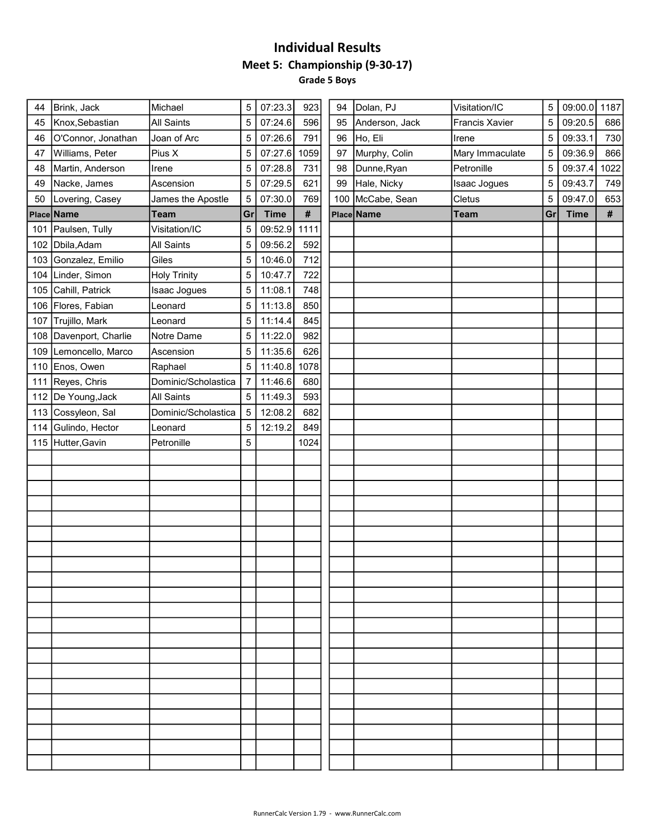### Individual Results Meet 5: Championship (9-30-17) Grade 5 Boys

| 5<br>5<br>5<br>5<br>5 | 09:20.5<br>09:33.1<br>09:36.9<br>09:37.4 | 686<br>730<br>866 |
|-----------------------|------------------------------------------|-------------------|
|                       |                                          |                   |
|                       |                                          |                   |
|                       |                                          |                   |
|                       |                                          | 1022              |
|                       |                                          | 749               |
|                       | 09:47.0                                  | 653               |
|                       | <b>Time</b>                              | #                 |
|                       |                                          |                   |
|                       |                                          |                   |
|                       |                                          |                   |
|                       |                                          |                   |
|                       |                                          |                   |
|                       |                                          |                   |
|                       |                                          |                   |
|                       |                                          |                   |
|                       |                                          |                   |
|                       |                                          |                   |
|                       |                                          |                   |
|                       |                                          |                   |
|                       |                                          |                   |
|                       |                                          |                   |
|                       |                                          |                   |
|                       |                                          |                   |
|                       |                                          |                   |
|                       |                                          |                   |
|                       |                                          |                   |
|                       |                                          |                   |
|                       |                                          |                   |
|                       |                                          |                   |
|                       |                                          |                   |
|                       |                                          |                   |
|                       |                                          |                   |
|                       |                                          |                   |
|                       |                                          |                   |
|                       |                                          |                   |
|                       |                                          |                   |
|                       |                                          |                   |
|                       |                                          |                   |
|                       |                                          |                   |
|                       |                                          |                   |
|                       |                                          |                   |
|                       |                                          |                   |
|                       |                                          |                   |
|                       | 5                                        | 09:43.7<br>Gr     |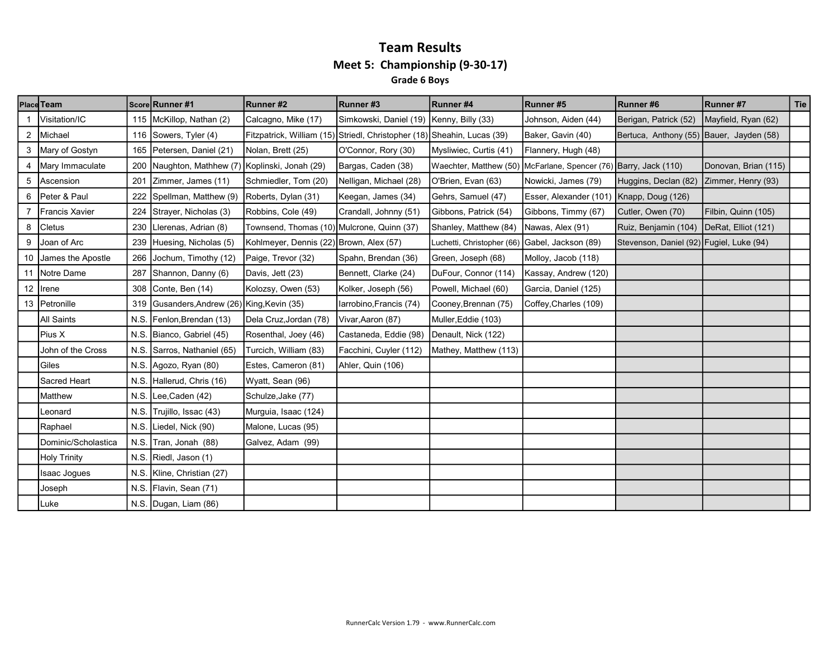#### Team Results Meet 5: Championship (9-30-17) Grade 6 Boys

|    | Place Team             |      | Score Runner #1                             | Runner#2                                                                | Runner#3                                 | Runner#4                                       | Runner#5                                                         | Runner#6                                 | Runner #7            | Tie |
|----|------------------------|------|---------------------------------------------|-------------------------------------------------------------------------|------------------------------------------|------------------------------------------------|------------------------------------------------------------------|------------------------------------------|----------------------|-----|
|    | Visitation/IC          |      | 115 McKillop, Nathan (2)                    | Calcagno, Mike (17)                                                     | Simkowski, Daniel (19) Kenny, Billy (33) |                                                | Johnson, Aiden (44)                                              | Berigan, Patrick (52)                    | Mayfield, Ryan (62)  |     |
| 2  | Michael                |      | 116 Sowers, Tyler (4)                       | Fitzpatrick, William (15) Striedl, Christopher (18) Sheahin, Lucas (39) |                                          |                                                | Baker, Gavin (40)                                                | Bertuca, Anthony (55) Bauer, Jayden (58) |                      |     |
|    | 3 Mary of Gostyn       |      | 165   Petersen, Daniel (21)                 | Nolan, Brett (25)                                                       | O'Connor, Rory (30)                      | Mysliwiec, Curtis (41)                         | Flannery, Hugh (48)                                              |                                          |                      |     |
| 4  | Mary Immaculate        | 200  | Naughton, Mathhew (7) Koplinski, Jonah (29) |                                                                         | Bargas, Caden (38)                       |                                                | Waechter, Matthew (50) McFarlane, Spencer (76) Barry, Jack (110) |                                          | Donovan, Brian (115) |     |
| 5  | Ascension              | 201  | Zimmer, James (11)                          | Schmiedler, Tom (20)                                                    | Nelligan, Michael (28)                   | O'Brien, Evan (63)                             | Nowicki, James (79)                                              | Huggins, Declan (82)                     | Zimmer, Henry (93)   |     |
| 6  | Peter & Paul           | 222  | Spellman, Matthew (9)                       | Roberts, Dylan (31)                                                     | Keegan, James (34)                       | Gehrs, Samuel (47)                             | Esser, Alexander (101)                                           | Knapp, Doug (126)                        |                      |     |
|    | <b>IFrancis Xavier</b> | 224  | Strayer, Nicholas (3)                       | Robbins, Cole (49)                                                      | Crandall, Johnny (51)                    | Gibbons, Patrick (54)                          | Gibbons, Timmy (67)                                              | Cutler, Owen (70)                        | Filbin, Quinn (105)  |     |
| 8  | <b>Cletus</b>          | 230  | Llerenas, Adrian (8)                        | Townsend, Thomas (10) Mulcrone, Quinn (37)                              |                                          | Shanley, Matthew (84)                          | Nawas, Alex (91)                                                 | Ruiz, Benjamin (104)                     | DeRat, Elliot (121)  |     |
| 9  | Joan of Arc            |      | 239 Huesing, Nicholas (5)                   | Kohlmeyer, Dennis (22) Brown, Alex (57)                                 |                                          | Luchetti, Christopher (66) Gabel, Jackson (89) |                                                                  | Stevenson, Daniel (92) Fugiel, Luke (94) |                      |     |
| 10 | James the Apostle      | 266  | Jochum, Timothy (12)                        | Paige, Trevor (32)                                                      | Spahn, Brendan (36)                      | Green, Joseph (68)                             | Molloy, Jacob (118)                                              |                                          |                      |     |
|    | 11 Notre Dame          | 287  | Shannon, Danny (6)                          | Davis, Jett (23)                                                        | Bennett, Clarke (24)                     | DuFour, Connor (114)                           | Kassay, Andrew (120)                                             |                                          |                      |     |
|    | 12   Irene             | 308  | Conte, Ben (14)                             | Kolozsy, Owen (53)                                                      | Kolker, Joseph (56)                      | Powell, Michael (60)                           | Garcia, Daniel (125)                                             |                                          |                      |     |
|    | 13 Petronille          |      | 319 Gusanders, Andrew (26) King, Kevin (35) |                                                                         | Iarrobino, Francis (74)                  | Cooney, Brennan (75)                           | Coffey, Charles (109)                                            |                                          |                      |     |
|    | All Saints             | N.S. | Fenlon, Brendan (13)                        | Dela Cruz, Jordan (78)                                                  | Vivar, Aaron (87)                        | Muller, Eddie (103)                            |                                                                  |                                          |                      |     |
|    | Pius X                 | N.S. | Bianco, Gabriel (45)                        | Rosenthal, Joey (46)                                                    | Castaneda, Eddie (98)                    | Denault, Nick (122)                            |                                                                  |                                          |                      |     |
|    | John of the Cross      | N.S. | Sarros, Nathaniel (65)                      | Turcich, William (83)                                                   | Facchini, Cuyler (112)                   | Mathey, Matthew (113)                          |                                                                  |                                          |                      |     |
|    | l Giles                |      | N.S. Agozo, Ryan (80)                       | Estes, Cameron (81)                                                     | Ahler, Quin (106)                        |                                                |                                                                  |                                          |                      |     |
|    | Sacred Heart           | N.S. | Hallerud, Chris (16)                        | Wyatt, Sean (96)                                                        |                                          |                                                |                                                                  |                                          |                      |     |
|    | Matthew                | N.S. | Lee, Caden (42)                             | Schulze, Jake (77)                                                      |                                          |                                                |                                                                  |                                          |                      |     |
|    | Leonard                | N.S. | Trujillo, Issac (43)                        | Murguia, Isaac (124)                                                    |                                          |                                                |                                                                  |                                          |                      |     |
|    | Raphael                | N.S. | Liedel, Nick (90)                           | Malone, Lucas (95)                                                      |                                          |                                                |                                                                  |                                          |                      |     |
|    | Dominic/Scholastica    | N.S. | Tran, Jonah (88)                            | Galvez, Adam (99)                                                       |                                          |                                                |                                                                  |                                          |                      |     |
|    | Holy Trinity           | N.S. | Riedl, Jason (1)                            |                                                                         |                                          |                                                |                                                                  |                                          |                      |     |
|    | Isaac Jogues           | N.S. | Kline, Christian (27)                       |                                                                         |                                          |                                                |                                                                  |                                          |                      |     |
|    | Joseph                 | N.S. | Flavin, Sean (71)                           |                                                                         |                                          |                                                |                                                                  |                                          |                      |     |
|    | Luke                   |      | N.S. Dugan, Liam (86)                       |                                                                         |                                          |                                                |                                                                  |                                          |                      |     |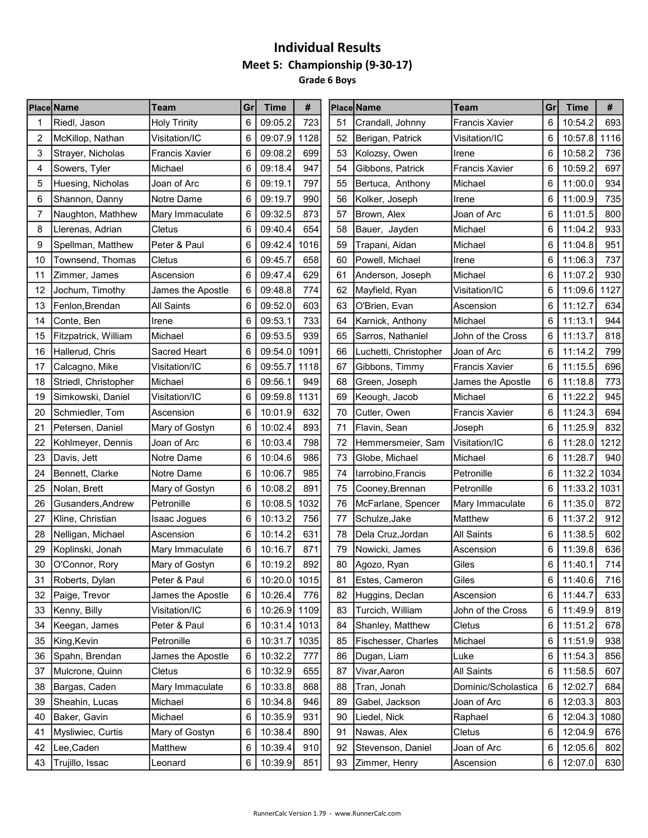## Individual Results Meet 5: Championship (9-30-17) Grade 6 Boys

|    | <b>Place Name</b>    | Team                  | Gr | Time         | #    |    | Place Name            | Team                  | Gr | Time    | #    |
|----|----------------------|-----------------------|----|--------------|------|----|-----------------------|-----------------------|----|---------|------|
| 1  | Riedl, Jason         | <b>Holy Trinity</b>   | 6  | 09:05.2      | 723  | 51 | Crandall, Johnny      | <b>Francis Xavier</b> | 6  | 10:54.2 | 693  |
| 2  | McKillop, Nathan     | Visitation/IC         | 6  | 09:07.9      | 1128 | 52 | Berigan, Patrick      | Visitation/IC         | 6  | 10:57.8 | 1116 |
| 3  | Strayer, Nicholas    | <b>Francis Xavier</b> | 6  | 09:08.2      | 699  | 53 | Kolozsy, Owen         | Irene                 | 6  | 10:58.2 | 736  |
| 4  | Sowers, Tyler        | Michael               | 6  | 09:18.4      | 947  | 54 | Gibbons, Patrick      | <b>Francis Xavier</b> | 6  | 10:59.2 | 697  |
| 5  | Huesing, Nicholas    | Joan of Arc           | 6  | 09:19.1      | 797  | 55 | Bertuca, Anthony      | Michael               | 6  | 11:00.0 | 934  |
| 6  | Shannon, Danny       | Notre Dame            | 6  | 09:19.7      | 990  | 56 | Kolker, Joseph        | Irene                 | 6  | 11:00.9 | 735  |
| 7  | Naughton, Mathhew    | Mary Immaculate       | 6  | 09:32.5      | 873  | 57 | Brown, Alex           | Joan of Arc           | 6  | 11:01.5 | 800  |
| 8  | Llerenas, Adrian     | Cletus                | 6  | 09:40.4      | 654  | 58 | Bauer, Jayden         | Michael               | 6  | 11:04.2 | 933  |
| 9  | Spellman, Matthew    | Peter & Paul          | 6  | 09:42.4      | 1016 | 59 | Trapani, Aidan        | Michael               | 6  | 11:04.8 | 951  |
| 10 | Townsend, Thomas     | Cletus                | 6  | 09:45.7      | 658  | 60 | Powell, Michael       | Irene                 | 6  | 11:06.3 | 737  |
| 11 | Zimmer, James        | Ascension             | 6  | 09:47.4      | 629  | 61 | Anderson, Joseph      | Michael               | 6  | 11:07.2 | 930  |
| 12 | Jochum, Timothy      | James the Apostle     | 6  | 09:48.8      | 774  | 62 | Mayfield, Ryan        | Visitation/IC         | 6  | 11:09.6 | 1127 |
| 13 | Fenlon, Brendan      | <b>All Saints</b>     | 6  | 09:52.0      | 603  | 63 | O'Brien, Evan         | Ascension             | 6  | 11:12.7 | 634  |
| 14 | Conte, Ben           | Irene                 | 6  | 09:53.1      | 733  | 64 | Karnick, Anthony      | Michael               | 6  | 11:13.1 | 944  |
| 15 | Fitzpatrick, William | Michael               | 6  | 09:53.5      | 939  | 65 | Sarros, Nathaniel     | John of the Cross     | 6  | 11:13.7 | 818  |
| 16 | Hallerud, Chris      | Sacred Heart          | 6  | 09:54.0      | 1091 | 66 | Luchetti, Christopher | Joan of Arc           | 6  | 11:14.2 | 799  |
| 17 | Calcagno, Mike       | Visitation/IC         | 6  | 09:55.7      | 1118 | 67 | Gibbons, Timmy        | <b>Francis Xavier</b> | 6  | 11:15.5 | 696  |
| 18 | Striedl, Christopher | Michael               | 6  | 09:56.1      | 949  | 68 | Green, Joseph         | James the Apostle     | 6  | 11:18.8 | 773  |
| 19 | Simkowski, Daniel    | Visitation/IC         | 6  | 09:59.8      | 1131 | 69 | Keough, Jacob         | Michael               | 6  | 11:22.2 | 945  |
| 20 | Schmiedler, Tom      | Ascension             | 6  | 10:01.9      | 632  | 70 | Cutler, Owen          | <b>Francis Xavier</b> | 6  | 11:24.3 | 694  |
| 21 | Petersen, Daniel     | Mary of Gostyn        | 6  | 10:02.4      | 893  | 71 | Flavin, Sean          | Joseph                | 6  | 11:25.9 | 832  |
| 22 | Kohlmeyer, Dennis    | Joan of Arc           | 6  | 10:03.4      | 798  | 72 | Hemmersmeier, Sam     | Visitation/IC         | 6  | 11:28.0 | 1212 |
| 23 | Davis, Jett          | Notre Dame            | 6  | 10:04.6      | 986  | 73 | Globe, Michael        | Michael               | 6  | 11:28.7 | 940  |
| 24 | Bennett, Clarke      | Notre Dame            | 6  | 10:06.7      | 985  | 74 | larrobino, Francis    | Petronille            | 6  | 11:32.2 | 1034 |
| 25 | Nolan, Brett         | Mary of Gostyn        | 6  | 10:08.2      | 891  | 75 | Cooney, Brennan       | Petronille            | 6  | 11:33.2 | 1031 |
| 26 | Gusanders, Andrew    | Petronille            | 6  | 10:08.5      | 1032 | 76 | McFarlane, Spencer    | Mary Immaculate       | 6  | 11:35.0 | 872  |
| 27 | Kline, Christian     | Isaac Jogues          | 6  | 10:13.2      | 756  | 77 | Schulze, Jake         | Matthew               | 6  | 11:37.2 | 912  |
| 28 | Nelligan, Michael    | Ascension             | 6  | 10:14.2      | 631  | 78 | Dela Cruz, Jordan     | <b>All Saints</b>     | 6  | 11:38.5 | 602  |
| 29 | Koplinski, Jonah     | Mary Immaculate       | 6  | 10:16.7      | 871  | 79 | Nowicki, James        | Ascension             | 6  | 11:39.8 | 636  |
| 30 | O'Connor, Rory       | Mary of Gostyn        | 6  | 10:19.2      | 892  | 80 | Agozo, Ryan           | Giles                 | 6  | 11:40.1 | 714  |
| 31 | Roberts, Dylan       | Peter & Paul          | 6  | 10:20.0 1015 |      | 81 | Estes, Cameron        | Giles                 | 6  | 11:40.6 | 716  |
| 32 | Paige, Trevor        | James the Apostle     | 6  | 10:26.4      | 776  | 82 | Huggins, Declan       | Ascension             | 6  | 11:44.7 | 633  |
| 33 | Kenny, Billy         | Visitation/IC         | 6  | 10:26.9 1109 |      | 83 | Turcich, William      | John of the Cross     | 6  | 11:49.9 | 819  |
| 34 | Keegan, James        | Peter & Paul          | 6  | 10:31.4 1013 |      | 84 | Shanley, Matthew      | Cletus                | 6  | 11:51.2 | 678  |
| 35 | King, Kevin          | Petronille            | 6  | 10:31.7      | 1035 | 85 | Fischesser, Charles   | Michael               | 6  | 11:51.9 | 938  |
| 36 | Spahn, Brendan       | James the Apostle     | 6  | 10:32.2      | 777  | 86 | Dugan, Liam           | Luke                  | 6  | 11:54.3 | 856  |
| 37 | Mulcrone, Quinn      | Cletus                | 6  | 10:32.9      | 655  | 87 | Vivar, Aaron          | All Saints            | 6  | 11:58.5 | 607  |
| 38 | Bargas, Caden        | Mary Immaculate       | 6  | 10:33.8      | 868  | 88 | Tran, Jonah           | Dominic/Scholastica   | 6  | 12:02.7 | 684  |
| 39 | Sheahin, Lucas       | Michael               | 6  | 10:34.8      | 946  | 89 | Gabel, Jackson        | Joan of Arc           | 6  | 12:03.3 | 803  |
| 40 | Baker, Gavin         | Michael               | 6  | 10:35.9      | 931  | 90 | Liedel, Nick          | Raphael               | 6  | 12:04.3 | 1080 |
| 41 | Mysliwiec, Curtis    | Mary of Gostyn        | 6  | 10:38.4      | 890  | 91 | Nawas, Alex           | Cletus                | 6  | 12:04.9 | 676  |
| 42 | Lee, Caden           | Matthew               | 6  | 10:39.4      | 910  | 92 | Stevenson, Daniel     | Joan of Arc           | 6  | 12:05.6 | 802  |
| 43 | Trujillo, Issac      | Leonard               | 6  | 10:39.9      | 851  | 93 | Zimmer, Henry         | Ascension             | 6  | 12:07.0 | 630  |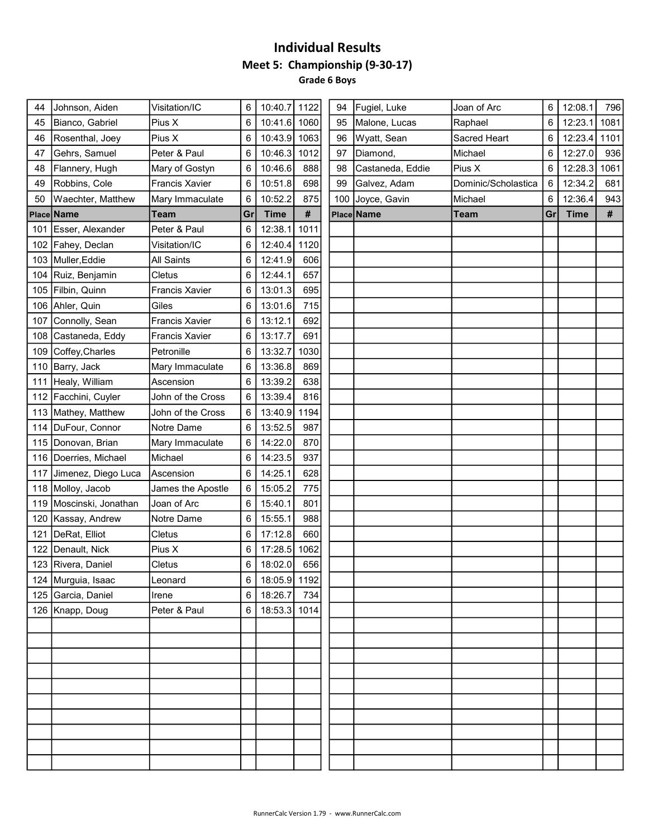#### Individual Results Meet 5: Championship (9-30-17) Grade 6 Boys

| 44         | Johnson, Aiden          | Visitation/IC         | 6               | 10:40.7      | 1122 | 94  | Fugiel, Luke     | Joan of Arc         | 6  | 12:08.1     | 796  |
|------------|-------------------------|-----------------------|-----------------|--------------|------|-----|------------------|---------------------|----|-------------|------|
| 45         | Bianco, Gabriel         | Pius X                | 6               | 10:41.6      | 1060 | 95  | Malone, Lucas    | Raphael             | 6  | 12:23.1     | 1081 |
| 46         | Rosenthal, Joey         | Pius X                | 6               | 10:43.9      | 1063 | 96  | Wyatt, Sean      | Sacred Heart        | 6  | 12:23.4     | 1101 |
| 47         | Gehrs, Samuel           | Peter & Paul          | 6               | 10:46.3      | 1012 | 97  | Diamond,         | Michael             | 6  | 12:27.0     | 936  |
| 48         | Flannery, Hugh          | Mary of Gostyn        | 6               | 10:46.6      | 888  | 98  | Castaneda, Eddie | Pius X              | 6  | 12:28.3     | 1061 |
| 49         | Robbins, Cole           | <b>Francis Xavier</b> | 6               | 10:51.8      | 698  | 99  | Galvez, Adam     | Dominic/Scholastica | 6  | 12:34.2     | 681  |
| 50         | Waechter, Matthew       | Mary Immaculate       | 6               | 10:52.2      | 875  | 100 | Joyce, Gavin     | Michael             | 6  | 12:36.4     | 943  |
| Place Name |                         | <b>Team</b>           | Gr              | <b>Time</b>  | #    |     | Place Name       | <b>Team</b>         | Gr | <b>Time</b> | $\#$ |
| 101        | Esser, Alexander        | Peter & Paul          | 6               | 12:38.1      | 1011 |     |                  |                     |    |             |      |
|            | 102 Fahey, Declan       | Visitation/IC         | 6               | 12:40.4      | 1120 |     |                  |                     |    |             |      |
| 103        | Muller, Eddie           | <b>All Saints</b>     | 6               | 12:41.9      | 606  |     |                  |                     |    |             |      |
| 104        | Ruiz, Benjamin          | Cletus                | 6               | 12:44.1      | 657  |     |                  |                     |    |             |      |
| 105        | Filbin, Quinn           | <b>Francis Xavier</b> | 6               | 13:01.3      | 695  |     |                  |                     |    |             |      |
|            | 106 Ahler, Quin         | Giles                 | 6               | 13:01.6      | 715  |     |                  |                     |    |             |      |
| 107        | Connolly, Sean          | <b>Francis Xavier</b> | 6               | 13:12.1      | 692  |     |                  |                     |    |             |      |
| 108        | Castaneda, Eddy         | <b>Francis Xavier</b> | 6               | 13:17.7      | 691  |     |                  |                     |    |             |      |
| 109        | Coffey, Charles         | Petronille            | 6               | 13:32.7      | 1030 |     |                  |                     |    |             |      |
| 110        | Barry, Jack             | Mary Immaculate       | 6               | 13:36.8      | 869  |     |                  |                     |    |             |      |
| 111        | Healy, William          | Ascension             | 6               | 13:39.2      | 638  |     |                  |                     |    |             |      |
|            | 112 Facchini, Cuyler    | John of the Cross     | 6               | 13:39.4      | 816  |     |                  |                     |    |             |      |
|            | 113 Mathey, Matthew     | John of the Cross     | 6               | 13:40.9      | 1194 |     |                  |                     |    |             |      |
|            | 114   DuFour, Connor    | Notre Dame            | 6               | 13:52.5      | 987  |     |                  |                     |    |             |      |
|            | 115 Donovan, Brian      | Mary Immaculate       | 6               | 14:22.0      | 870  |     |                  |                     |    |             |      |
|            | 116   Doerries, Michael | Michael               | 6               | 14:23.5      | 937  |     |                  |                     |    |             |      |
|            | 117 Jimenez, Diego Luca | Ascension             | 6               | 14:25.1      | 628  |     |                  |                     |    |             |      |
|            | 118 Molloy, Jacob       | James the Apostle     | 6               | 15:05.2      | 775  |     |                  |                     |    |             |      |
|            | 119 Moscinski, Jonathan | Joan of Arc           | 6               | 15:40.1      | 801  |     |                  |                     |    |             |      |
| 120        | Kassay, Andrew          | Notre Dame            | 6               | 15:55.1      | 988  |     |                  |                     |    |             |      |
| 121        | DeRat, Elliot           | Cletus                | 6               | 17:12.8      | 660  |     |                  |                     |    |             |      |
| 122        | Denault, Nick           | Pius X                | 6               | 17:28.5      | 1062 |     |                  |                     |    |             |      |
|            | 123 Rivera, Daniel      | Cletus                | 6               | 18:02.0      | 656  |     |                  |                     |    |             |      |
|            | 124 Murguia, Isaac      | Leonard               | 6               | 18:05.9 1192 |      |     |                  |                     |    |             |      |
|            | 125 Garcia, Daniel      | Irene                 | 6               | 18:26.7      | 734  |     |                  |                     |    |             |      |
|            | 126 Knapp, Doug         | Peter & Paul          | $6\phantom{1}6$ | 18:53.3 1014 |      |     |                  |                     |    |             |      |
|            |                         |                       |                 |              |      |     |                  |                     |    |             |      |
|            |                         |                       |                 |              |      |     |                  |                     |    |             |      |
|            |                         |                       |                 |              |      |     |                  |                     |    |             |      |
|            |                         |                       |                 |              |      |     |                  |                     |    |             |      |
|            |                         |                       |                 |              |      |     |                  |                     |    |             |      |
|            |                         |                       |                 |              |      |     |                  |                     |    |             |      |
|            |                         |                       |                 |              |      |     |                  |                     |    |             |      |
|            |                         |                       |                 |              |      |     |                  |                     |    |             |      |
|            |                         |                       |                 |              |      |     |                  |                     |    |             |      |
|            |                         |                       |                 |              |      |     |                  |                     |    |             |      |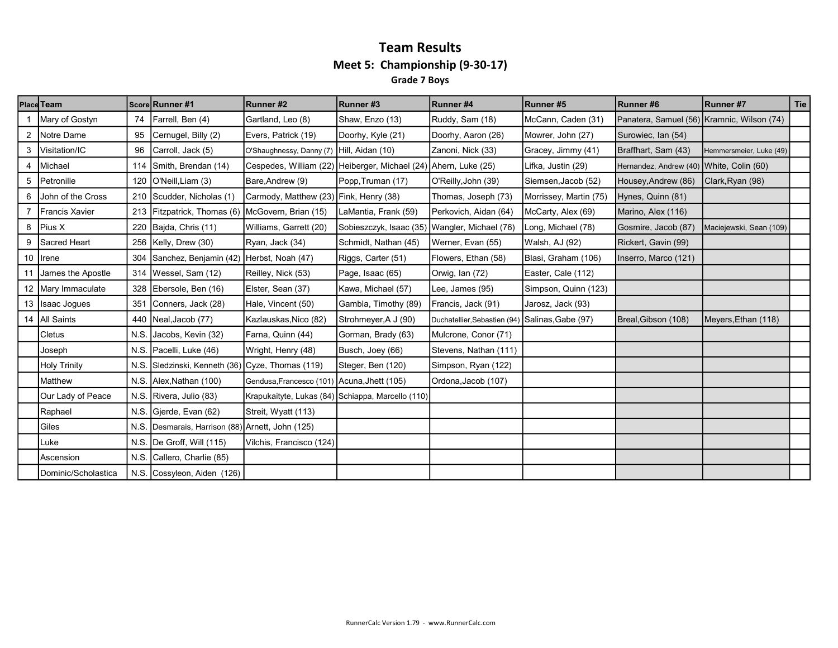#### Team Results Meet 5: Championship (9-30-17) Grade 7 Boys

|   | Place Team           |      | Score Runner #1                                  | Runner#2                                    | Runner#3                                                        | Runner #4                                       | Runner #5              | Runner#6                                   | Runner #7               | <b>Tie</b> |
|---|----------------------|------|--------------------------------------------------|---------------------------------------------|-----------------------------------------------------------------|-------------------------------------------------|------------------------|--------------------------------------------|-------------------------|------------|
|   | Mary of Gostyn       | 74   | Farrell, Ben (4)                                 | Gartland, Leo (8)                           | Shaw, Enzo (13)                                                 | Ruddy, Sam (18)                                 | McCann, Caden (31)     | Panatera, Samuel (56) Kramnic, Wilson (74) |                         |            |
|   | 2 Notre Dame         | 95   | Cernugel, Billy (2)                              | Evers, Patrick (19)                         | Doorhy, Kyle (21)                                               | Doorhy, Aaron (26)                              | Mowrer, John (27)      | Surowiec, Ian (54)                         |                         |            |
|   | 3   Visitation/IC    | 96   | Carroll, Jack (5)                                | O'Shaughnessy, Danny (7) Hill, Aidan (10)   |                                                                 | Zanoni, Nick (33)                               | Gracey, Jimmy (41)     | Braffhart, Sam (43)                        | Hemmersmeier, Luke (49) |            |
|   | 4   Michael          | 114  | Smith, Brendan (14)                              |                                             | Cespedes, William (22) Heiberger, Michael (24) Ahern, Luke (25) |                                                 | Lifka, Justin (29)     | Hernandez, Andrew (40) White, Colin (60)   |                         |            |
|   | 5 Petronille         | 120  | O'Neill, Liam (3)                                | Bare, Andrew (9)                            | Popp, Truman (17)                                               | O'Reilly, John (39)                             | Siemsen, Jacob (52)    | Housey, Andrew (86)                        | Clark, Ryan (98)        |            |
|   | 6 John of the Cross  |      | 210 Scudder, Nicholas (1)                        | Carmody, Matthew (23) Fink, Henry (38)      |                                                                 | Thomas, Joseph (73)                             | Morrissey, Martin (75) | Hynes, Quinn (81)                          |                         |            |
|   | Francis Xavier       |      | 213 Fitzpatrick, Thomas (6) McGovern, Brian (15) |                                             | LaMantia, Frank (59)                                            | Perkovich, Aidan (64)                           | McCarty, Alex (69)     | Marino, Alex (116)                         |                         |            |
|   | 8   Pius X           |      | 220 Bajda, Chris (11)                            | Williams, Garrett (20)                      | Sobieszczyk, Isaac (35)                                         | Wangler, Michael (76)                           | Long, Michael (78)     | Gosmire, Jacob (87)                        | Maciejewski, Sean (109) |            |
| 9 | Sacred Heart         |      | 256   Kelly, Drew (30)                           | Ryan, Jack (34)                             | Schmidt, Nathan (45)                                            | Werner, Evan (55)                               | Walsh, AJ (92)         | Rickert, Gavin (99)                        |                         |            |
|   | 10   Irene           |      | 304 Sanchez, Benjamin (42) Herbst, Noah (47)     |                                             | Riggs, Carter (51)                                              | Flowers, Ethan (58)                             | Blasi, Graham (106)    | Inserro, Marco (121)                       |                         |            |
|   | James the Apostle    |      | 314   Wessel, Sam (12)                           | Reilley, Nick (53)                          | Page, Isaac (65)                                                | Orwig, Ian (72)                                 | Easter, Cale (112)     |                                            |                         |            |
|   | 12   Mary Immaculate |      | 328 Ebersole, Ben (16)                           | Elster, Sean (37)                           | Kawa, Michael (57)                                              | Lee, James (95)                                 | Simpson, Quinn (123)   |                                            |                         |            |
|   | 13 Isaac Jogues      | 351  | Conners, Jack (28)                               | Hale, Vincent (50)                          | Gambla, Timothy (89)                                            | Francis, Jack (91)                              | Jarosz, Jack (93)      |                                            |                         |            |
|   | 14   All Saints      |      | 440   Neal, Jacob (77)                           | Kazlauskas, Nico (82)                       | Strohmeyer, A J (90)                                            | Duchatellier, Sebastien (94) Salinas, Gabe (97) |                        | Breal, Gibson (108)                        | Meyers, Ethan (118)     |            |
|   | Cletus               | N.S. | Jacobs, Kevin (32)                               | Farna, Quinn (44)                           | Gorman, Brady (63)                                              | Mulcrone, Conor (71)                            |                        |                                            |                         |            |
|   | Joseph               |      | N.S. Pacelli, Luke (46)                          | Wright, Henry (48)                          | Busch, Joey (66)                                                | Stevens, Nathan (111)                           |                        |                                            |                         |            |
|   | <b>Holy Trinity</b>  |      | N.S. Sledzinski, Kenneth (36) Cyze, Thomas (119) |                                             | Steger, Ben (120)                                               | Simpson, Ryan (122)                             |                        |                                            |                         |            |
|   | Matthew              |      | N.S. Alex, Nathan (100)                          | Gendusa, Francesco (101) Acuna, Jhett (105) |                                                                 | Ordona, Jacob (107)                             |                        |                                            |                         |            |
|   | Our Lady of Peace    |      | N.S. Rivera, Julio (83)                          |                                             | Krapukaityte, Lukas (84) Schiappa, Marcello (110)               |                                                 |                        |                                            |                         |            |
|   | Raphael              |      | N.S. Gjerde, Evan (62)                           | Streit, Wyatt (113)                         |                                                                 |                                                 |                        |                                            |                         |            |
|   | Giles                | N.S. | Desmarais, Harrison (88) Arnett, John (125)      |                                             |                                                                 |                                                 |                        |                                            |                         |            |
|   | Luke                 |      | N.S. De Groff, Will (115)                        | Vilchis, Francisco (124)                    |                                                                 |                                                 |                        |                                            |                         |            |
|   | Ascension            | N.S. | Callero, Charlie (85)                            |                                             |                                                                 |                                                 |                        |                                            |                         |            |
|   | Dominic/Scholastica  |      | N.S. Cossyleon, Aiden (126)                      |                                             |                                                                 |                                                 |                        |                                            |                         |            |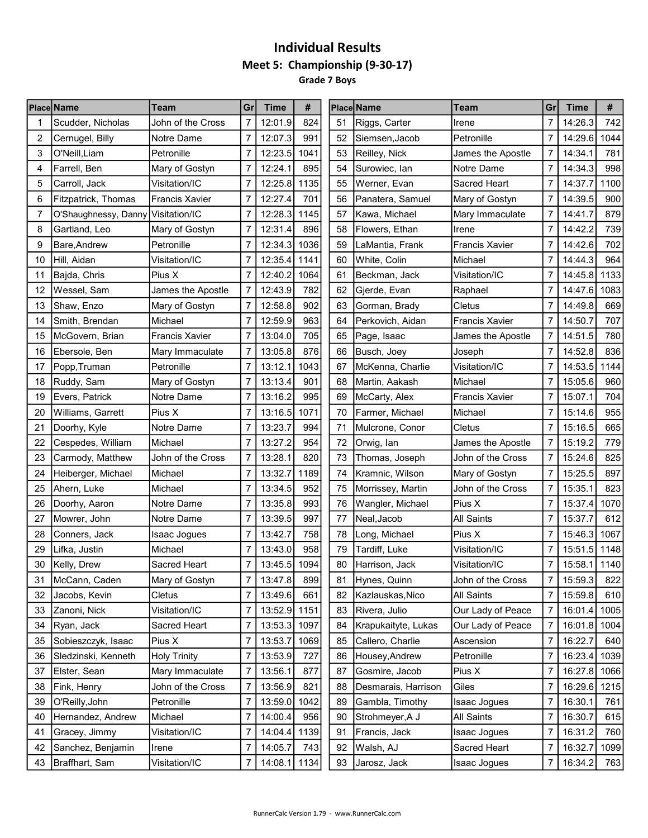#### Individual Results Meet 5: Championship (9-30-17) Grade 7 Boys

| 7<br>824<br>14:26.3<br>Scudder, Nicholas<br>John of the Cross<br>12:01.9<br>51<br>Riggs, Carter<br>7<br>742<br>Irene<br>$\overline{7}$<br>$\overline{7}$<br>2<br>12:07.3<br>991<br>52<br>Petronille<br>14:29.6<br>1044<br>Cernugel, Billy<br>Siemsen, Jacob<br>Notre Dame<br>3<br>7<br>1041<br>7<br>14:34.1<br>781<br>O'Neill, Liam<br>Petronille<br>12:23.5<br>53<br>Reilley, Nick<br>James the Apostle<br>$\overline{7}$<br>$\overline{7}$<br>998<br>12:24.1<br>895<br>54<br>14:34.3<br>Farrell, Ben<br>Mary of Gostyn<br>Surowiec, lan<br>Notre Dame<br>4<br>1135<br>$\overline{7}$<br>5<br>7<br>12:25.8<br>14:37.7<br>1100<br>Carroll, Jack<br>Visitation/IC<br>55<br>Werner, Evan<br>Sacred Heart<br>701<br>56<br>7<br>900<br>6<br>7<br>12:27.4<br>Panatera, Samuel<br>Mary of Gostyn<br>14:39.5<br>Fitzpatrick, Thomas<br><b>Francis Xavier</b><br>$\overline{7}$<br>879<br>O'Shaughnessy, Danny Visitation/IC<br>12:28.3<br>1145<br>57<br>7<br>14:41.7<br>Mary Immaculate<br>7<br>Kawa, Michael<br>896<br>7<br>12:31.4<br>58<br>7<br>14:42.2<br>739<br>8<br>Gartland, Leo<br>Mary of Gostyn<br>Flowers, Ethan<br>Irene<br>$\overline{7}$<br>$\overline{7}$<br>702<br>Petronille<br>12:34.3<br>59<br>14:42.6<br>9<br>Bare, Andrew<br>1036<br>LaMantia, Frank<br><b>Francis Xavier</b><br>1141<br>7<br>964<br>7<br>12:35.4<br>14:44.3<br>10<br>Hill, Aidan<br>Visitation/IC<br>60<br>White, Colin<br>Michael<br>1064<br>7<br>1133<br>Pius X<br>7<br>12:40.2<br>61<br>Visitation/IC<br>14:45.8<br>11<br> Bajda, Chris<br>Beckman, Jack<br>1083<br>7<br>12:43.9<br>782<br>62<br>7<br>14:47.6<br>12<br>Wessel, Sam<br>James the Apostle<br>Gjerde, Evan<br>Raphael<br>669<br>12:58.8<br>902<br>7<br>14:49.8<br>13<br>Shaw, Enzo<br>Mary of Gostyn<br>63<br>Cletus<br>Gorman, Brady<br>$\overline{7}$<br>$\overline{7}$<br>707<br>Michael<br>12:59.9<br>963<br>14:50.7<br>14<br>Smith, Brendan<br>64<br>Perkovich, Aidan<br><b>Francis Xavier</b><br>$\overline{7}$<br>705<br>7<br>13:04.0<br>14:51.5<br>780<br>15<br>65<br>McGovern, Brian<br><b>Francis Xavier</b><br>Page, Isaac<br>James the Apostle<br>876<br>13:05.8<br>7<br>14:52.8<br>836<br>Ebersole, Ben<br>7<br>66<br>16<br>Mary Immaculate<br> Busch, Joey<br>Joseph<br>$\overline{7}$<br>7<br>14:53.5<br>1144<br>13:12.1<br>1043<br>67<br>Visitation/IC<br>Popp, Truman<br>Petronille<br>McKenna, Charlie<br>17<br>960<br>7<br>901<br>7<br>15:05.6<br>18<br>Ruddy, Sam<br>13:13.4<br>68<br>Michael<br>Mary of Gostyn<br>Martin, Aakash<br>$\overline{7}$<br>$\overline{7}$<br>15:07.1<br>704<br>Evers, Patrick<br>Notre Dame<br>13:16.2<br>995<br>19<br>69<br>McCarty, Alex<br><b>Francis Xavier</b><br>$\overline{7}$<br>1071<br>$\overline{7}$<br>955<br>Pius X<br>13:16.5<br>70<br>15:14.6<br>20<br>Williams, Garrett<br>Farmer, Michael<br>Michael<br>13:23.7<br>994<br>7<br>665<br>21<br>Doorhy, Kyle<br>Notre Dame<br>7<br>71<br>Mulcrone, Conor<br>Cletus<br>15:16.5<br>$\overline{7}$<br>13:27.2<br>954<br>15:19.2<br>779<br>22<br>72<br>7<br>Cespedes, William<br>Michael<br>Orwig, Ian<br>James the Apostle<br>820<br>825<br>23<br>John of the Cross<br>7<br>13:28.1<br>15:24.6<br>Carmody, Matthew<br>73<br>John of the Cross<br>7<br>Thomas, Joseph<br>$\overline{7}$<br>74<br>$\overline{7}$<br>897<br>24<br>Michael<br>13:32.7<br>1189<br>15:25.5<br>Heiberger, Michael<br>Kramnic, Wilson<br>Mary of Gostyn<br>$\overline{7}$<br>952<br>$\overline{7}$<br>823<br>25<br>13:34.5<br>15:35.1<br>Ahern, Luke<br>Michael<br>75<br>Morrissey, Martin<br>John of the Cross<br>993<br>7<br>1070<br>26<br>7<br>13:35.8<br>76<br>Wangler, Michael<br>Pius X<br>15:37.4<br>Doorhy, Aaron<br>Notre Dame<br>$\overline{7}$<br>13:39.5<br>997<br>$\overline{7}$<br>612<br>77<br><b>All Saints</b><br>15:37.7<br>27<br>Mowrer, John<br>Notre Dame<br>Neal, Jacob<br>758<br>7<br>13:42.7<br>78<br>Pius X<br>7<br>15:46.3<br>1067<br>28<br>Conners, Jack<br>Isaac Jogues<br>Long, Michael<br>$\overline{7}$<br>958<br>$\overline{7}$<br>15:51.5<br>29<br>13:43.0<br>79<br>Tardiff, Luke<br>Visitation/IC<br>1148<br>Lifka, Justin<br>Michael<br>13:45.5<br>1094<br>7<br>7<br>80<br>15:58.1<br>1140<br>30<br>Kelly, Drew<br>Sacred Heart<br>Harrison, Jack<br>Visitation/IC<br>31<br>McCann, Caden<br>Mary of Gostyn<br>13:47.8<br>899<br>81<br>Hynes, Quinn<br>John of the Cross<br>7<br>15:59.3<br>822<br>$\overline{7}$<br>661<br>$\overline{7}$<br>15:59.8<br>Cletus<br>13:49.6<br>Kazlauskas, Nico<br><b>All Saints</b><br>610<br>32<br>Jacobs, Kevin<br>82<br>Visitation/IC<br>1151<br>Zanoni, Nick<br>7<br>13:52.9<br>Rivera, Julio<br>Our Lady of Peace<br>16:01.4<br>1005<br>33<br>83<br>7<br>$\overline{7}$<br>13:53.3<br>16:01.8<br>Ryan, Jack<br>Sacred Heart<br>1097<br>Krapukaityte, Lukas<br>Our Lady of Peace<br>7<br>34<br>84<br>1004<br>7<br>Sobieszczyk, Isaac<br>Pius X<br>7<br>13:53.7<br>1069<br>Callero, Charlie<br>Ascension<br>16:22.7<br>35<br>85<br>640<br>7<br>13:53.9<br>727<br>Petronille<br>7<br>16:23.4<br>36<br>Sledzinski, Kenneth<br><b>Holy Trinity</b><br>86<br>Housey, Andrew<br>1039<br>Mary Immaculate<br>7<br>13:56.1<br>877<br>Gosmire, Jacob<br>Pius X<br>7<br>16:27.8 1066<br>37<br>Elster, Sean<br>87<br>Fink, Henry<br>John of the Cross<br>13:56.9<br>821<br>Desmarais, Harrison<br>Giles<br>16:29.6<br>1215<br>38<br>7<br>88<br>7<br>Petronille<br>16:30.1<br>O'Reilly, John<br>7<br>13:59.0<br>1042<br>Gambla, Timothy<br><b>Isaac Jogues</b><br>7<br>39<br>89<br>761<br>7<br>Hernandez, Andrew<br>Michael<br>7<br>14:00.4<br>956<br>Strohmeyer, A J<br>All Saints<br>16:30.7<br>40<br>90<br>615<br>1139<br>7<br>Gracey, Jimmy<br>Visitation/IC<br>7<br>14:04.4<br>91<br>Francis, Jack<br>Isaac Jogues<br>16:31.2<br>760<br>41<br>7<br>14:05.7<br>Walsh, AJ<br>Sacred Heart<br>7<br>16:32.7<br>42<br>Sanchez, Benjamin<br>Irene<br>743<br>92<br>1099 | <b>Place Name</b> | Team | Grl | Time | # | <b>Place Name</b> | <b>Team</b> | Grl | <b>Time</b> | # |
|------------------------------------------------------------------------------------------------------------------------------------------------------------------------------------------------------------------------------------------------------------------------------------------------------------------------------------------------------------------------------------------------------------------------------------------------------------------------------------------------------------------------------------------------------------------------------------------------------------------------------------------------------------------------------------------------------------------------------------------------------------------------------------------------------------------------------------------------------------------------------------------------------------------------------------------------------------------------------------------------------------------------------------------------------------------------------------------------------------------------------------------------------------------------------------------------------------------------------------------------------------------------------------------------------------------------------------------------------------------------------------------------------------------------------------------------------------------------------------------------------------------------------------------------------------------------------------------------------------------------------------------------------------------------------------------------------------------------------------------------------------------------------------------------------------------------------------------------------------------------------------------------------------------------------------------------------------------------------------------------------------------------------------------------------------------------------------------------------------------------------------------------------------------------------------------------------------------------------------------------------------------------------------------------------------------------------------------------------------------------------------------------------------------------------------------------------------------------------------------------------------------------------------------------------------------------------------------------------------------------------------------------------------------------------------------------------------------------------------------------------------------------------------------------------------------------------------------------------------------------------------------------------------------------------------------------------------------------------------------------------------------------------------------------------------------------------------------------------------------------------------------------------------------------------------------------------------------------------------------------------------------------------------------------------------------------------------------------------------------------------------------------------------------------------------------------------------------------------------------------------------------------------------------------------------------------------------------------------------------------------------------------------------------------------------------------------------------------------------------------------------------------------------------------------------------------------------------------------------------------------------------------------------------------------------------------------------------------------------------------------------------------------------------------------------------------------------------------------------------------------------------------------------------------------------------------------------------------------------------------------------------------------------------------------------------------------------------------------------------------------------------------------------------------------------------------------------------------------------------------------------------------------------------------------------------------------------------------------------------------------------------------------------------------------------------------------------------------------------------------------------------------------------------------------------------------------------------------------------------------------------------------------------------------------------------------------------------------------------------------------------------------------------------------------------------------------------------------------------------------------------------------------------------------------------------------------------------------------------------------------------------------------------------------------------------------------------------------------------------------------------------------------------------------------------------------------------------------------------------------------------------------------------------------------------------------------------------------------------------------------------------------------------------------------------------------------------------------------------------------------------------------------------------------------------------------------------------------------------------|-------------------|------|-----|------|---|-------------------|-------------|-----|-------------|---|
|                                                                                                                                                                                                                                                                                                                                                                                                                                                                                                                                                                                                                                                                                                                                                                                                                                                                                                                                                                                                                                                                                                                                                                                                                                                                                                                                                                                                                                                                                                                                                                                                                                                                                                                                                                                                                                                                                                                                                                                                                                                                                                                                                                                                                                                                                                                                                                                                                                                                                                                                                                                                                                                                                                                                                                                                                                                                                                                                                                                                                                                                                                                                                                                                                                                                                                                                                                                                                                                                                                                                                                                                                                                                                                                                                                                                                                                                                                                                                                                                                                                                                                                                                                                                                                                                                                                                                                                                                                                                                                                                                                                                                                                                                                                                                                                                                                                                                                                                                                                                                                                                                                                                                                                                                                                                                                                                                                                                                                                                                                                                                                                                                                                                                                                                                                                                                                                                  |                   |      |     |      |   |                   |             |     |             |   |
|                                                                                                                                                                                                                                                                                                                                                                                                                                                                                                                                                                                                                                                                                                                                                                                                                                                                                                                                                                                                                                                                                                                                                                                                                                                                                                                                                                                                                                                                                                                                                                                                                                                                                                                                                                                                                                                                                                                                                                                                                                                                                                                                                                                                                                                                                                                                                                                                                                                                                                                                                                                                                                                                                                                                                                                                                                                                                                                                                                                                                                                                                                                                                                                                                                                                                                                                                                                                                                                                                                                                                                                                                                                                                                                                                                                                                                                                                                                                                                                                                                                                                                                                                                                                                                                                                                                                                                                                                                                                                                                                                                                                                                                                                                                                                                                                                                                                                                                                                                                                                                                                                                                                                                                                                                                                                                                                                                                                                                                                                                                                                                                                                                                                                                                                                                                                                                                                  |                   |      |     |      |   |                   |             |     |             |   |
|                                                                                                                                                                                                                                                                                                                                                                                                                                                                                                                                                                                                                                                                                                                                                                                                                                                                                                                                                                                                                                                                                                                                                                                                                                                                                                                                                                                                                                                                                                                                                                                                                                                                                                                                                                                                                                                                                                                                                                                                                                                                                                                                                                                                                                                                                                                                                                                                                                                                                                                                                                                                                                                                                                                                                                                                                                                                                                                                                                                                                                                                                                                                                                                                                                                                                                                                                                                                                                                                                                                                                                                                                                                                                                                                                                                                                                                                                                                                                                                                                                                                                                                                                                                                                                                                                                                                                                                                                                                                                                                                                                                                                                                                                                                                                                                                                                                                                                                                                                                                                                                                                                                                                                                                                                                                                                                                                                                                                                                                                                                                                                                                                                                                                                                                                                                                                                                                  |                   |      |     |      |   |                   |             |     |             |   |
|                                                                                                                                                                                                                                                                                                                                                                                                                                                                                                                                                                                                                                                                                                                                                                                                                                                                                                                                                                                                                                                                                                                                                                                                                                                                                                                                                                                                                                                                                                                                                                                                                                                                                                                                                                                                                                                                                                                                                                                                                                                                                                                                                                                                                                                                                                                                                                                                                                                                                                                                                                                                                                                                                                                                                                                                                                                                                                                                                                                                                                                                                                                                                                                                                                                                                                                                                                                                                                                                                                                                                                                                                                                                                                                                                                                                                                                                                                                                                                                                                                                                                                                                                                                                                                                                                                                                                                                                                                                                                                                                                                                                                                                                                                                                                                                                                                                                                                                                                                                                                                                                                                                                                                                                                                                                                                                                                                                                                                                                                                                                                                                                                                                                                                                                                                                                                                                                  |                   |      |     |      |   |                   |             |     |             |   |
|                                                                                                                                                                                                                                                                                                                                                                                                                                                                                                                                                                                                                                                                                                                                                                                                                                                                                                                                                                                                                                                                                                                                                                                                                                                                                                                                                                                                                                                                                                                                                                                                                                                                                                                                                                                                                                                                                                                                                                                                                                                                                                                                                                                                                                                                                                                                                                                                                                                                                                                                                                                                                                                                                                                                                                                                                                                                                                                                                                                                                                                                                                                                                                                                                                                                                                                                                                                                                                                                                                                                                                                                                                                                                                                                                                                                                                                                                                                                                                                                                                                                                                                                                                                                                                                                                                                                                                                                                                                                                                                                                                                                                                                                                                                                                                                                                                                                                                                                                                                                                                                                                                                                                                                                                                                                                                                                                                                                                                                                                                                                                                                                                                                                                                                                                                                                                                                                  |                   |      |     |      |   |                   |             |     |             |   |
|                                                                                                                                                                                                                                                                                                                                                                                                                                                                                                                                                                                                                                                                                                                                                                                                                                                                                                                                                                                                                                                                                                                                                                                                                                                                                                                                                                                                                                                                                                                                                                                                                                                                                                                                                                                                                                                                                                                                                                                                                                                                                                                                                                                                                                                                                                                                                                                                                                                                                                                                                                                                                                                                                                                                                                                                                                                                                                                                                                                                                                                                                                                                                                                                                                                                                                                                                                                                                                                                                                                                                                                                                                                                                                                                                                                                                                                                                                                                                                                                                                                                                                                                                                                                                                                                                                                                                                                                                                                                                                                                                                                                                                                                                                                                                                                                                                                                                                                                                                                                                                                                                                                                                                                                                                                                                                                                                                                                                                                                                                                                                                                                                                                                                                                                                                                                                                                                  |                   |      |     |      |   |                   |             |     |             |   |
|                                                                                                                                                                                                                                                                                                                                                                                                                                                                                                                                                                                                                                                                                                                                                                                                                                                                                                                                                                                                                                                                                                                                                                                                                                                                                                                                                                                                                                                                                                                                                                                                                                                                                                                                                                                                                                                                                                                                                                                                                                                                                                                                                                                                                                                                                                                                                                                                                                                                                                                                                                                                                                                                                                                                                                                                                                                                                                                                                                                                                                                                                                                                                                                                                                                                                                                                                                                                                                                                                                                                                                                                                                                                                                                                                                                                                                                                                                                                                                                                                                                                                                                                                                                                                                                                                                                                                                                                                                                                                                                                                                                                                                                                                                                                                                                                                                                                                                                                                                                                                                                                                                                                                                                                                                                                                                                                                                                                                                                                                                                                                                                                                                                                                                                                                                                                                                                                  |                   |      |     |      |   |                   |             |     |             |   |
|                                                                                                                                                                                                                                                                                                                                                                                                                                                                                                                                                                                                                                                                                                                                                                                                                                                                                                                                                                                                                                                                                                                                                                                                                                                                                                                                                                                                                                                                                                                                                                                                                                                                                                                                                                                                                                                                                                                                                                                                                                                                                                                                                                                                                                                                                                                                                                                                                                                                                                                                                                                                                                                                                                                                                                                                                                                                                                                                                                                                                                                                                                                                                                                                                                                                                                                                                                                                                                                                                                                                                                                                                                                                                                                                                                                                                                                                                                                                                                                                                                                                                                                                                                                                                                                                                                                                                                                                                                                                                                                                                                                                                                                                                                                                                                                                                                                                                                                                                                                                                                                                                                                                                                                                                                                                                                                                                                                                                                                                                                                                                                                                                                                                                                                                                                                                                                                                  |                   |      |     |      |   |                   |             |     |             |   |
|                                                                                                                                                                                                                                                                                                                                                                                                                                                                                                                                                                                                                                                                                                                                                                                                                                                                                                                                                                                                                                                                                                                                                                                                                                                                                                                                                                                                                                                                                                                                                                                                                                                                                                                                                                                                                                                                                                                                                                                                                                                                                                                                                                                                                                                                                                                                                                                                                                                                                                                                                                                                                                                                                                                                                                                                                                                                                                                                                                                                                                                                                                                                                                                                                                                                                                                                                                                                                                                                                                                                                                                                                                                                                                                                                                                                                                                                                                                                                                                                                                                                                                                                                                                                                                                                                                                                                                                                                                                                                                                                                                                                                                                                                                                                                                                                                                                                                                                                                                                                                                                                                                                                                                                                                                                                                                                                                                                                                                                                                                                                                                                                                                                                                                                                                                                                                                                                  |                   |      |     |      |   |                   |             |     |             |   |
|                                                                                                                                                                                                                                                                                                                                                                                                                                                                                                                                                                                                                                                                                                                                                                                                                                                                                                                                                                                                                                                                                                                                                                                                                                                                                                                                                                                                                                                                                                                                                                                                                                                                                                                                                                                                                                                                                                                                                                                                                                                                                                                                                                                                                                                                                                                                                                                                                                                                                                                                                                                                                                                                                                                                                                                                                                                                                                                                                                                                                                                                                                                                                                                                                                                                                                                                                                                                                                                                                                                                                                                                                                                                                                                                                                                                                                                                                                                                                                                                                                                                                                                                                                                                                                                                                                                                                                                                                                                                                                                                                                                                                                                                                                                                                                                                                                                                                                                                                                                                                                                                                                                                                                                                                                                                                                                                                                                                                                                                                                                                                                                                                                                                                                                                                                                                                                                                  |                   |      |     |      |   |                   |             |     |             |   |
|                                                                                                                                                                                                                                                                                                                                                                                                                                                                                                                                                                                                                                                                                                                                                                                                                                                                                                                                                                                                                                                                                                                                                                                                                                                                                                                                                                                                                                                                                                                                                                                                                                                                                                                                                                                                                                                                                                                                                                                                                                                                                                                                                                                                                                                                                                                                                                                                                                                                                                                                                                                                                                                                                                                                                                                                                                                                                                                                                                                                                                                                                                                                                                                                                                                                                                                                                                                                                                                                                                                                                                                                                                                                                                                                                                                                                                                                                                                                                                                                                                                                                                                                                                                                                                                                                                                                                                                                                                                                                                                                                                                                                                                                                                                                                                                                                                                                                                                                                                                                                                                                                                                                                                                                                                                                                                                                                                                                                                                                                                                                                                                                                                                                                                                                                                                                                                                                  |                   |      |     |      |   |                   |             |     |             |   |
|                                                                                                                                                                                                                                                                                                                                                                                                                                                                                                                                                                                                                                                                                                                                                                                                                                                                                                                                                                                                                                                                                                                                                                                                                                                                                                                                                                                                                                                                                                                                                                                                                                                                                                                                                                                                                                                                                                                                                                                                                                                                                                                                                                                                                                                                                                                                                                                                                                                                                                                                                                                                                                                                                                                                                                                                                                                                                                                                                                                                                                                                                                                                                                                                                                                                                                                                                                                                                                                                                                                                                                                                                                                                                                                                                                                                                                                                                                                                                                                                                                                                                                                                                                                                                                                                                                                                                                                                                                                                                                                                                                                                                                                                                                                                                                                                                                                                                                                                                                                                                                                                                                                                                                                                                                                                                                                                                                                                                                                                                                                                                                                                                                                                                                                                                                                                                                                                  |                   |      |     |      |   |                   |             |     |             |   |
|                                                                                                                                                                                                                                                                                                                                                                                                                                                                                                                                                                                                                                                                                                                                                                                                                                                                                                                                                                                                                                                                                                                                                                                                                                                                                                                                                                                                                                                                                                                                                                                                                                                                                                                                                                                                                                                                                                                                                                                                                                                                                                                                                                                                                                                                                                                                                                                                                                                                                                                                                                                                                                                                                                                                                                                                                                                                                                                                                                                                                                                                                                                                                                                                                                                                                                                                                                                                                                                                                                                                                                                                                                                                                                                                                                                                                                                                                                                                                                                                                                                                                                                                                                                                                                                                                                                                                                                                                                                                                                                                                                                                                                                                                                                                                                                                                                                                                                                                                                                                                                                                                                                                                                                                                                                                                                                                                                                                                                                                                                                                                                                                                                                                                                                                                                                                                                                                  |                   |      |     |      |   |                   |             |     |             |   |
|                                                                                                                                                                                                                                                                                                                                                                                                                                                                                                                                                                                                                                                                                                                                                                                                                                                                                                                                                                                                                                                                                                                                                                                                                                                                                                                                                                                                                                                                                                                                                                                                                                                                                                                                                                                                                                                                                                                                                                                                                                                                                                                                                                                                                                                                                                                                                                                                                                                                                                                                                                                                                                                                                                                                                                                                                                                                                                                                                                                                                                                                                                                                                                                                                                                                                                                                                                                                                                                                                                                                                                                                                                                                                                                                                                                                                                                                                                                                                                                                                                                                                                                                                                                                                                                                                                                                                                                                                                                                                                                                                                                                                                                                                                                                                                                                                                                                                                                                                                                                                                                                                                                                                                                                                                                                                                                                                                                                                                                                                                                                                                                                                                                                                                                                                                                                                                                                  |                   |      |     |      |   |                   |             |     |             |   |
|                                                                                                                                                                                                                                                                                                                                                                                                                                                                                                                                                                                                                                                                                                                                                                                                                                                                                                                                                                                                                                                                                                                                                                                                                                                                                                                                                                                                                                                                                                                                                                                                                                                                                                                                                                                                                                                                                                                                                                                                                                                                                                                                                                                                                                                                                                                                                                                                                                                                                                                                                                                                                                                                                                                                                                                                                                                                                                                                                                                                                                                                                                                                                                                                                                                                                                                                                                                                                                                                                                                                                                                                                                                                                                                                                                                                                                                                                                                                                                                                                                                                                                                                                                                                                                                                                                                                                                                                                                                                                                                                                                                                                                                                                                                                                                                                                                                                                                                                                                                                                                                                                                                                                                                                                                                                                                                                                                                                                                                                                                                                                                                                                                                                                                                                                                                                                                                                  |                   |      |     |      |   |                   |             |     |             |   |
|                                                                                                                                                                                                                                                                                                                                                                                                                                                                                                                                                                                                                                                                                                                                                                                                                                                                                                                                                                                                                                                                                                                                                                                                                                                                                                                                                                                                                                                                                                                                                                                                                                                                                                                                                                                                                                                                                                                                                                                                                                                                                                                                                                                                                                                                                                                                                                                                                                                                                                                                                                                                                                                                                                                                                                                                                                                                                                                                                                                                                                                                                                                                                                                                                                                                                                                                                                                                                                                                                                                                                                                                                                                                                                                                                                                                                                                                                                                                                                                                                                                                                                                                                                                                                                                                                                                                                                                                                                                                                                                                                                                                                                                                                                                                                                                                                                                                                                                                                                                                                                                                                                                                                                                                                                                                                                                                                                                                                                                                                                                                                                                                                                                                                                                                                                                                                                                                  |                   |      |     |      |   |                   |             |     |             |   |
|                                                                                                                                                                                                                                                                                                                                                                                                                                                                                                                                                                                                                                                                                                                                                                                                                                                                                                                                                                                                                                                                                                                                                                                                                                                                                                                                                                                                                                                                                                                                                                                                                                                                                                                                                                                                                                                                                                                                                                                                                                                                                                                                                                                                                                                                                                                                                                                                                                                                                                                                                                                                                                                                                                                                                                                                                                                                                                                                                                                                                                                                                                                                                                                                                                                                                                                                                                                                                                                                                                                                                                                                                                                                                                                                                                                                                                                                                                                                                                                                                                                                                                                                                                                                                                                                                                                                                                                                                                                                                                                                                                                                                                                                                                                                                                                                                                                                                                                                                                                                                                                                                                                                                                                                                                                                                                                                                                                                                                                                                                                                                                                                                                                                                                                                                                                                                                                                  |                   |      |     |      |   |                   |             |     |             |   |
|                                                                                                                                                                                                                                                                                                                                                                                                                                                                                                                                                                                                                                                                                                                                                                                                                                                                                                                                                                                                                                                                                                                                                                                                                                                                                                                                                                                                                                                                                                                                                                                                                                                                                                                                                                                                                                                                                                                                                                                                                                                                                                                                                                                                                                                                                                                                                                                                                                                                                                                                                                                                                                                                                                                                                                                                                                                                                                                                                                                                                                                                                                                                                                                                                                                                                                                                                                                                                                                                                                                                                                                                                                                                                                                                                                                                                                                                                                                                                                                                                                                                                                                                                                                                                                                                                                                                                                                                                                                                                                                                                                                                                                                                                                                                                                                                                                                                                                                                                                                                                                                                                                                                                                                                                                                                                                                                                                                                                                                                                                                                                                                                                                                                                                                                                                                                                                                                  |                   |      |     |      |   |                   |             |     |             |   |
|                                                                                                                                                                                                                                                                                                                                                                                                                                                                                                                                                                                                                                                                                                                                                                                                                                                                                                                                                                                                                                                                                                                                                                                                                                                                                                                                                                                                                                                                                                                                                                                                                                                                                                                                                                                                                                                                                                                                                                                                                                                                                                                                                                                                                                                                                                                                                                                                                                                                                                                                                                                                                                                                                                                                                                                                                                                                                                                                                                                                                                                                                                                                                                                                                                                                                                                                                                                                                                                                                                                                                                                                                                                                                                                                                                                                                                                                                                                                                                                                                                                                                                                                                                                                                                                                                                                                                                                                                                                                                                                                                                                                                                                                                                                                                                                                                                                                                                                                                                                                                                                                                                                                                                                                                                                                                                                                                                                                                                                                                                                                                                                                                                                                                                                                                                                                                                                                  |                   |      |     |      |   |                   |             |     |             |   |
|                                                                                                                                                                                                                                                                                                                                                                                                                                                                                                                                                                                                                                                                                                                                                                                                                                                                                                                                                                                                                                                                                                                                                                                                                                                                                                                                                                                                                                                                                                                                                                                                                                                                                                                                                                                                                                                                                                                                                                                                                                                                                                                                                                                                                                                                                                                                                                                                                                                                                                                                                                                                                                                                                                                                                                                                                                                                                                                                                                                                                                                                                                                                                                                                                                                                                                                                                                                                                                                                                                                                                                                                                                                                                                                                                                                                                                                                                                                                                                                                                                                                                                                                                                                                                                                                                                                                                                                                                                                                                                                                                                                                                                                                                                                                                                                                                                                                                                                                                                                                                                                                                                                                                                                                                                                                                                                                                                                                                                                                                                                                                                                                                                                                                                                                                                                                                                                                  |                   |      |     |      |   |                   |             |     |             |   |
|                                                                                                                                                                                                                                                                                                                                                                                                                                                                                                                                                                                                                                                                                                                                                                                                                                                                                                                                                                                                                                                                                                                                                                                                                                                                                                                                                                                                                                                                                                                                                                                                                                                                                                                                                                                                                                                                                                                                                                                                                                                                                                                                                                                                                                                                                                                                                                                                                                                                                                                                                                                                                                                                                                                                                                                                                                                                                                                                                                                                                                                                                                                                                                                                                                                                                                                                                                                                                                                                                                                                                                                                                                                                                                                                                                                                                                                                                                                                                                                                                                                                                                                                                                                                                                                                                                                                                                                                                                                                                                                                                                                                                                                                                                                                                                                                                                                                                                                                                                                                                                                                                                                                                                                                                                                                                                                                                                                                                                                                                                                                                                                                                                                                                                                                                                                                                                                                  |                   |      |     |      |   |                   |             |     |             |   |
|                                                                                                                                                                                                                                                                                                                                                                                                                                                                                                                                                                                                                                                                                                                                                                                                                                                                                                                                                                                                                                                                                                                                                                                                                                                                                                                                                                                                                                                                                                                                                                                                                                                                                                                                                                                                                                                                                                                                                                                                                                                                                                                                                                                                                                                                                                                                                                                                                                                                                                                                                                                                                                                                                                                                                                                                                                                                                                                                                                                                                                                                                                                                                                                                                                                                                                                                                                                                                                                                                                                                                                                                                                                                                                                                                                                                                                                                                                                                                                                                                                                                                                                                                                                                                                                                                                                                                                                                                                                                                                                                                                                                                                                                                                                                                                                                                                                                                                                                                                                                                                                                                                                                                                                                                                                                                                                                                                                                                                                                                                                                                                                                                                                                                                                                                                                                                                                                  |                   |      |     |      |   |                   |             |     |             |   |
|                                                                                                                                                                                                                                                                                                                                                                                                                                                                                                                                                                                                                                                                                                                                                                                                                                                                                                                                                                                                                                                                                                                                                                                                                                                                                                                                                                                                                                                                                                                                                                                                                                                                                                                                                                                                                                                                                                                                                                                                                                                                                                                                                                                                                                                                                                                                                                                                                                                                                                                                                                                                                                                                                                                                                                                                                                                                                                                                                                                                                                                                                                                                                                                                                                                                                                                                                                                                                                                                                                                                                                                                                                                                                                                                                                                                                                                                                                                                                                                                                                                                                                                                                                                                                                                                                                                                                                                                                                                                                                                                                                                                                                                                                                                                                                                                                                                                                                                                                                                                                                                                                                                                                                                                                                                                                                                                                                                                                                                                                                                                                                                                                                                                                                                                                                                                                                                                  |                   |      |     |      |   |                   |             |     |             |   |
|                                                                                                                                                                                                                                                                                                                                                                                                                                                                                                                                                                                                                                                                                                                                                                                                                                                                                                                                                                                                                                                                                                                                                                                                                                                                                                                                                                                                                                                                                                                                                                                                                                                                                                                                                                                                                                                                                                                                                                                                                                                                                                                                                                                                                                                                                                                                                                                                                                                                                                                                                                                                                                                                                                                                                                                                                                                                                                                                                                                                                                                                                                                                                                                                                                                                                                                                                                                                                                                                                                                                                                                                                                                                                                                                                                                                                                                                                                                                                                                                                                                                                                                                                                                                                                                                                                                                                                                                                                                                                                                                                                                                                                                                                                                                                                                                                                                                                                                                                                                                                                                                                                                                                                                                                                                                                                                                                                                                                                                                                                                                                                                                                                                                                                                                                                                                                                                                  |                   |      |     |      |   |                   |             |     |             |   |
|                                                                                                                                                                                                                                                                                                                                                                                                                                                                                                                                                                                                                                                                                                                                                                                                                                                                                                                                                                                                                                                                                                                                                                                                                                                                                                                                                                                                                                                                                                                                                                                                                                                                                                                                                                                                                                                                                                                                                                                                                                                                                                                                                                                                                                                                                                                                                                                                                                                                                                                                                                                                                                                                                                                                                                                                                                                                                                                                                                                                                                                                                                                                                                                                                                                                                                                                                                                                                                                                                                                                                                                                                                                                                                                                                                                                                                                                                                                                                                                                                                                                                                                                                                                                                                                                                                                                                                                                                                                                                                                                                                                                                                                                                                                                                                                                                                                                                                                                                                                                                                                                                                                                                                                                                                                                                                                                                                                                                                                                                                                                                                                                                                                                                                                                                                                                                                                                  |                   |      |     |      |   |                   |             |     |             |   |
|                                                                                                                                                                                                                                                                                                                                                                                                                                                                                                                                                                                                                                                                                                                                                                                                                                                                                                                                                                                                                                                                                                                                                                                                                                                                                                                                                                                                                                                                                                                                                                                                                                                                                                                                                                                                                                                                                                                                                                                                                                                                                                                                                                                                                                                                                                                                                                                                                                                                                                                                                                                                                                                                                                                                                                                                                                                                                                                                                                                                                                                                                                                                                                                                                                                                                                                                                                                                                                                                                                                                                                                                                                                                                                                                                                                                                                                                                                                                                                                                                                                                                                                                                                                                                                                                                                                                                                                                                                                                                                                                                                                                                                                                                                                                                                                                                                                                                                                                                                                                                                                                                                                                                                                                                                                                                                                                                                                                                                                                                                                                                                                                                                                                                                                                                                                                                                                                  |                   |      |     |      |   |                   |             |     |             |   |
|                                                                                                                                                                                                                                                                                                                                                                                                                                                                                                                                                                                                                                                                                                                                                                                                                                                                                                                                                                                                                                                                                                                                                                                                                                                                                                                                                                                                                                                                                                                                                                                                                                                                                                                                                                                                                                                                                                                                                                                                                                                                                                                                                                                                                                                                                                                                                                                                                                                                                                                                                                                                                                                                                                                                                                                                                                                                                                                                                                                                                                                                                                                                                                                                                                                                                                                                                                                                                                                                                                                                                                                                                                                                                                                                                                                                                                                                                                                                                                                                                                                                                                                                                                                                                                                                                                                                                                                                                                                                                                                                                                                                                                                                                                                                                                                                                                                                                                                                                                                                                                                                                                                                                                                                                                                                                                                                                                                                                                                                                                                                                                                                                                                                                                                                                                                                                                                                  |                   |      |     |      |   |                   |             |     |             |   |
|                                                                                                                                                                                                                                                                                                                                                                                                                                                                                                                                                                                                                                                                                                                                                                                                                                                                                                                                                                                                                                                                                                                                                                                                                                                                                                                                                                                                                                                                                                                                                                                                                                                                                                                                                                                                                                                                                                                                                                                                                                                                                                                                                                                                                                                                                                                                                                                                                                                                                                                                                                                                                                                                                                                                                                                                                                                                                                                                                                                                                                                                                                                                                                                                                                                                                                                                                                                                                                                                                                                                                                                                                                                                                                                                                                                                                                                                                                                                                                                                                                                                                                                                                                                                                                                                                                                                                                                                                                                                                                                                                                                                                                                                                                                                                                                                                                                                                                                                                                                                                                                                                                                                                                                                                                                                                                                                                                                                                                                                                                                                                                                                                                                                                                                                                                                                                                                                  |                   |      |     |      |   |                   |             |     |             |   |
|                                                                                                                                                                                                                                                                                                                                                                                                                                                                                                                                                                                                                                                                                                                                                                                                                                                                                                                                                                                                                                                                                                                                                                                                                                                                                                                                                                                                                                                                                                                                                                                                                                                                                                                                                                                                                                                                                                                                                                                                                                                                                                                                                                                                                                                                                                                                                                                                                                                                                                                                                                                                                                                                                                                                                                                                                                                                                                                                                                                                                                                                                                                                                                                                                                                                                                                                                                                                                                                                                                                                                                                                                                                                                                                                                                                                                                                                                                                                                                                                                                                                                                                                                                                                                                                                                                                                                                                                                                                                                                                                                                                                                                                                                                                                                                                                                                                                                                                                                                                                                                                                                                                                                                                                                                                                                                                                                                                                                                                                                                                                                                                                                                                                                                                                                                                                                                                                  |                   |      |     |      |   |                   |             |     |             |   |
|                                                                                                                                                                                                                                                                                                                                                                                                                                                                                                                                                                                                                                                                                                                                                                                                                                                                                                                                                                                                                                                                                                                                                                                                                                                                                                                                                                                                                                                                                                                                                                                                                                                                                                                                                                                                                                                                                                                                                                                                                                                                                                                                                                                                                                                                                                                                                                                                                                                                                                                                                                                                                                                                                                                                                                                                                                                                                                                                                                                                                                                                                                                                                                                                                                                                                                                                                                                                                                                                                                                                                                                                                                                                                                                                                                                                                                                                                                                                                                                                                                                                                                                                                                                                                                                                                                                                                                                                                                                                                                                                                                                                                                                                                                                                                                                                                                                                                                                                                                                                                                                                                                                                                                                                                                                                                                                                                                                                                                                                                                                                                                                                                                                                                                                                                                                                                                                                  |                   |      |     |      |   |                   |             |     |             |   |
|                                                                                                                                                                                                                                                                                                                                                                                                                                                                                                                                                                                                                                                                                                                                                                                                                                                                                                                                                                                                                                                                                                                                                                                                                                                                                                                                                                                                                                                                                                                                                                                                                                                                                                                                                                                                                                                                                                                                                                                                                                                                                                                                                                                                                                                                                                                                                                                                                                                                                                                                                                                                                                                                                                                                                                                                                                                                                                                                                                                                                                                                                                                                                                                                                                                                                                                                                                                                                                                                                                                                                                                                                                                                                                                                                                                                                                                                                                                                                                                                                                                                                                                                                                                                                                                                                                                                                                                                                                                                                                                                                                                                                                                                                                                                                                                                                                                                                                                                                                                                                                                                                                                                                                                                                                                                                                                                                                                                                                                                                                                                                                                                                                                                                                                                                                                                                                                                  |                   |      |     |      |   |                   |             |     |             |   |
|                                                                                                                                                                                                                                                                                                                                                                                                                                                                                                                                                                                                                                                                                                                                                                                                                                                                                                                                                                                                                                                                                                                                                                                                                                                                                                                                                                                                                                                                                                                                                                                                                                                                                                                                                                                                                                                                                                                                                                                                                                                                                                                                                                                                                                                                                                                                                                                                                                                                                                                                                                                                                                                                                                                                                                                                                                                                                                                                                                                                                                                                                                                                                                                                                                                                                                                                                                                                                                                                                                                                                                                                                                                                                                                                                                                                                                                                                                                                                                                                                                                                                                                                                                                                                                                                                                                                                                                                                                                                                                                                                                                                                                                                                                                                                                                                                                                                                                                                                                                                                                                                                                                                                                                                                                                                                                                                                                                                                                                                                                                                                                                                                                                                                                                                                                                                                                                                  |                   |      |     |      |   |                   |             |     |             |   |
|                                                                                                                                                                                                                                                                                                                                                                                                                                                                                                                                                                                                                                                                                                                                                                                                                                                                                                                                                                                                                                                                                                                                                                                                                                                                                                                                                                                                                                                                                                                                                                                                                                                                                                                                                                                                                                                                                                                                                                                                                                                                                                                                                                                                                                                                                                                                                                                                                                                                                                                                                                                                                                                                                                                                                                                                                                                                                                                                                                                                                                                                                                                                                                                                                                                                                                                                                                                                                                                                                                                                                                                                                                                                                                                                                                                                                                                                                                                                                                                                                                                                                                                                                                                                                                                                                                                                                                                                                                                                                                                                                                                                                                                                                                                                                                                                                                                                                                                                                                                                                                                                                                                                                                                                                                                                                                                                                                                                                                                                                                                                                                                                                                                                                                                                                                                                                                                                  |                   |      |     |      |   |                   |             |     |             |   |
|                                                                                                                                                                                                                                                                                                                                                                                                                                                                                                                                                                                                                                                                                                                                                                                                                                                                                                                                                                                                                                                                                                                                                                                                                                                                                                                                                                                                                                                                                                                                                                                                                                                                                                                                                                                                                                                                                                                                                                                                                                                                                                                                                                                                                                                                                                                                                                                                                                                                                                                                                                                                                                                                                                                                                                                                                                                                                                                                                                                                                                                                                                                                                                                                                                                                                                                                                                                                                                                                                                                                                                                                                                                                                                                                                                                                                                                                                                                                                                                                                                                                                                                                                                                                                                                                                                                                                                                                                                                                                                                                                                                                                                                                                                                                                                                                                                                                                                                                                                                                                                                                                                                                                                                                                                                                                                                                                                                                                                                                                                                                                                                                                                                                                                                                                                                                                                                                  |                   |      |     |      |   |                   |             |     |             |   |
|                                                                                                                                                                                                                                                                                                                                                                                                                                                                                                                                                                                                                                                                                                                                                                                                                                                                                                                                                                                                                                                                                                                                                                                                                                                                                                                                                                                                                                                                                                                                                                                                                                                                                                                                                                                                                                                                                                                                                                                                                                                                                                                                                                                                                                                                                                                                                                                                                                                                                                                                                                                                                                                                                                                                                                                                                                                                                                                                                                                                                                                                                                                                                                                                                                                                                                                                                                                                                                                                                                                                                                                                                                                                                                                                                                                                                                                                                                                                                                                                                                                                                                                                                                                                                                                                                                                                                                                                                                                                                                                                                                                                                                                                                                                                                                                                                                                                                                                                                                                                                                                                                                                                                                                                                                                                                                                                                                                                                                                                                                                                                                                                                                                                                                                                                                                                                                                                  |                   |      |     |      |   |                   |             |     |             |   |
|                                                                                                                                                                                                                                                                                                                                                                                                                                                                                                                                                                                                                                                                                                                                                                                                                                                                                                                                                                                                                                                                                                                                                                                                                                                                                                                                                                                                                                                                                                                                                                                                                                                                                                                                                                                                                                                                                                                                                                                                                                                                                                                                                                                                                                                                                                                                                                                                                                                                                                                                                                                                                                                                                                                                                                                                                                                                                                                                                                                                                                                                                                                                                                                                                                                                                                                                                                                                                                                                                                                                                                                                                                                                                                                                                                                                                                                                                                                                                                                                                                                                                                                                                                                                                                                                                                                                                                                                                                                                                                                                                                                                                                                                                                                                                                                                                                                                                                                                                                                                                                                                                                                                                                                                                                                                                                                                                                                                                                                                                                                                                                                                                                                                                                                                                                                                                                                                  |                   |      |     |      |   |                   |             |     |             |   |
|                                                                                                                                                                                                                                                                                                                                                                                                                                                                                                                                                                                                                                                                                                                                                                                                                                                                                                                                                                                                                                                                                                                                                                                                                                                                                                                                                                                                                                                                                                                                                                                                                                                                                                                                                                                                                                                                                                                                                                                                                                                                                                                                                                                                                                                                                                                                                                                                                                                                                                                                                                                                                                                                                                                                                                                                                                                                                                                                                                                                                                                                                                                                                                                                                                                                                                                                                                                                                                                                                                                                                                                                                                                                                                                                                                                                                                                                                                                                                                                                                                                                                                                                                                                                                                                                                                                                                                                                                                                                                                                                                                                                                                                                                                                                                                                                                                                                                                                                                                                                                                                                                                                                                                                                                                                                                                                                                                                                                                                                                                                                                                                                                                                                                                                                                                                                                                                                  |                   |      |     |      |   |                   |             |     |             |   |
|                                                                                                                                                                                                                                                                                                                                                                                                                                                                                                                                                                                                                                                                                                                                                                                                                                                                                                                                                                                                                                                                                                                                                                                                                                                                                                                                                                                                                                                                                                                                                                                                                                                                                                                                                                                                                                                                                                                                                                                                                                                                                                                                                                                                                                                                                                                                                                                                                                                                                                                                                                                                                                                                                                                                                                                                                                                                                                                                                                                                                                                                                                                                                                                                                                                                                                                                                                                                                                                                                                                                                                                                                                                                                                                                                                                                                                                                                                                                                                                                                                                                                                                                                                                                                                                                                                                                                                                                                                                                                                                                                                                                                                                                                                                                                                                                                                                                                                                                                                                                                                                                                                                                                                                                                                                                                                                                                                                                                                                                                                                                                                                                                                                                                                                                                                                                                                                                  |                   |      |     |      |   |                   |             |     |             |   |
|                                                                                                                                                                                                                                                                                                                                                                                                                                                                                                                                                                                                                                                                                                                                                                                                                                                                                                                                                                                                                                                                                                                                                                                                                                                                                                                                                                                                                                                                                                                                                                                                                                                                                                                                                                                                                                                                                                                                                                                                                                                                                                                                                                                                                                                                                                                                                                                                                                                                                                                                                                                                                                                                                                                                                                                                                                                                                                                                                                                                                                                                                                                                                                                                                                                                                                                                                                                                                                                                                                                                                                                                                                                                                                                                                                                                                                                                                                                                                                                                                                                                                                                                                                                                                                                                                                                                                                                                                                                                                                                                                                                                                                                                                                                                                                                                                                                                                                                                                                                                                                                                                                                                                                                                                                                                                                                                                                                                                                                                                                                                                                                                                                                                                                                                                                                                                                                                  |                   |      |     |      |   |                   |             |     |             |   |
|                                                                                                                                                                                                                                                                                                                                                                                                                                                                                                                                                                                                                                                                                                                                                                                                                                                                                                                                                                                                                                                                                                                                                                                                                                                                                                                                                                                                                                                                                                                                                                                                                                                                                                                                                                                                                                                                                                                                                                                                                                                                                                                                                                                                                                                                                                                                                                                                                                                                                                                                                                                                                                                                                                                                                                                                                                                                                                                                                                                                                                                                                                                                                                                                                                                                                                                                                                                                                                                                                                                                                                                                                                                                                                                                                                                                                                                                                                                                                                                                                                                                                                                                                                                                                                                                                                                                                                                                                                                                                                                                                                                                                                                                                                                                                                                                                                                                                                                                                                                                                                                                                                                                                                                                                                                                                                                                                                                                                                                                                                                                                                                                                                                                                                                                                                                                                                                                  |                   |      |     |      |   |                   |             |     |             |   |
|                                                                                                                                                                                                                                                                                                                                                                                                                                                                                                                                                                                                                                                                                                                                                                                                                                                                                                                                                                                                                                                                                                                                                                                                                                                                                                                                                                                                                                                                                                                                                                                                                                                                                                                                                                                                                                                                                                                                                                                                                                                                                                                                                                                                                                                                                                                                                                                                                                                                                                                                                                                                                                                                                                                                                                                                                                                                                                                                                                                                                                                                                                                                                                                                                                                                                                                                                                                                                                                                                                                                                                                                                                                                                                                                                                                                                                                                                                                                                                                                                                                                                                                                                                                                                                                                                                                                                                                                                                                                                                                                                                                                                                                                                                                                                                                                                                                                                                                                                                                                                                                                                                                                                                                                                                                                                                                                                                                                                                                                                                                                                                                                                                                                                                                                                                                                                                                                  |                   |      |     |      |   |                   |             |     |             |   |
|                                                                                                                                                                                                                                                                                                                                                                                                                                                                                                                                                                                                                                                                                                                                                                                                                                                                                                                                                                                                                                                                                                                                                                                                                                                                                                                                                                                                                                                                                                                                                                                                                                                                                                                                                                                                                                                                                                                                                                                                                                                                                                                                                                                                                                                                                                                                                                                                                                                                                                                                                                                                                                                                                                                                                                                                                                                                                                                                                                                                                                                                                                                                                                                                                                                                                                                                                                                                                                                                                                                                                                                                                                                                                                                                                                                                                                                                                                                                                                                                                                                                                                                                                                                                                                                                                                                                                                                                                                                                                                                                                                                                                                                                                                                                                                                                                                                                                                                                                                                                                                                                                                                                                                                                                                                                                                                                                                                                                                                                                                                                                                                                                                                                                                                                                                                                                                                                  |                   |      |     |      |   |                   |             |     |             |   |
| Braffhart, Sam<br>Visitation/IC<br>7<br>14:08.1<br>1134<br>Jarosz, Jack<br>7<br>16:34.2<br>763<br>43<br>93<br>Isaac Jogues                                                                                                                                                                                                                                                                                                                                                                                                                                                                                                                                                                                                                                                                                                                                                                                                                                                                                                                                                                                                                                                                                                                                                                                                                                                                                                                                                                                                                                                                                                                                                                                                                                                                                                                                                                                                                                                                                                                                                                                                                                                                                                                                                                                                                                                                                                                                                                                                                                                                                                                                                                                                                                                                                                                                                                                                                                                                                                                                                                                                                                                                                                                                                                                                                                                                                                                                                                                                                                                                                                                                                                                                                                                                                                                                                                                                                                                                                                                                                                                                                                                                                                                                                                                                                                                                                                                                                                                                                                                                                                                                                                                                                                                                                                                                                                                                                                                                                                                                                                                                                                                                                                                                                                                                                                                                                                                                                                                                                                                                                                                                                                                                                                                                                                                                       |                   |      |     |      |   |                   |             |     |             |   |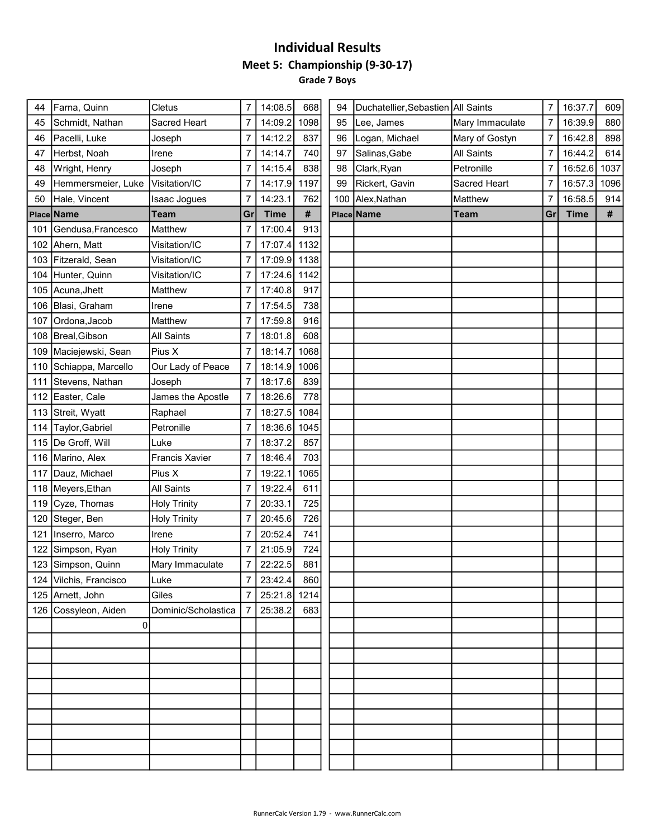#### Individual Results Meet 5: Championship (9-30-17) Grade 7 Boys

| 609<br>16:37.7  |
|-----------------|
| 16:39.9<br>880  |
| 898<br>16:42.8  |
| 614<br>16:44.2  |
| 16:52.6<br>1037 |
| 16:57.3<br>1096 |
| 16:58.5<br>914  |
| #               |
|                 |
|                 |
|                 |
|                 |
|                 |
|                 |
|                 |
|                 |
|                 |
|                 |
|                 |
|                 |
|                 |
|                 |
|                 |
|                 |
|                 |
|                 |
|                 |
|                 |
|                 |
|                 |
|                 |
|                 |
|                 |
|                 |
|                 |
|                 |
|                 |
|                 |
|                 |
|                 |
|                 |
|                 |
|                 |
|                 |
|                 |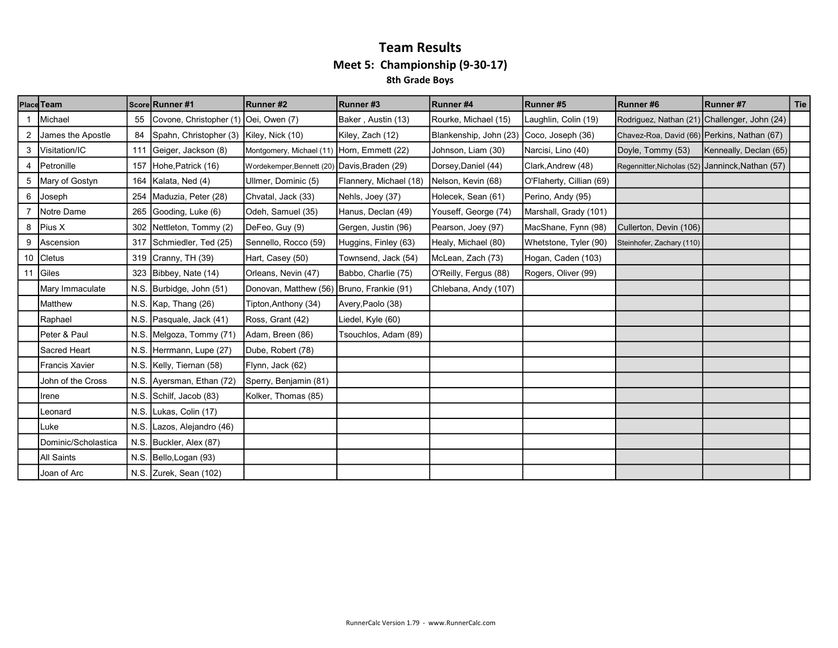#### Team Results Meet 5: Championship (9-30-17) 8th Grade Boys

|    | <b>Place Team</b>     |      | Score Runner #1           | Runner#2                                     | Runner#3               | Runner #4              | Runner#5                 | Runner#6                                         | Runner #7                                    | <b>Tie</b> |
|----|-----------------------|------|---------------------------|----------------------------------------------|------------------------|------------------------|--------------------------|--------------------------------------------------|----------------------------------------------|------------|
|    | Michael               | 55   | Covone, Christopher (1)   | Oei, Owen (7)                                | Baker, Austin (13)     | Rourke, Michael (15)   | Laughlin, Colin (19)     |                                                  | Rodriguez, Nathan (21) Challenger, John (24) |            |
|    | James the Apostle     | 84   | Spahn, Christopher (3)    | Kiley, Nick (10)                             | Kiley, Zach (12)       | Blankenship, John (23) | Coco, Joseph (36)        | Chavez-Roa, David (66) Perkins, Nathan (67)      |                                              |            |
| 3  | Visitation/IC         | 111  | Geiger, Jackson (8)       | Montgomery, Michael (11) Horn, Emmett (22)   |                        | Johnson, Liam (30)     | Narcisi, Lino (40)       | Doyle, Tommy (53)                                | Kenneally, Declan (65)                       |            |
| 4  | Petronille            | 157  | Hohe, Patrick (16)        | Wordekemper, Bennett (20) Davis, Braden (29) |                        | Dorsey, Daniel (44)    | Clark, Andrew (48)       | Regennitter, Nicholas (52) Janninck, Nathan (57) |                                              |            |
| 5  | Mary of Gostyn        | 164  | Kalata, Ned (4)           | Ullmer, Dominic (5)                          | Flannery, Michael (18) | Nelson, Kevin (68)     | O'Flaherty, Cillian (69) |                                                  |                                              |            |
| 6  | Joseph                | 254  | Maduzia, Peter (28)       | Chvatal, Jack (33)                           | Nehls, Joey (37)       | Holecek, Sean (61)     | Perino, Andy (95)        |                                                  |                                              |            |
|    | Notre Dame            | 265  | Gooding, Luke (6)         | Odeh, Samuel (35)                            | Hanus, Declan (49)     | Youseff, George (74)   | Marshall, Grady (101)    |                                                  |                                              |            |
| 8  | Pius X                | 302  | Nettleton, Tommy (2)      | DeFeo, Guy (9)                               | Gergen, Justin (96)    | Pearson, Joey (97)     | MacShane, Fynn (98)      | Cullerton, Devin (106)                           |                                              |            |
| 9  | Ascension             | 317  | Schmiedler, Ted (25)      | Sennello, Rocco (59)                         | Huggins, Finley (63)   | Healy, Michael (80)    | Whetstone, Tyler (90)    | Steinhofer, Zachary (110)                        |                                              |            |
|    | 10 Cletus             | 319  | Cranny, TH (39)           | Hart, Casey (50)                             | Townsend, Jack (54)    | McLean, Zach (73)      | Hogan, Caden (103)       |                                                  |                                              |            |
| 11 | Giles                 | 323  | Bibbey, Nate (14)         | Orleans, Nevin (47)                          | Babbo, Charlie (75)    | O'Reilly, Fergus (88)  | Rogers, Oliver (99)      |                                                  |                                              |            |
|    | Mary Immaculate       | N.S. | Burbidge, John (51)       | Donovan, Matthew (56) Bruno, Frankie (91)    |                        | Chlebana, Andy (107)   |                          |                                                  |                                              |            |
|    | Matthew               |      | N.S. Kap, Thang (26)      | Tipton, Anthony (34)                         | Avery, Paolo (38)      |                        |                          |                                                  |                                              |            |
|    | Raphael               | N.S. | Pasquale, Jack (41)       | Ross, Grant (42)                             | Liedel, Kyle (60)      |                        |                          |                                                  |                                              |            |
|    | Peter & Paul          | N.S  | Melgoza, Tommy (71)       | Adam, Breen (86)                             | Tsouchlos, Adam (89)   |                        |                          |                                                  |                                              |            |
|    | Sacred Heart          | N.S. | Herrmann, Lupe (27)       | Dube, Robert (78)                            |                        |                        |                          |                                                  |                                              |            |
|    | <b>Francis Xavier</b> |      | N.S. Kelly, Tiernan (58)  | Flynn, Jack (62)                             |                        |                        |                          |                                                  |                                              |            |
|    | John of the Cross     |      | N.S. Ayersman, Ethan (72) | Sperry, Benjamin (81)                        |                        |                        |                          |                                                  |                                              |            |
|    | Irene                 |      | N.S. Schilf, Jacob (83)   | Kolker, Thomas (85)                          |                        |                        |                          |                                                  |                                              |            |
|    | Leonard               |      | N.S. Lukas, Colin (17)    |                                              |                        |                        |                          |                                                  |                                              |            |
|    | Luke                  | N.S. | Lazos, Alejandro (46)     |                                              |                        |                        |                          |                                                  |                                              |            |
|    | Dominic/Scholastica   |      | N.S. Buckler, Alex (87)   |                                              |                        |                        |                          |                                                  |                                              |            |
|    | <b>All Saints</b>     |      | N.S. Bello, Logan (93)    |                                              |                        |                        |                          |                                                  |                                              |            |
|    | Joan of Arc           |      | N.S. Zurek, Sean (102)    |                                              |                        |                        |                          |                                                  |                                              |            |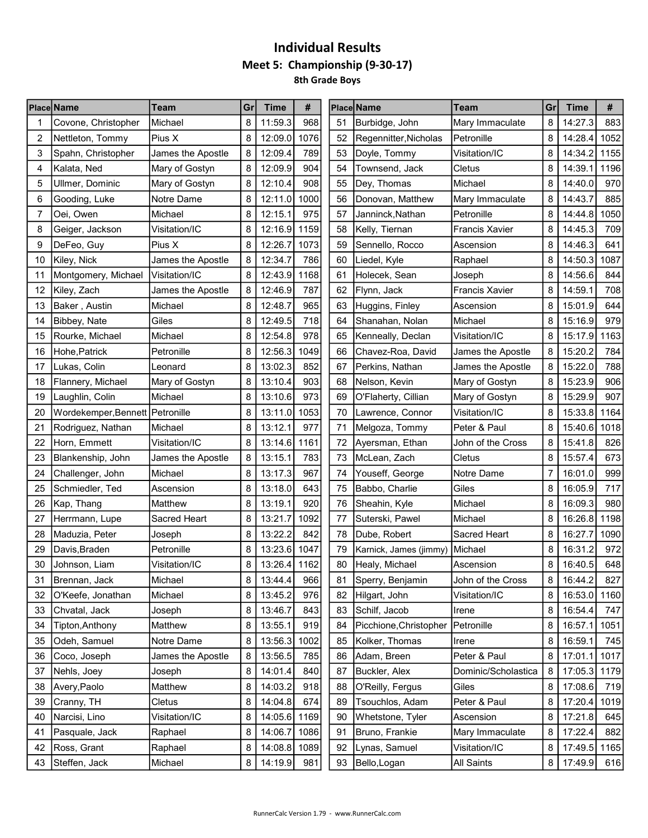## Individual Results Meet 5: Championship (9-30-17) 8th Grade Boys

|    | Place Name                        | Team                | Gr | <b>Time</b>  | #    |    | Place Name             | Team                  | Gr | <b>Time</b> | #    |
|----|-----------------------------------|---------------------|----|--------------|------|----|------------------------|-----------------------|----|-------------|------|
|    | Covone, Christopher               | Michael             | 8  | 11:59.3      | 968  | 51 | Burbidge, John         | Mary Immaculate       | 8  | 14:27.3     | 883  |
| 2  | Nettleton, Tommy                  | Pius X              | 8  | 12:09.0      | 1076 | 52 | Regennitter, Nicholas  | Petronille            | 8  | 14:28.4     | 1052 |
| 3  | Spahn, Christopher                | James the Apostle   | 8  | 12:09.4      | 789  | 53 | Doyle, Tommy           | Visitation/IC         | 8  | 14:34.2     | 1155 |
| 4  | Kalata, Ned                       | Mary of Gostyn      | 8  | 12:09.9      | 904  | 54 | Townsend, Jack         | Cletus                | 8  | 14:39.1     | 1196 |
| 5  | Ullmer, Dominic                   | Mary of Gostyn      | 8  | 12:10.4      | 908  | 55 | Dey, Thomas            | Michael               | 8  | 14:40.0     | 970  |
| 6  | Gooding, Luke                     | Notre Dame          | 8  | 12:11.0      | 1000 | 56 | Donovan, Matthew       | Mary Immaculate       | 8  | 14:43.7     | 885  |
| 7  | Oei, Owen                         | Michael             | 8  | 12:15.1      | 975  | 57 | Janninck, Nathan       | Petronille            | 8  | 14:44.8     | 1050 |
| 8  | Geiger, Jackson                   | Visitation/IC       | 8  | 12:16.9      | 1159 | 58 | Kelly, Tiernan         | <b>Francis Xavier</b> | 8  | 14:45.3     | 709  |
| 9  | DeFeo, Guy                        | Pius X              | 8  | 12:26.7      | 1073 | 59 | Sennello, Rocco        | Ascension             | 8  | 14:46.3     | 641  |
| 10 | Kiley, Nick                       | James the Apostle   | 8  | 12:34.7      | 786  | 60 | Liedel, Kyle           | Raphael               | 8  | 14:50.3     | 1087 |
| 11 | Montgomery, Michael               | Visitation/IC       | 8  | 12:43.9      | 1168 | 61 | Holecek, Sean          | Joseph                | 8  | 14:56.6     | 844  |
| 12 | Kiley, Zach                       | James the Apostle   | 8  | 12:46.9      | 787  | 62 | Flynn, Jack            | <b>Francis Xavier</b> | 8  | 14:59.1     | 708  |
| 13 | Baker, Austin                     | Michael             | 8  | 12:48.7      | 965  | 63 | Huggins, Finley        | Ascension             | 8  | 15:01.9     | 644  |
| 14 | Bibbey, Nate                      | Giles               | 8  | 12:49.5      | 718  | 64 | Shanahan, Nolan        | Michael               | 8  | 15:16.9     | 979  |
| 15 | Rourke, Michael                   | Michael             | 8  | 12:54.8      | 978  | 65 | Kenneally, Declan      | Visitation/IC         | 8  | 15:17.9     | 1163 |
| 16 | Hohe, Patrick                     | Petronille          | 8  | 12:56.3      | 1049 | 66 | Chavez-Roa, David      | James the Apostle     | 8  | 15:20.2     | 784  |
| 17 | Lukas, Colin                      | Leonard             | 8  | 13:02.3      | 852  | 67 | Perkins, Nathan        | James the Apostle     | 8  | 15:22.0     | 788  |
| 18 | Flannery, Michael                 | Mary of Gostyn      | 8  | 13:10.4      | 903  | 68 | Nelson, Kevin          | Mary of Gostyn        | 8  | 15:23.9     | 906  |
| 19 | Laughlin, Colin                   | Michael             | 8  | 13:10.6      | 973  | 69 | O'Flaherty, Cillian    | Mary of Gostyn        | 8  | 15:29.9     | 907  |
| 20 | Wordekemper, Bennett   Petronille |                     | 8  | 13:11.0      | 1053 | 70 | Lawrence, Connor       | Visitation/IC         | 8  | 15:33.8     | 1164 |
| 21 | Rodriguez, Nathan                 | Michael             | 8  | 13:12.1      | 977  | 71 | Melgoza, Tommy         | Peter & Paul          | 8  | 15:40.6     | 1018 |
| 22 | Horn, Emmett                      | Visitation/IC       | 8  | 13:14.6      | 1161 | 72 | Ayersman, Ethan        | John of the Cross     | 8  | 15:41.8     | 826  |
| 23 | Blankenship, John                 | James the Apostle   | 8  | 13:15.1      | 783  | 73 | McLean, Zach           | Cletus                | 8  | 15:57.4     | 673  |
| 24 | Challenger, John                  | Michael             | 8  | 13:17.3      | 967  | 74 | Youseff, George        | Notre Dame            | 7  | 16:01.0     | 999  |
| 25 | Schmiedler, Ted                   | Ascension           | 8  | 13:18.0      | 643  | 75 | Babbo, Charlie         | Giles                 | 8  | 16:05.9     | 717  |
| 26 | Kap, Thang                        | Matthew             | 8  | 13:19.1      | 920  | 76 | Sheahin, Kyle          | Michael               | 8  | 16:09.3     | 980  |
| 27 | Herrmann, Lupe                    | <b>Sacred Heart</b> | 8  | 13:21.7      | 1092 | 77 | Suterski, Pawel        | Michael               | 8  | 16:26.8     | 1198 |
| 28 | Maduzia, Peter                    | Joseph              | 8  | 13:22.2      | 842  | 78 | Dube, Robert           | Sacred Heart          | 8  | 16:27.7     | 1090 |
| 29 | Davis, Braden                     | Petronille          | 8  | 13:23.6      | 1047 | 79 | Karnick, James (jimmy) | Michael               | 8  | 16:31.2     | 972  |
| 30 | Johnson, Liam                     | Visitation/IC       | 8  | 13:26.4      | 1162 | 80 | Healy, Michael         | Ascension             | 8  | 16:40.5     | 648  |
| 31 | Brennan, Jack                     | Michael             | 8  | 13:44.4      | 966  | 81 | Sperry, Benjamin       | John of the Cross     | 8  | 16:44.2     | 827  |
| 32 | O'Keefe, Jonathan                 | Michael             | 8  | 13:45.2      | 976  | 82 | Hilgart, John          | Visitation/IC         | 8  | 16:53.0     | 1160 |
| 33 | Chvatal, Jack                     | Joseph              | 8  | 13:46.7      | 843  | 83 | Schilf, Jacob          | Irene                 | 8  | 16:54.4     | 747  |
| 34 | Tipton, Anthony                   | Matthew             | 8  | 13:55.1      | 919  | 84 | Picchione, Christopher | Petronille            | 8  | 16:57.1     | 1051 |
| 35 | Odeh, Samuel                      | Notre Dame          | 8  | 13:56.3      | 1002 | 85 | Kolker, Thomas         | Irene                 | 8  | 16:59.1     | 745  |
| 36 | Coco, Joseph                      | James the Apostle   | 8  | 13:56.5      | 785  | 86 | Adam, Breen            | Peter & Paul          | 8  | 17:01.1     | 1017 |
| 37 | Nehls, Joey                       | Joseph              | 8  | 14:01.4      | 840  | 87 | Buckler, Alex          | Dominic/Scholastica   | 8  | 17:05.3     | 1179 |
| 38 | Avery, Paolo                      | Matthew             | 8  | 14:03.2      | 918  | 88 | O'Reilly, Fergus       | Giles                 | 8  | 17:08.6     | 719  |
| 39 | Cranny, TH                        | Cletus              | 8  | 14:04.8      | 674  | 89 | Tsouchlos, Adam        | Peter & Paul          | 8  | 17:20.4     | 1019 |
| 40 | Narcisi, Lino                     | Visitation/IC       | 8  | 14:05.6      | 1169 | 90 | Whetstone, Tyler       | Ascension             | 8  | 17:21.8     | 645  |
| 41 | Pasquale, Jack                    | Raphael             | 8  | 14:06.7      | 1086 | 91 | Bruno, Frankie         | Mary Immaculate       | 8  | 17:22.4     | 882  |
| 42 | Ross, Grant                       | Raphael             | 8  | 14:08.8 1089 |      | 92 | Lynas, Samuel          | Visitation/IC         | 8  | 17:49.5     | 1165 |
| 43 | Steffen, Jack                     | Michael             | 8  | 14:19.9      | 981  | 93 | Bello, Logan           | All Saints            | 8  | 17:49.9     | 616  |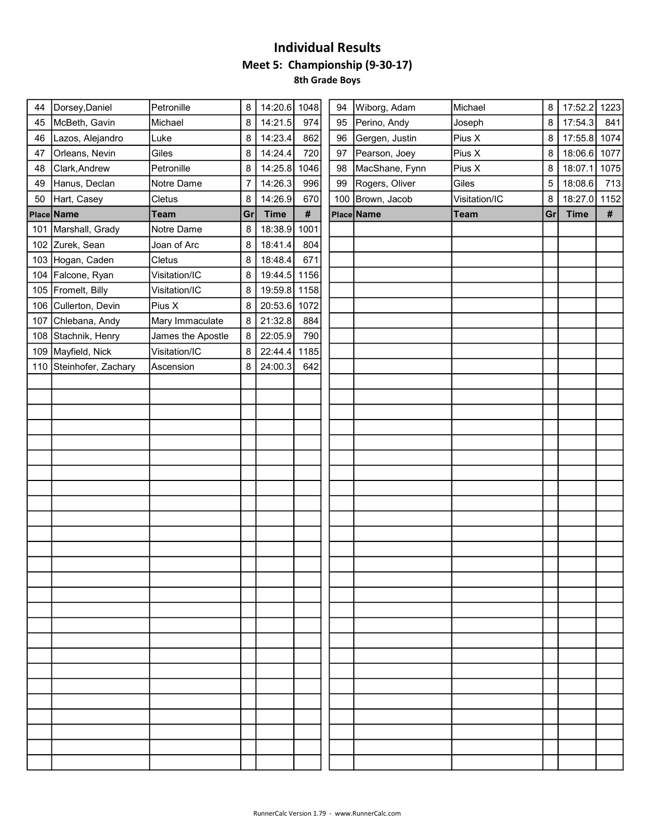## Individual Results Meet 5: Championship (9-30-17) 8th Grade Boys

| 44 | Dorsey, Daniel          | Petronille        | 8  | 14:20.6 1048 |      | 94 | Wiborg, Adam     | Michael       | 8  | 17:52.2 1223 |      |
|----|-------------------------|-------------------|----|--------------|------|----|------------------|---------------|----|--------------|------|
| 45 | McBeth, Gavin           | Michael           | 8  | 14:21.5      | 974  | 95 | Perino, Andy     | Joseph        | 8  | 17:54.3      | 841  |
| 46 | Lazos, Alejandro        | Luke              | 8  | 14:23.4      | 862  | 96 | Gergen, Justin   | Pius X        | 8  | 17:55.8 1074 |      |
| 47 | Orleans, Nevin          | Giles             | 8  | 14:24.4      | 720  | 97 | Pearson, Joey    | Pius X        | 8  | 18:06.6      | 1077 |
| 48 | Clark, Andrew           | Petronille        | 8  | 14:25.8 1046 |      | 98 | MacShane, Fynn   | Pius X        | 8  | 18:07.1      | 1075 |
| 49 | Hanus, Declan           | Notre Dame        | 7  | 14:26.3      | 996  | 99 | Rogers, Oliver   | Giles         | 5  | 18:08.6      | 713  |
| 50 | Hart, Casey             | Cletus            | 8  | 14:26.9      | 670  |    | 100 Brown, Jacob | Visitation/IC | 8  | 18:27.0 1152 |      |
|    | Place Name              | <b>Team</b>       | Gr | <b>Time</b>  | $\#$ |    | Place Name       | <b>Team</b>   | Gr | <b>Time</b>  | #    |
|    | 101 Marshall, Grady     | Notre Dame        | 8  | 18:38.9      | 1001 |    |                  |               |    |              |      |
|    | 102 Zurek, Sean         | Joan of Arc       | 8  | 18:41.4      | 804  |    |                  |               |    |              |      |
|    | 103 Hogan, Caden        | Cletus            | 8  | 18:48.4      | 671  |    |                  |               |    |              |      |
|    | 104 Falcone, Ryan       | Visitation/IC     | 8  | 19:44.5 1156 |      |    |                  |               |    |              |      |
|    | 105 Fromelt, Billy      | Visitation/IC     | 8  | 19:59.8 1158 |      |    |                  |               |    |              |      |
|    | 106 Cullerton, Devin    | Pius X            | 8  | 20:53.6      | 1072 |    |                  |               |    |              |      |
|    | 107 Chlebana, Andy      | Mary Immaculate   | 8  | 21:32.8      | 884  |    |                  |               |    |              |      |
|    | 108 Stachnik, Henry     | James the Apostle | 8  | 22:05.9      | 790  |    |                  |               |    |              |      |
|    | 109 Mayfield, Nick      | Visitation/IC     | 8  | 22:44.4      | 1185 |    |                  |               |    |              |      |
|    | 110 Steinhofer, Zachary | Ascension         | 8  | 24:00.3      | 642  |    |                  |               |    |              |      |
|    |                         |                   |    |              |      |    |                  |               |    |              |      |
|    |                         |                   |    |              |      |    |                  |               |    |              |      |
|    |                         |                   |    |              |      |    |                  |               |    |              |      |
|    |                         |                   |    |              |      |    |                  |               |    |              |      |
|    |                         |                   |    |              |      |    |                  |               |    |              |      |
|    |                         |                   |    |              |      |    |                  |               |    |              |      |
|    |                         |                   |    |              |      |    |                  |               |    |              |      |
|    |                         |                   |    |              |      |    |                  |               |    |              |      |
|    |                         |                   |    |              |      |    |                  |               |    |              |      |
|    |                         |                   |    |              |      |    |                  |               |    |              |      |
|    |                         |                   |    |              |      |    |                  |               |    |              |      |
|    |                         |                   |    |              |      |    |                  |               |    |              |      |
|    |                         |                   |    |              |      |    |                  |               |    |              |      |
|    |                         |                   |    |              |      |    |                  |               |    |              |      |
|    |                         |                   |    |              |      |    |                  |               |    |              |      |
|    |                         |                   |    |              |      |    |                  |               |    |              |      |
|    |                         |                   |    |              |      |    |                  |               |    |              |      |
|    |                         |                   |    |              |      |    |                  |               |    |              |      |
|    |                         |                   |    |              |      |    |                  |               |    |              |      |
|    |                         |                   |    |              |      |    |                  |               |    |              |      |
|    |                         |                   |    |              |      |    |                  |               |    |              |      |
|    |                         |                   |    |              |      |    |                  |               |    |              |      |
|    |                         |                   |    |              |      |    |                  |               |    |              |      |
|    |                         |                   |    |              |      |    |                  |               |    |              |      |
|    |                         |                   |    |              |      |    |                  |               |    |              |      |
|    |                         |                   |    |              |      |    |                  |               |    |              |      |
|    |                         |                   |    |              |      |    |                  |               |    |              |      |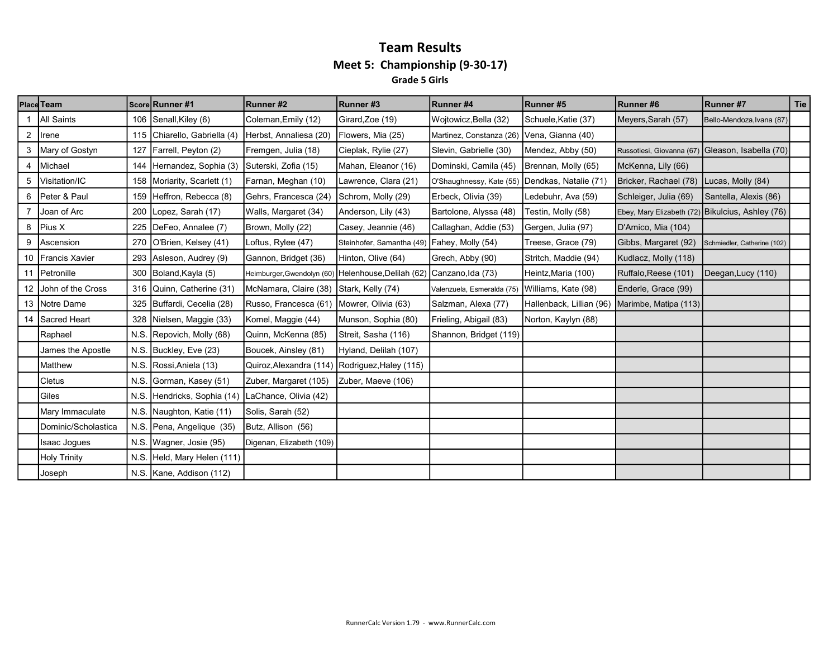#### Team Results Meet 5: Championship (9-30-17) Grade 5 Girls

|                | <b>Place Team</b>    |     | Score Runner #1              | Runner#2                                            | Runner#3                                    | Runner#4                                       | Runner#5                 | Runner#6                                         | Runner #7                   | Tie |
|----------------|----------------------|-----|------------------------------|-----------------------------------------------------|---------------------------------------------|------------------------------------------------|--------------------------|--------------------------------------------------|-----------------------------|-----|
|                | All Saints           |     | 106 Senall, Kiley (6)        | Coleman, Emily (12)                                 | Girard, Zoe (19)                            | Wojtowicz, Bella (32)                          | Schuele, Katie (37)      | Meyers, Sarah (57)                               | Bello-Mendoza, Ivana (87)   |     |
| $\overline{2}$ | Irene                |     | 115 Chiarello, Gabriella (4) | Herbst, Annaliesa (20)                              | Flowers, Mia (25)                           | Martinez, Constanza (26)                       | Vena, Gianna (40)        |                                                  |                             |     |
| 3              | Mary of Gostyn       | 127 | Farrell, Peyton (2)          | Fremgen, Julia (18)                                 | Cieplak, Rylie (27)                         | Slevin, Gabrielle (30)                         | Mendez, Abby (50)        | Russotiesi, Giovanna (67) Gleason, Isabella (70) |                             |     |
| 4              | Michael              |     | 144 Hernandez, Sophia (3)    | Suterski, Zofia (15)                                | Mahan, Eleanor (16)                         | Dominski, Camila (45)                          | Brennan, Molly (65)      | McKenna, Lily (66)                               |                             |     |
| 5              | Visitation/IC        |     | 158 Moriarity, Scarlett (1)  | Farnan, Meghan (10)                                 | Lawrence, Clara (21)                        | O'Shaughnessy, Kate (55) Dendkas, Natalie (71) |                          | Bricker, Rachael (78)                            | Lucas, Molly (84)           |     |
| 6              | Peter & Paul         | 159 | Heffron, Rebecca (8)         | Gehrs, Francesca (24)                               | Schrom, Molly (29)                          | Erbeck, Olivia (39)                            | Ledebuhr, Ava (59)       | Schleiger, Julia (69)                            | Santella, Alexis (86)       |     |
|                | Joan of Arc          | 200 | Lopez, Sarah (17)            | Walls, Margaret (34)                                | Anderson, Lily (43)                         | Bartolone, Alyssa (48)                         | Testin, Molly (58)       | Ebey, Mary Elizabeth (72) Bikulcius, Ashley (76) |                             |     |
| 8              | Pius X               |     | 225   DeFeo, Annalee (7)     | Brown, Molly (22)                                   | Casey, Jeannie (46)                         | Callaghan, Addie (53)                          | Gergen, Julia (97)       | D'Amico, Mia (104)                               |                             |     |
| 9              | Ascension            | 270 | O'Brien, Kelsey (41)         | Loftus, Rylee (47)                                  | Steinhofer, Samantha (49) Fahey, Molly (54) |                                                | Treese, Grace (79)       | Gibbs, Margaret (92)                             | Schmiedler, Catherine (102) |     |
|                | 10 Francis Xavier    |     | 293 Asleson, Audrey (9)      | Gannon, Bridget (36)                                | Hinton, Olive (64)                          | Grech, Abby (90)                               | Stritch, Maddie (94)     | Kudlacz, Molly (118)                             |                             |     |
|                | 11   Petronille      |     | 300 Boland, Kayla (5)        | Heimburger, Gwendolyn (60) Helenhouse, Delilah (62) |                                             | Canzano, Ida (73)                              | Heintz, Maria (100)      | Ruffalo, Reese (101)                             | Deegan, Lucy (110)          |     |
|                | 12 John of the Cross |     | 316 Quinn, Catherine (31)    | McNamara, Claire (38) Stark, Kelly (74)             |                                             | Valenzuela, Esmeralda (75) Williams, Kate (98) |                          | Enderle, Grace (99)                              |                             |     |
|                | 13 Notre Dame        |     | 325 Buffardi, Cecelia (28)   | Russo, Francesca (61) Mowrer, Olivia (63)           |                                             | Salzman, Alexa (77)                            | Hallenback, Lillian (96) | Marimbe, Matipa (113)                            |                             |     |
|                | 14 Sacred Heart      |     | 328 Nielsen, Maggie (33)     | Komel, Maggie (44)                                  | Munson, Sophia (80)                         | Frieling, Abigail (83)                         | Norton, Kaylyn (88)      |                                                  |                             |     |
|                | Raphael              |     | N.S. Repovich, Molly (68)    | Quinn, McKenna (85)                                 | Streit, Sasha (116)                         | Shannon, Bridget (119)                         |                          |                                                  |                             |     |
|                | James the Apostle    |     | N.S. Buckley, Eve (23)       | Boucek, Ainsley (81)                                | Hyland, Delilah (107)                       |                                                |                          |                                                  |                             |     |
|                | Matthew              |     | N.S. Rossi, Aniela (13)      | Quiroz, Alexandra (114) Rodriguez, Haley (115)      |                                             |                                                |                          |                                                  |                             |     |
|                | Cletus               |     | N.S. Gorman, Kasey (51)      | Zuber, Margaret (105) Zuber, Maeve (106)            |                                             |                                                |                          |                                                  |                             |     |
|                | Giles                |     | N.S. Hendricks, Sophia (14)  | LaChance, Olivia (42)                               |                                             |                                                |                          |                                                  |                             |     |
|                | Mary Immaculate      |     | N.S. Naughton, Katie (11)    | Solis, Sarah (52)                                   |                                             |                                                |                          |                                                  |                             |     |
|                | Dominic/Scholastica  |     | N.S. Pena, Angelique (35)    | Butz, Allison (56)                                  |                                             |                                                |                          |                                                  |                             |     |
|                | Isaac Jogues         |     | N.S. Wagner, Josie (95)      | Digenan, Elizabeth (109)                            |                                             |                                                |                          |                                                  |                             |     |
|                | <b>Holy Trinity</b>  |     | N.S. Held, Mary Helen (111)  |                                                     |                                             |                                                |                          |                                                  |                             |     |
|                | Joseph               |     | N.S. Kane, Addison (112)     |                                                     |                                             |                                                |                          |                                                  |                             |     |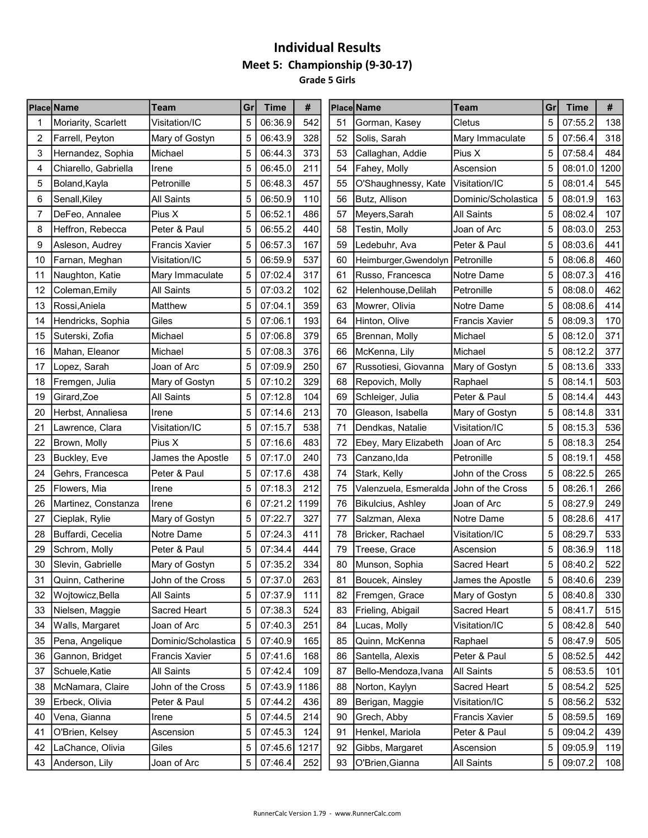#### Individual Results Meet 5: Championship (9-30-17) Grade 5 Girls

| 5<br>5<br>06:36.9<br>542<br>07:55.2<br>138<br>Moriarity, Scarlett<br>Visitation/IC<br>51<br>Gorman, Kasey<br>Cletus<br>5<br>06:43.9<br>328<br>5<br>318<br>2<br>Farrell, Peyton<br>Mary of Gostyn<br>52<br>Solis, Sarah<br>Mary Immaculate<br>07:56.4<br>5<br>484<br>373<br>53<br>5<br>3<br>Hernandez, Sophia<br>Michael<br>06:44.3<br>Callaghan, Addie<br>Pius X<br>07:58.4<br>5<br>5<br>1200<br>06:45.0<br>211<br>54<br>08:01.0<br>4<br>Chiarello, Gabriella<br>Fahey, Molly<br>Ascension<br>Irene<br>545<br>Petronille<br>5<br>06:48.3<br>457<br>5<br>08:01.4<br>5<br>55<br>O'Shaughnessy, Kate<br>Visitation/IC<br> Boland,Kayla<br>5<br>06:50.9<br>5<br>08:01.9<br>163<br>6<br>Senall,Kiley<br><b>All Saints</b><br>110<br>56<br>Butz, Allison<br>Dominic/Scholastica<br>5<br>06:52.1<br>486<br>5<br>7<br>DeFeo, Annalee<br>Pius X<br>57<br>Meyers, Sarah<br>All Saints<br>08:02.4<br>5<br>5<br>253<br>Peter & Paul<br>06:55.2<br>440<br>58<br>8<br>Heffron, Rebecca<br>Joan of Arc<br>08:03.0<br>Testin, Molly<br>5<br>5<br>08:03.6<br><b>Francis Xavier</b><br>06:57.3<br>167<br>59<br>Peter & Paul<br>9<br>Ledebuhr, Ava<br>Asleson, Audrey<br>5<br>06:59.9<br>537<br>Heimburger, Gwendolyn Petronille<br>5<br>08:06.8<br>Farnan, Meghan<br>Visitation/IC<br>60<br>10<br>416<br>5<br>07:02.4<br>317<br>5<br>08:07.3<br>Naughton, Katie<br>61<br>Russo, Francesca<br>11<br>Mary Immaculate<br>Notre Dame<br>5<br>462<br>5<br>07:03.2<br>102<br>12<br><b>All Saints</b><br>62<br>Petronille<br>08:08.0<br>Coleman, Emily<br>Helenhouse, Delilah<br>5<br>5<br>359<br>63<br>08:08.6<br>13<br>Rossi, Aniela<br>Matthew<br>07:04.1<br>Mowrer, Olivia<br>Notre Dame<br>5<br>5<br>170<br>Giles<br>07:06.1<br>193<br><b>Francis Xavier</b><br>08:09.3<br>Hendricks, Sophia<br>64<br>Hinton, Olive<br>14<br>5<br>07:06.8<br>379<br>5<br>371<br>Suterski, Zofia<br>Michael<br>65<br>Brennan, Molly<br>Michael<br>08:12.0<br>15<br>5<br>07:08.3<br>376<br>5<br>08:12.2<br>Mahan, Eleanor<br>66<br>McKenna, Lily<br>Michael<br>16<br>Michael<br>5<br>5<br>333<br>07:09.9<br>Lopez, Sarah<br>Joan of Arc<br>250<br>67<br>Russotiesi, Giovanna<br>08:13.6<br>17<br>Mary of Gostyn<br>5<br>329<br>5<br>503<br>07:10.2<br>Mary of Gostyn<br>68<br>Repovich, Molly<br>Raphael<br>08:14.1<br>18<br>Fremgen, Julia<br>5<br>07:12.8<br>5<br>443<br>19<br>Girard, Zoe<br><b>All Saints</b><br>104<br>69<br>Peter & Paul<br>08:14.4<br>Schleiger, Julia<br>213<br>5<br>07:14.6<br>5<br>08:14.8<br>20<br>Herbst, Annaliesa<br>70<br>Gleason, Isabella<br>Mary of Gostyn<br>Irene<br>536<br>5<br>07:15.7<br>538<br>71<br>5<br>08:15.3<br>21<br>Lawrence, Clara<br>Visitation/IC<br>Dendkas, Natalie<br>Visitation/IC<br>5<br>5<br>254<br>Pius X<br>07:16.6<br>483<br>08:18.3<br>22<br>72<br>Brown, Molly<br>Ebey, Mary Elizabeth<br>Joan of Arc<br>5<br>73<br>5<br>458<br>23<br>07:17.0<br>240<br>Buckley, Eve<br>Canzano, Ida<br>Petronille<br>08:19.1<br>James the Apostle<br>5<br>5<br>08:22.5<br>265<br>Peter & Paul<br>07:17.6<br>438<br>74<br>John of the Cross<br>24<br>Gehrs, Francesca<br>Stark, Kelly<br>212<br>5<br>07:18.3<br>5<br>08:26.1<br>25<br>Flowers, Mia<br>75<br>Valenzuela, Esmeralda John of the Cross<br>Irene<br>249<br>6<br>07:21.2<br>5<br>08:27.9<br>Martinez, Constanza<br>1199<br>76<br>Bikulcius, Ashley<br>Joan of Arc<br>26<br>Irene<br>5<br>5<br>07:22.7<br>327<br>08:28.6<br>27<br>Mary of Gostyn<br>77<br>Cieplak, Rylie<br>Salzman, Alexa<br>Notre Dame<br>5<br>5<br>533<br>07:24.3<br>411<br>78<br>08:29.7<br>28<br>Buffardi, Cecelia<br>Notre Dame<br>Bricker, Rachael<br>Visitation/IC<br>5<br>07:34.4<br>5<br>118<br>Peter & Paul<br>444<br>79<br>08:36.9<br>29<br>Schrom, Molly<br>Treese, Grace<br>Ascension<br>334<br>5<br>07:35.2<br>80<br>5<br>08:40.2<br>522<br>30<br>Slevin, Gabrielle<br>Mary of Gostyn<br>Munson, Sophia<br><b>Sacred Heart</b><br>07:37.0<br>James the Apostle<br>08:40.6<br>239<br>John of the Cross<br>Boucek, Ainsley<br>Quinn, Catherine<br>263<br>31<br>5<br>5<br>81<br>All Saints<br>5<br>07:37.9<br>08:40.8<br>32<br>Wojtowicz, Bella<br>111<br>Fremgen, Grace<br>Mary of Gostyn<br>5<br>82<br>Sacred Heart<br>5<br>07:38.3<br>524<br>Frieling, Abigail<br>Sacred Heart<br>5<br>33<br>Nielsen, Maggie<br>83<br>08:41.7<br>07:40.3<br>Visitation/IC<br>Walls, Margaret<br>Joan of Arc<br>5<br>251<br>Lucas, Molly<br>5<br>08:42.8<br>34<br>84<br>07:40.9<br>Dominic/Scholastica<br>165<br>Quinn, McKenna<br>5<br>08:47.9<br>505<br>35<br>Pena, Angelique<br>5<br>85<br>Raphael<br>5<br>07:41.6<br>Santella, Alexis<br>Peter & Paul<br>5<br>08:52.5<br>Gannon, Bridget<br><b>Francis Xavier</b><br>168<br>86<br>36<br>Schuele, Katie<br>All Saints<br>5<br>07:42.4<br><b>All Saints</b><br>5<br>08:53.5<br>109<br>87<br>Bello-Mendoza, Ivana<br>37<br>McNamara, Claire<br>John of the Cross<br>5<br>07:43.9<br>1186<br>Sacred Heart<br>5<br>08:54.2<br>38<br>88<br>Norton, Kaylyn<br>Erbeck, Olivia<br>07:44.2<br>Visitation/IC<br>08:56.2<br>Peter & Paul<br>5<br>436<br>Berigan, Maggie<br>5<br>39<br>89<br>07:44.5<br>214<br>Vena, Gianna<br>5<br>5<br>08:59.5<br>40<br>90<br>Grech, Abby<br><b>Francis Xavier</b><br>Irene<br>O'Brien, Kelsey<br>5<br>07:45.3<br>Peter & Paul<br>5<br>09:04.2<br>439<br>41<br>Ascension<br>124<br>91<br>Henkel, Mariola<br>LaChance, Olivia<br>5<br>07:45.6<br>5<br>09:05.9<br>Giles<br>1217<br>Gibbs, Margaret<br>Ascension<br>42<br>92 |    | <b>Place Name</b> | Team        | Gr | <b>Time</b> | #   |    | <b>Place Name</b> | <b>Team</b> | Gr | <b>Time</b> | #   |
|------------------------------------------------------------------------------------------------------------------------------------------------------------------------------------------------------------------------------------------------------------------------------------------------------------------------------------------------------------------------------------------------------------------------------------------------------------------------------------------------------------------------------------------------------------------------------------------------------------------------------------------------------------------------------------------------------------------------------------------------------------------------------------------------------------------------------------------------------------------------------------------------------------------------------------------------------------------------------------------------------------------------------------------------------------------------------------------------------------------------------------------------------------------------------------------------------------------------------------------------------------------------------------------------------------------------------------------------------------------------------------------------------------------------------------------------------------------------------------------------------------------------------------------------------------------------------------------------------------------------------------------------------------------------------------------------------------------------------------------------------------------------------------------------------------------------------------------------------------------------------------------------------------------------------------------------------------------------------------------------------------------------------------------------------------------------------------------------------------------------------------------------------------------------------------------------------------------------------------------------------------------------------------------------------------------------------------------------------------------------------------------------------------------------------------------------------------------------------------------------------------------------------------------------------------------------------------------------------------------------------------------------------------------------------------------------------------------------------------------------------------------------------------------------------------------------------------------------------------------------------------------------------------------------------------------------------------------------------------------------------------------------------------------------------------------------------------------------------------------------------------------------------------------------------------------------------------------------------------------------------------------------------------------------------------------------------------------------------------------------------------------------------------------------------------------------------------------------------------------------------------------------------------------------------------------------------------------------------------------------------------------------------------------------------------------------------------------------------------------------------------------------------------------------------------------------------------------------------------------------------------------------------------------------------------------------------------------------------------------------------------------------------------------------------------------------------------------------------------------------------------------------------------------------------------------------------------------------------------------------------------------------------------------------------------------------------------------------------------------------------------------------------------------------------------------------------------------------------------------------------------------------------------------------------------------------------------------------------------------------------------------------------------------------------------------------------------------------------------------------------------------------------------------------------------------------------------------------------------------------------------------------------------------------------------------------------------------------------------------------------------------------------------------------------------------------------------------------------------------------------------------------------------------------------------------------------------------------------------------------------------------------------------------------------------------------------------------------------------------------------------------------------------------------------------|----|-------------------|-------------|----|-------------|-----|----|-------------------|-------------|----|-------------|-----|
| 107<br>441<br>460<br>414<br>377<br>331<br>266<br>417<br>330<br>515<br>540<br>442<br>101<br>525<br>532<br>169<br>119                                                                                                                                                                                                                                                                                                                                                                                                                                                                                                                                                                                                                                                                                                                                                                                                                                                                                                                                                                                                                                                                                                                                                                                                                                                                                                                                                                                                                                                                                                                                                                                                                                                                                                                                                                                                                                                                                                                                                                                                                                                                                                                                                                                                                                                                                                                                                                                                                                                                                                                                                                                                                                                                                                                                                                                                                                                                                                                                                                                                                                                                                                                                                                                                                                                                                                                                                                                                                                                                                                                                                                                                                                                                                                                                                                                                                                                                                                                                                                                                                                                                                                                                                                                                                                                                                                                                                                                                                                                                                                                                                                                                                                                                                                                                                                                                                                                                                                                                                                                                                                                                                                                                                                                                                                                                                                                |    |                   |             |    |             |     |    |                   |             |    |             |     |
|                                                                                                                                                                                                                                                                                                                                                                                                                                                                                                                                                                                                                                                                                                                                                                                                                                                                                                                                                                                                                                                                                                                                                                                                                                                                                                                                                                                                                                                                                                                                                                                                                                                                                                                                                                                                                                                                                                                                                                                                                                                                                                                                                                                                                                                                                                                                                                                                                                                                                                                                                                                                                                                                                                                                                                                                                                                                                                                                                                                                                                                                                                                                                                                                                                                                                                                                                                                                                                                                                                                                                                                                                                                                                                                                                                                                                                                                                                                                                                                                                                                                                                                                                                                                                                                                                                                                                                                                                                                                                                                                                                                                                                                                                                                                                                                                                                                                                                                                                                                                                                                                                                                                                                                                                                                                                                                                                                                                                                    |    |                   |             |    |             |     |    |                   |             |    |             |     |
|                                                                                                                                                                                                                                                                                                                                                                                                                                                                                                                                                                                                                                                                                                                                                                                                                                                                                                                                                                                                                                                                                                                                                                                                                                                                                                                                                                                                                                                                                                                                                                                                                                                                                                                                                                                                                                                                                                                                                                                                                                                                                                                                                                                                                                                                                                                                                                                                                                                                                                                                                                                                                                                                                                                                                                                                                                                                                                                                                                                                                                                                                                                                                                                                                                                                                                                                                                                                                                                                                                                                                                                                                                                                                                                                                                                                                                                                                                                                                                                                                                                                                                                                                                                                                                                                                                                                                                                                                                                                                                                                                                                                                                                                                                                                                                                                                                                                                                                                                                                                                                                                                                                                                                                                                                                                                                                                                                                                                                    |    |                   |             |    |             |     |    |                   |             |    |             |     |
|                                                                                                                                                                                                                                                                                                                                                                                                                                                                                                                                                                                                                                                                                                                                                                                                                                                                                                                                                                                                                                                                                                                                                                                                                                                                                                                                                                                                                                                                                                                                                                                                                                                                                                                                                                                                                                                                                                                                                                                                                                                                                                                                                                                                                                                                                                                                                                                                                                                                                                                                                                                                                                                                                                                                                                                                                                                                                                                                                                                                                                                                                                                                                                                                                                                                                                                                                                                                                                                                                                                                                                                                                                                                                                                                                                                                                                                                                                                                                                                                                                                                                                                                                                                                                                                                                                                                                                                                                                                                                                                                                                                                                                                                                                                                                                                                                                                                                                                                                                                                                                                                                                                                                                                                                                                                                                                                                                                                                                    |    |                   |             |    |             |     |    |                   |             |    |             |     |
|                                                                                                                                                                                                                                                                                                                                                                                                                                                                                                                                                                                                                                                                                                                                                                                                                                                                                                                                                                                                                                                                                                                                                                                                                                                                                                                                                                                                                                                                                                                                                                                                                                                                                                                                                                                                                                                                                                                                                                                                                                                                                                                                                                                                                                                                                                                                                                                                                                                                                                                                                                                                                                                                                                                                                                                                                                                                                                                                                                                                                                                                                                                                                                                                                                                                                                                                                                                                                                                                                                                                                                                                                                                                                                                                                                                                                                                                                                                                                                                                                                                                                                                                                                                                                                                                                                                                                                                                                                                                                                                                                                                                                                                                                                                                                                                                                                                                                                                                                                                                                                                                                                                                                                                                                                                                                                                                                                                                                                    |    |                   |             |    |             |     |    |                   |             |    |             |     |
|                                                                                                                                                                                                                                                                                                                                                                                                                                                                                                                                                                                                                                                                                                                                                                                                                                                                                                                                                                                                                                                                                                                                                                                                                                                                                                                                                                                                                                                                                                                                                                                                                                                                                                                                                                                                                                                                                                                                                                                                                                                                                                                                                                                                                                                                                                                                                                                                                                                                                                                                                                                                                                                                                                                                                                                                                                                                                                                                                                                                                                                                                                                                                                                                                                                                                                                                                                                                                                                                                                                                                                                                                                                                                                                                                                                                                                                                                                                                                                                                                                                                                                                                                                                                                                                                                                                                                                                                                                                                                                                                                                                                                                                                                                                                                                                                                                                                                                                                                                                                                                                                                                                                                                                                                                                                                                                                                                                                                                    |    |                   |             |    |             |     |    |                   |             |    |             |     |
|                                                                                                                                                                                                                                                                                                                                                                                                                                                                                                                                                                                                                                                                                                                                                                                                                                                                                                                                                                                                                                                                                                                                                                                                                                                                                                                                                                                                                                                                                                                                                                                                                                                                                                                                                                                                                                                                                                                                                                                                                                                                                                                                                                                                                                                                                                                                                                                                                                                                                                                                                                                                                                                                                                                                                                                                                                                                                                                                                                                                                                                                                                                                                                                                                                                                                                                                                                                                                                                                                                                                                                                                                                                                                                                                                                                                                                                                                                                                                                                                                                                                                                                                                                                                                                                                                                                                                                                                                                                                                                                                                                                                                                                                                                                                                                                                                                                                                                                                                                                                                                                                                                                                                                                                                                                                                                                                                                                                                                    |    |                   |             |    |             |     |    |                   |             |    |             |     |
|                                                                                                                                                                                                                                                                                                                                                                                                                                                                                                                                                                                                                                                                                                                                                                                                                                                                                                                                                                                                                                                                                                                                                                                                                                                                                                                                                                                                                                                                                                                                                                                                                                                                                                                                                                                                                                                                                                                                                                                                                                                                                                                                                                                                                                                                                                                                                                                                                                                                                                                                                                                                                                                                                                                                                                                                                                                                                                                                                                                                                                                                                                                                                                                                                                                                                                                                                                                                                                                                                                                                                                                                                                                                                                                                                                                                                                                                                                                                                                                                                                                                                                                                                                                                                                                                                                                                                                                                                                                                                                                                                                                                                                                                                                                                                                                                                                                                                                                                                                                                                                                                                                                                                                                                                                                                                                                                                                                                                                    |    |                   |             |    |             |     |    |                   |             |    |             |     |
|                                                                                                                                                                                                                                                                                                                                                                                                                                                                                                                                                                                                                                                                                                                                                                                                                                                                                                                                                                                                                                                                                                                                                                                                                                                                                                                                                                                                                                                                                                                                                                                                                                                                                                                                                                                                                                                                                                                                                                                                                                                                                                                                                                                                                                                                                                                                                                                                                                                                                                                                                                                                                                                                                                                                                                                                                                                                                                                                                                                                                                                                                                                                                                                                                                                                                                                                                                                                                                                                                                                                                                                                                                                                                                                                                                                                                                                                                                                                                                                                                                                                                                                                                                                                                                                                                                                                                                                                                                                                                                                                                                                                                                                                                                                                                                                                                                                                                                                                                                                                                                                                                                                                                                                                                                                                                                                                                                                                                                    |    |                   |             |    |             |     |    |                   |             |    |             |     |
|                                                                                                                                                                                                                                                                                                                                                                                                                                                                                                                                                                                                                                                                                                                                                                                                                                                                                                                                                                                                                                                                                                                                                                                                                                                                                                                                                                                                                                                                                                                                                                                                                                                                                                                                                                                                                                                                                                                                                                                                                                                                                                                                                                                                                                                                                                                                                                                                                                                                                                                                                                                                                                                                                                                                                                                                                                                                                                                                                                                                                                                                                                                                                                                                                                                                                                                                                                                                                                                                                                                                                                                                                                                                                                                                                                                                                                                                                                                                                                                                                                                                                                                                                                                                                                                                                                                                                                                                                                                                                                                                                                                                                                                                                                                                                                                                                                                                                                                                                                                                                                                                                                                                                                                                                                                                                                                                                                                                                                    |    |                   |             |    |             |     |    |                   |             |    |             |     |
|                                                                                                                                                                                                                                                                                                                                                                                                                                                                                                                                                                                                                                                                                                                                                                                                                                                                                                                                                                                                                                                                                                                                                                                                                                                                                                                                                                                                                                                                                                                                                                                                                                                                                                                                                                                                                                                                                                                                                                                                                                                                                                                                                                                                                                                                                                                                                                                                                                                                                                                                                                                                                                                                                                                                                                                                                                                                                                                                                                                                                                                                                                                                                                                                                                                                                                                                                                                                                                                                                                                                                                                                                                                                                                                                                                                                                                                                                                                                                                                                                                                                                                                                                                                                                                                                                                                                                                                                                                                                                                                                                                                                                                                                                                                                                                                                                                                                                                                                                                                                                                                                                                                                                                                                                                                                                                                                                                                                                                    |    |                   |             |    |             |     |    |                   |             |    |             |     |
|                                                                                                                                                                                                                                                                                                                                                                                                                                                                                                                                                                                                                                                                                                                                                                                                                                                                                                                                                                                                                                                                                                                                                                                                                                                                                                                                                                                                                                                                                                                                                                                                                                                                                                                                                                                                                                                                                                                                                                                                                                                                                                                                                                                                                                                                                                                                                                                                                                                                                                                                                                                                                                                                                                                                                                                                                                                                                                                                                                                                                                                                                                                                                                                                                                                                                                                                                                                                                                                                                                                                                                                                                                                                                                                                                                                                                                                                                                                                                                                                                                                                                                                                                                                                                                                                                                                                                                                                                                                                                                                                                                                                                                                                                                                                                                                                                                                                                                                                                                                                                                                                                                                                                                                                                                                                                                                                                                                                                                    |    |                   |             |    |             |     |    |                   |             |    |             |     |
|                                                                                                                                                                                                                                                                                                                                                                                                                                                                                                                                                                                                                                                                                                                                                                                                                                                                                                                                                                                                                                                                                                                                                                                                                                                                                                                                                                                                                                                                                                                                                                                                                                                                                                                                                                                                                                                                                                                                                                                                                                                                                                                                                                                                                                                                                                                                                                                                                                                                                                                                                                                                                                                                                                                                                                                                                                                                                                                                                                                                                                                                                                                                                                                                                                                                                                                                                                                                                                                                                                                                                                                                                                                                                                                                                                                                                                                                                                                                                                                                                                                                                                                                                                                                                                                                                                                                                                                                                                                                                                                                                                                                                                                                                                                                                                                                                                                                                                                                                                                                                                                                                                                                                                                                                                                                                                                                                                                                                                    |    |                   |             |    |             |     |    |                   |             |    |             |     |
|                                                                                                                                                                                                                                                                                                                                                                                                                                                                                                                                                                                                                                                                                                                                                                                                                                                                                                                                                                                                                                                                                                                                                                                                                                                                                                                                                                                                                                                                                                                                                                                                                                                                                                                                                                                                                                                                                                                                                                                                                                                                                                                                                                                                                                                                                                                                                                                                                                                                                                                                                                                                                                                                                                                                                                                                                                                                                                                                                                                                                                                                                                                                                                                                                                                                                                                                                                                                                                                                                                                                                                                                                                                                                                                                                                                                                                                                                                                                                                                                                                                                                                                                                                                                                                                                                                                                                                                                                                                                                                                                                                                                                                                                                                                                                                                                                                                                                                                                                                                                                                                                                                                                                                                                                                                                                                                                                                                                                                    |    |                   |             |    |             |     |    |                   |             |    |             |     |
|                                                                                                                                                                                                                                                                                                                                                                                                                                                                                                                                                                                                                                                                                                                                                                                                                                                                                                                                                                                                                                                                                                                                                                                                                                                                                                                                                                                                                                                                                                                                                                                                                                                                                                                                                                                                                                                                                                                                                                                                                                                                                                                                                                                                                                                                                                                                                                                                                                                                                                                                                                                                                                                                                                                                                                                                                                                                                                                                                                                                                                                                                                                                                                                                                                                                                                                                                                                                                                                                                                                                                                                                                                                                                                                                                                                                                                                                                                                                                                                                                                                                                                                                                                                                                                                                                                                                                                                                                                                                                                                                                                                                                                                                                                                                                                                                                                                                                                                                                                                                                                                                                                                                                                                                                                                                                                                                                                                                                                    |    |                   |             |    |             |     |    |                   |             |    |             |     |
|                                                                                                                                                                                                                                                                                                                                                                                                                                                                                                                                                                                                                                                                                                                                                                                                                                                                                                                                                                                                                                                                                                                                                                                                                                                                                                                                                                                                                                                                                                                                                                                                                                                                                                                                                                                                                                                                                                                                                                                                                                                                                                                                                                                                                                                                                                                                                                                                                                                                                                                                                                                                                                                                                                                                                                                                                                                                                                                                                                                                                                                                                                                                                                                                                                                                                                                                                                                                                                                                                                                                                                                                                                                                                                                                                                                                                                                                                                                                                                                                                                                                                                                                                                                                                                                                                                                                                                                                                                                                                                                                                                                                                                                                                                                                                                                                                                                                                                                                                                                                                                                                                                                                                                                                                                                                                                                                                                                                                                    |    |                   |             |    |             |     |    |                   |             |    |             |     |
|                                                                                                                                                                                                                                                                                                                                                                                                                                                                                                                                                                                                                                                                                                                                                                                                                                                                                                                                                                                                                                                                                                                                                                                                                                                                                                                                                                                                                                                                                                                                                                                                                                                                                                                                                                                                                                                                                                                                                                                                                                                                                                                                                                                                                                                                                                                                                                                                                                                                                                                                                                                                                                                                                                                                                                                                                                                                                                                                                                                                                                                                                                                                                                                                                                                                                                                                                                                                                                                                                                                                                                                                                                                                                                                                                                                                                                                                                                                                                                                                                                                                                                                                                                                                                                                                                                                                                                                                                                                                                                                                                                                                                                                                                                                                                                                                                                                                                                                                                                                                                                                                                                                                                                                                                                                                                                                                                                                                                                    |    |                   |             |    |             |     |    |                   |             |    |             |     |
|                                                                                                                                                                                                                                                                                                                                                                                                                                                                                                                                                                                                                                                                                                                                                                                                                                                                                                                                                                                                                                                                                                                                                                                                                                                                                                                                                                                                                                                                                                                                                                                                                                                                                                                                                                                                                                                                                                                                                                                                                                                                                                                                                                                                                                                                                                                                                                                                                                                                                                                                                                                                                                                                                                                                                                                                                                                                                                                                                                                                                                                                                                                                                                                                                                                                                                                                                                                                                                                                                                                                                                                                                                                                                                                                                                                                                                                                                                                                                                                                                                                                                                                                                                                                                                                                                                                                                                                                                                                                                                                                                                                                                                                                                                                                                                                                                                                                                                                                                                                                                                                                                                                                                                                                                                                                                                                                                                                                                                    |    |                   |             |    |             |     |    |                   |             |    |             |     |
|                                                                                                                                                                                                                                                                                                                                                                                                                                                                                                                                                                                                                                                                                                                                                                                                                                                                                                                                                                                                                                                                                                                                                                                                                                                                                                                                                                                                                                                                                                                                                                                                                                                                                                                                                                                                                                                                                                                                                                                                                                                                                                                                                                                                                                                                                                                                                                                                                                                                                                                                                                                                                                                                                                                                                                                                                                                                                                                                                                                                                                                                                                                                                                                                                                                                                                                                                                                                                                                                                                                                                                                                                                                                                                                                                                                                                                                                                                                                                                                                                                                                                                                                                                                                                                                                                                                                                                                                                                                                                                                                                                                                                                                                                                                                                                                                                                                                                                                                                                                                                                                                                                                                                                                                                                                                                                                                                                                                                                    |    |                   |             |    |             |     |    |                   |             |    |             |     |
|                                                                                                                                                                                                                                                                                                                                                                                                                                                                                                                                                                                                                                                                                                                                                                                                                                                                                                                                                                                                                                                                                                                                                                                                                                                                                                                                                                                                                                                                                                                                                                                                                                                                                                                                                                                                                                                                                                                                                                                                                                                                                                                                                                                                                                                                                                                                                                                                                                                                                                                                                                                                                                                                                                                                                                                                                                                                                                                                                                                                                                                                                                                                                                                                                                                                                                                                                                                                                                                                                                                                                                                                                                                                                                                                                                                                                                                                                                                                                                                                                                                                                                                                                                                                                                                                                                                                                                                                                                                                                                                                                                                                                                                                                                                                                                                                                                                                                                                                                                                                                                                                                                                                                                                                                                                                                                                                                                                                                                    |    |                   |             |    |             |     |    |                   |             |    |             |     |
|                                                                                                                                                                                                                                                                                                                                                                                                                                                                                                                                                                                                                                                                                                                                                                                                                                                                                                                                                                                                                                                                                                                                                                                                                                                                                                                                                                                                                                                                                                                                                                                                                                                                                                                                                                                                                                                                                                                                                                                                                                                                                                                                                                                                                                                                                                                                                                                                                                                                                                                                                                                                                                                                                                                                                                                                                                                                                                                                                                                                                                                                                                                                                                                                                                                                                                                                                                                                                                                                                                                                                                                                                                                                                                                                                                                                                                                                                                                                                                                                                                                                                                                                                                                                                                                                                                                                                                                                                                                                                                                                                                                                                                                                                                                                                                                                                                                                                                                                                                                                                                                                                                                                                                                                                                                                                                                                                                                                                                    |    |                   |             |    |             |     |    |                   |             |    |             |     |
|                                                                                                                                                                                                                                                                                                                                                                                                                                                                                                                                                                                                                                                                                                                                                                                                                                                                                                                                                                                                                                                                                                                                                                                                                                                                                                                                                                                                                                                                                                                                                                                                                                                                                                                                                                                                                                                                                                                                                                                                                                                                                                                                                                                                                                                                                                                                                                                                                                                                                                                                                                                                                                                                                                                                                                                                                                                                                                                                                                                                                                                                                                                                                                                                                                                                                                                                                                                                                                                                                                                                                                                                                                                                                                                                                                                                                                                                                                                                                                                                                                                                                                                                                                                                                                                                                                                                                                                                                                                                                                                                                                                                                                                                                                                                                                                                                                                                                                                                                                                                                                                                                                                                                                                                                                                                                                                                                                                                                                    |    |                   |             |    |             |     |    |                   |             |    |             |     |
|                                                                                                                                                                                                                                                                                                                                                                                                                                                                                                                                                                                                                                                                                                                                                                                                                                                                                                                                                                                                                                                                                                                                                                                                                                                                                                                                                                                                                                                                                                                                                                                                                                                                                                                                                                                                                                                                                                                                                                                                                                                                                                                                                                                                                                                                                                                                                                                                                                                                                                                                                                                                                                                                                                                                                                                                                                                                                                                                                                                                                                                                                                                                                                                                                                                                                                                                                                                                                                                                                                                                                                                                                                                                                                                                                                                                                                                                                                                                                                                                                                                                                                                                                                                                                                                                                                                                                                                                                                                                                                                                                                                                                                                                                                                                                                                                                                                                                                                                                                                                                                                                                                                                                                                                                                                                                                                                                                                                                                    |    |                   |             |    |             |     |    |                   |             |    |             |     |
|                                                                                                                                                                                                                                                                                                                                                                                                                                                                                                                                                                                                                                                                                                                                                                                                                                                                                                                                                                                                                                                                                                                                                                                                                                                                                                                                                                                                                                                                                                                                                                                                                                                                                                                                                                                                                                                                                                                                                                                                                                                                                                                                                                                                                                                                                                                                                                                                                                                                                                                                                                                                                                                                                                                                                                                                                                                                                                                                                                                                                                                                                                                                                                                                                                                                                                                                                                                                                                                                                                                                                                                                                                                                                                                                                                                                                                                                                                                                                                                                                                                                                                                                                                                                                                                                                                                                                                                                                                                                                                                                                                                                                                                                                                                                                                                                                                                                                                                                                                                                                                                                                                                                                                                                                                                                                                                                                                                                                                    |    |                   |             |    |             |     |    |                   |             |    |             |     |
|                                                                                                                                                                                                                                                                                                                                                                                                                                                                                                                                                                                                                                                                                                                                                                                                                                                                                                                                                                                                                                                                                                                                                                                                                                                                                                                                                                                                                                                                                                                                                                                                                                                                                                                                                                                                                                                                                                                                                                                                                                                                                                                                                                                                                                                                                                                                                                                                                                                                                                                                                                                                                                                                                                                                                                                                                                                                                                                                                                                                                                                                                                                                                                                                                                                                                                                                                                                                                                                                                                                                                                                                                                                                                                                                                                                                                                                                                                                                                                                                                                                                                                                                                                                                                                                                                                                                                                                                                                                                                                                                                                                                                                                                                                                                                                                                                                                                                                                                                                                                                                                                                                                                                                                                                                                                                                                                                                                                                                    |    |                   |             |    |             |     |    |                   |             |    |             |     |
|                                                                                                                                                                                                                                                                                                                                                                                                                                                                                                                                                                                                                                                                                                                                                                                                                                                                                                                                                                                                                                                                                                                                                                                                                                                                                                                                                                                                                                                                                                                                                                                                                                                                                                                                                                                                                                                                                                                                                                                                                                                                                                                                                                                                                                                                                                                                                                                                                                                                                                                                                                                                                                                                                                                                                                                                                                                                                                                                                                                                                                                                                                                                                                                                                                                                                                                                                                                                                                                                                                                                                                                                                                                                                                                                                                                                                                                                                                                                                                                                                                                                                                                                                                                                                                                                                                                                                                                                                                                                                                                                                                                                                                                                                                                                                                                                                                                                                                                                                                                                                                                                                                                                                                                                                                                                                                                                                                                                                                    |    |                   |             |    |             |     |    |                   |             |    |             |     |
|                                                                                                                                                                                                                                                                                                                                                                                                                                                                                                                                                                                                                                                                                                                                                                                                                                                                                                                                                                                                                                                                                                                                                                                                                                                                                                                                                                                                                                                                                                                                                                                                                                                                                                                                                                                                                                                                                                                                                                                                                                                                                                                                                                                                                                                                                                                                                                                                                                                                                                                                                                                                                                                                                                                                                                                                                                                                                                                                                                                                                                                                                                                                                                                                                                                                                                                                                                                                                                                                                                                                                                                                                                                                                                                                                                                                                                                                                                                                                                                                                                                                                                                                                                                                                                                                                                                                                                                                                                                                                                                                                                                                                                                                                                                                                                                                                                                                                                                                                                                                                                                                                                                                                                                                                                                                                                                                                                                                                                    |    |                   |             |    |             |     |    |                   |             |    |             |     |
|                                                                                                                                                                                                                                                                                                                                                                                                                                                                                                                                                                                                                                                                                                                                                                                                                                                                                                                                                                                                                                                                                                                                                                                                                                                                                                                                                                                                                                                                                                                                                                                                                                                                                                                                                                                                                                                                                                                                                                                                                                                                                                                                                                                                                                                                                                                                                                                                                                                                                                                                                                                                                                                                                                                                                                                                                                                                                                                                                                                                                                                                                                                                                                                                                                                                                                                                                                                                                                                                                                                                                                                                                                                                                                                                                                                                                                                                                                                                                                                                                                                                                                                                                                                                                                                                                                                                                                                                                                                                                                                                                                                                                                                                                                                                                                                                                                                                                                                                                                                                                                                                                                                                                                                                                                                                                                                                                                                                                                    |    |                   |             |    |             |     |    |                   |             |    |             |     |
|                                                                                                                                                                                                                                                                                                                                                                                                                                                                                                                                                                                                                                                                                                                                                                                                                                                                                                                                                                                                                                                                                                                                                                                                                                                                                                                                                                                                                                                                                                                                                                                                                                                                                                                                                                                                                                                                                                                                                                                                                                                                                                                                                                                                                                                                                                                                                                                                                                                                                                                                                                                                                                                                                                                                                                                                                                                                                                                                                                                                                                                                                                                                                                                                                                                                                                                                                                                                                                                                                                                                                                                                                                                                                                                                                                                                                                                                                                                                                                                                                                                                                                                                                                                                                                                                                                                                                                                                                                                                                                                                                                                                                                                                                                                                                                                                                                                                                                                                                                                                                                                                                                                                                                                                                                                                                                                                                                                                                                    |    |                   |             |    |             |     |    |                   |             |    |             |     |
|                                                                                                                                                                                                                                                                                                                                                                                                                                                                                                                                                                                                                                                                                                                                                                                                                                                                                                                                                                                                                                                                                                                                                                                                                                                                                                                                                                                                                                                                                                                                                                                                                                                                                                                                                                                                                                                                                                                                                                                                                                                                                                                                                                                                                                                                                                                                                                                                                                                                                                                                                                                                                                                                                                                                                                                                                                                                                                                                                                                                                                                                                                                                                                                                                                                                                                                                                                                                                                                                                                                                                                                                                                                                                                                                                                                                                                                                                                                                                                                                                                                                                                                                                                                                                                                                                                                                                                                                                                                                                                                                                                                                                                                                                                                                                                                                                                                                                                                                                                                                                                                                                                                                                                                                                                                                                                                                                                                                                                    |    |                   |             |    |             |     |    |                   |             |    |             |     |
|                                                                                                                                                                                                                                                                                                                                                                                                                                                                                                                                                                                                                                                                                                                                                                                                                                                                                                                                                                                                                                                                                                                                                                                                                                                                                                                                                                                                                                                                                                                                                                                                                                                                                                                                                                                                                                                                                                                                                                                                                                                                                                                                                                                                                                                                                                                                                                                                                                                                                                                                                                                                                                                                                                                                                                                                                                                                                                                                                                                                                                                                                                                                                                                                                                                                                                                                                                                                                                                                                                                                                                                                                                                                                                                                                                                                                                                                                                                                                                                                                                                                                                                                                                                                                                                                                                                                                                                                                                                                                                                                                                                                                                                                                                                                                                                                                                                                                                                                                                                                                                                                                                                                                                                                                                                                                                                                                                                                                                    |    |                   |             |    |             |     |    |                   |             |    |             |     |
|                                                                                                                                                                                                                                                                                                                                                                                                                                                                                                                                                                                                                                                                                                                                                                                                                                                                                                                                                                                                                                                                                                                                                                                                                                                                                                                                                                                                                                                                                                                                                                                                                                                                                                                                                                                                                                                                                                                                                                                                                                                                                                                                                                                                                                                                                                                                                                                                                                                                                                                                                                                                                                                                                                                                                                                                                                                                                                                                                                                                                                                                                                                                                                                                                                                                                                                                                                                                                                                                                                                                                                                                                                                                                                                                                                                                                                                                                                                                                                                                                                                                                                                                                                                                                                                                                                                                                                                                                                                                                                                                                                                                                                                                                                                                                                                                                                                                                                                                                                                                                                                                                                                                                                                                                                                                                                                                                                                                                                    |    |                   |             |    |             |     |    |                   |             |    |             |     |
|                                                                                                                                                                                                                                                                                                                                                                                                                                                                                                                                                                                                                                                                                                                                                                                                                                                                                                                                                                                                                                                                                                                                                                                                                                                                                                                                                                                                                                                                                                                                                                                                                                                                                                                                                                                                                                                                                                                                                                                                                                                                                                                                                                                                                                                                                                                                                                                                                                                                                                                                                                                                                                                                                                                                                                                                                                                                                                                                                                                                                                                                                                                                                                                                                                                                                                                                                                                                                                                                                                                                                                                                                                                                                                                                                                                                                                                                                                                                                                                                                                                                                                                                                                                                                                                                                                                                                                                                                                                                                                                                                                                                                                                                                                                                                                                                                                                                                                                                                                                                                                                                                                                                                                                                                                                                                                                                                                                                                                    |    |                   |             |    |             |     |    |                   |             |    |             |     |
|                                                                                                                                                                                                                                                                                                                                                                                                                                                                                                                                                                                                                                                                                                                                                                                                                                                                                                                                                                                                                                                                                                                                                                                                                                                                                                                                                                                                                                                                                                                                                                                                                                                                                                                                                                                                                                                                                                                                                                                                                                                                                                                                                                                                                                                                                                                                                                                                                                                                                                                                                                                                                                                                                                                                                                                                                                                                                                                                                                                                                                                                                                                                                                                                                                                                                                                                                                                                                                                                                                                                                                                                                                                                                                                                                                                                                                                                                                                                                                                                                                                                                                                                                                                                                                                                                                                                                                                                                                                                                                                                                                                                                                                                                                                                                                                                                                                                                                                                                                                                                                                                                                                                                                                                                                                                                                                                                                                                                                    |    |                   |             |    |             |     |    |                   |             |    |             |     |
|                                                                                                                                                                                                                                                                                                                                                                                                                                                                                                                                                                                                                                                                                                                                                                                                                                                                                                                                                                                                                                                                                                                                                                                                                                                                                                                                                                                                                                                                                                                                                                                                                                                                                                                                                                                                                                                                                                                                                                                                                                                                                                                                                                                                                                                                                                                                                                                                                                                                                                                                                                                                                                                                                                                                                                                                                                                                                                                                                                                                                                                                                                                                                                                                                                                                                                                                                                                                                                                                                                                                                                                                                                                                                                                                                                                                                                                                                                                                                                                                                                                                                                                                                                                                                                                                                                                                                                                                                                                                                                                                                                                                                                                                                                                                                                                                                                                                                                                                                                                                                                                                                                                                                                                                                                                                                                                                                                                                                                    |    |                   |             |    |             |     |    |                   |             |    |             |     |
|                                                                                                                                                                                                                                                                                                                                                                                                                                                                                                                                                                                                                                                                                                                                                                                                                                                                                                                                                                                                                                                                                                                                                                                                                                                                                                                                                                                                                                                                                                                                                                                                                                                                                                                                                                                                                                                                                                                                                                                                                                                                                                                                                                                                                                                                                                                                                                                                                                                                                                                                                                                                                                                                                                                                                                                                                                                                                                                                                                                                                                                                                                                                                                                                                                                                                                                                                                                                                                                                                                                                                                                                                                                                                                                                                                                                                                                                                                                                                                                                                                                                                                                                                                                                                                                                                                                                                                                                                                                                                                                                                                                                                                                                                                                                                                                                                                                                                                                                                                                                                                                                                                                                                                                                                                                                                                                                                                                                                                    |    |                   |             |    |             |     |    |                   |             |    |             |     |
|                                                                                                                                                                                                                                                                                                                                                                                                                                                                                                                                                                                                                                                                                                                                                                                                                                                                                                                                                                                                                                                                                                                                                                                                                                                                                                                                                                                                                                                                                                                                                                                                                                                                                                                                                                                                                                                                                                                                                                                                                                                                                                                                                                                                                                                                                                                                                                                                                                                                                                                                                                                                                                                                                                                                                                                                                                                                                                                                                                                                                                                                                                                                                                                                                                                                                                                                                                                                                                                                                                                                                                                                                                                                                                                                                                                                                                                                                                                                                                                                                                                                                                                                                                                                                                                                                                                                                                                                                                                                                                                                                                                                                                                                                                                                                                                                                                                                                                                                                                                                                                                                                                                                                                                                                                                                                                                                                                                                                                    |    |                   |             |    |             |     |    |                   |             |    |             |     |
|                                                                                                                                                                                                                                                                                                                                                                                                                                                                                                                                                                                                                                                                                                                                                                                                                                                                                                                                                                                                                                                                                                                                                                                                                                                                                                                                                                                                                                                                                                                                                                                                                                                                                                                                                                                                                                                                                                                                                                                                                                                                                                                                                                                                                                                                                                                                                                                                                                                                                                                                                                                                                                                                                                                                                                                                                                                                                                                                                                                                                                                                                                                                                                                                                                                                                                                                                                                                                                                                                                                                                                                                                                                                                                                                                                                                                                                                                                                                                                                                                                                                                                                                                                                                                                                                                                                                                                                                                                                                                                                                                                                                                                                                                                                                                                                                                                                                                                                                                                                                                                                                                                                                                                                                                                                                                                                                                                                                                                    |    |                   |             |    |             |     |    |                   |             |    |             |     |
|                                                                                                                                                                                                                                                                                                                                                                                                                                                                                                                                                                                                                                                                                                                                                                                                                                                                                                                                                                                                                                                                                                                                                                                                                                                                                                                                                                                                                                                                                                                                                                                                                                                                                                                                                                                                                                                                                                                                                                                                                                                                                                                                                                                                                                                                                                                                                                                                                                                                                                                                                                                                                                                                                                                                                                                                                                                                                                                                                                                                                                                                                                                                                                                                                                                                                                                                                                                                                                                                                                                                                                                                                                                                                                                                                                                                                                                                                                                                                                                                                                                                                                                                                                                                                                                                                                                                                                                                                                                                                                                                                                                                                                                                                                                                                                                                                                                                                                                                                                                                                                                                                                                                                                                                                                                                                                                                                                                                                                    |    |                   |             |    |             |     |    |                   |             |    |             |     |
|                                                                                                                                                                                                                                                                                                                                                                                                                                                                                                                                                                                                                                                                                                                                                                                                                                                                                                                                                                                                                                                                                                                                                                                                                                                                                                                                                                                                                                                                                                                                                                                                                                                                                                                                                                                                                                                                                                                                                                                                                                                                                                                                                                                                                                                                                                                                                                                                                                                                                                                                                                                                                                                                                                                                                                                                                                                                                                                                                                                                                                                                                                                                                                                                                                                                                                                                                                                                                                                                                                                                                                                                                                                                                                                                                                                                                                                                                                                                                                                                                                                                                                                                                                                                                                                                                                                                                                                                                                                                                                                                                                                                                                                                                                                                                                                                                                                                                                                                                                                                                                                                                                                                                                                                                                                                                                                                                                                                                                    |    |                   |             |    |             |     |    |                   |             |    |             |     |
|                                                                                                                                                                                                                                                                                                                                                                                                                                                                                                                                                                                                                                                                                                                                                                                                                                                                                                                                                                                                                                                                                                                                                                                                                                                                                                                                                                                                                                                                                                                                                                                                                                                                                                                                                                                                                                                                                                                                                                                                                                                                                                                                                                                                                                                                                                                                                                                                                                                                                                                                                                                                                                                                                                                                                                                                                                                                                                                                                                                                                                                                                                                                                                                                                                                                                                                                                                                                                                                                                                                                                                                                                                                                                                                                                                                                                                                                                                                                                                                                                                                                                                                                                                                                                                                                                                                                                                                                                                                                                                                                                                                                                                                                                                                                                                                                                                                                                                                                                                                                                                                                                                                                                                                                                                                                                                                                                                                                                                    |    |                   |             |    |             |     |    |                   |             |    |             |     |
|                                                                                                                                                                                                                                                                                                                                                                                                                                                                                                                                                                                                                                                                                                                                                                                                                                                                                                                                                                                                                                                                                                                                                                                                                                                                                                                                                                                                                                                                                                                                                                                                                                                                                                                                                                                                                                                                                                                                                                                                                                                                                                                                                                                                                                                                                                                                                                                                                                                                                                                                                                                                                                                                                                                                                                                                                                                                                                                                                                                                                                                                                                                                                                                                                                                                                                                                                                                                                                                                                                                                                                                                                                                                                                                                                                                                                                                                                                                                                                                                                                                                                                                                                                                                                                                                                                                                                                                                                                                                                                                                                                                                                                                                                                                                                                                                                                                                                                                                                                                                                                                                                                                                                                                                                                                                                                                                                                                                                                    |    |                   |             |    |             |     |    |                   |             |    |             |     |
|                                                                                                                                                                                                                                                                                                                                                                                                                                                                                                                                                                                                                                                                                                                                                                                                                                                                                                                                                                                                                                                                                                                                                                                                                                                                                                                                                                                                                                                                                                                                                                                                                                                                                                                                                                                                                                                                                                                                                                                                                                                                                                                                                                                                                                                                                                                                                                                                                                                                                                                                                                                                                                                                                                                                                                                                                                                                                                                                                                                                                                                                                                                                                                                                                                                                                                                                                                                                                                                                                                                                                                                                                                                                                                                                                                                                                                                                                                                                                                                                                                                                                                                                                                                                                                                                                                                                                                                                                                                                                                                                                                                                                                                                                                                                                                                                                                                                                                                                                                                                                                                                                                                                                                                                                                                                                                                                                                                                                                    | 43 | Anderson, Lily    | Joan of Arc | 5  | 07:46.4     | 252 | 93 | O'Brien, Gianna   | All Saints  | 5  | 09:07.2     | 108 |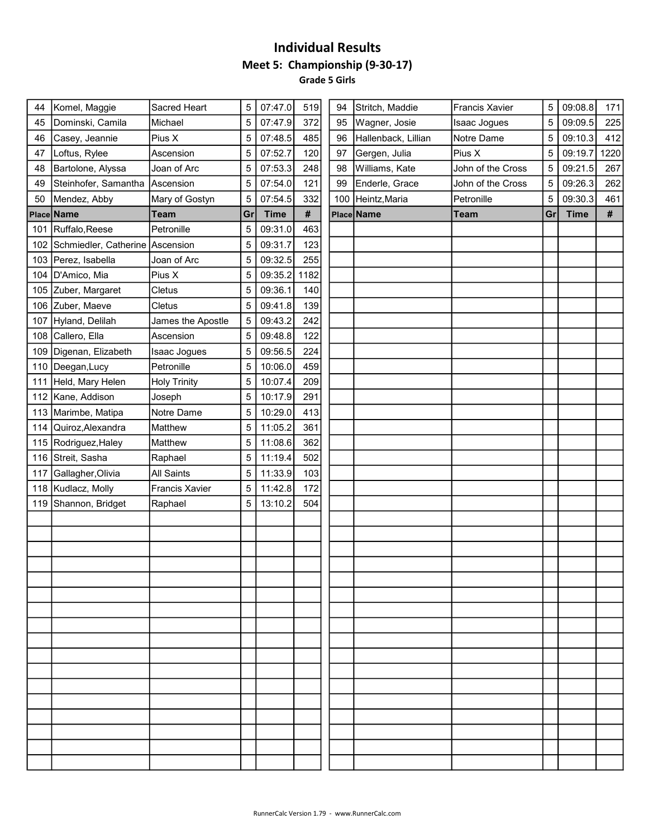#### Individual Results Meet 5: Championship (9-30-17) Grade 5 Girls

| 44  | Komel, Maggie                   | Sacred Heart          | 5  | 07:47.0     | 519  | 94  | Stritch, Maddie     | <b>Francis Xavier</b> | 5  | 09:08.8     | 171  |
|-----|---------------------------------|-----------------------|----|-------------|------|-----|---------------------|-----------------------|----|-------------|------|
| 45  | Dominski, Camila                | Michael               | 5  | 07:47.9     | 372  | 95  | Wagner, Josie       | <b>Isaac Jogues</b>   | 5  | 09:09.5     | 225  |
| 46  | Casey, Jeannie                  | Pius X                | 5  | 07:48.5     | 485  | 96  | Hallenback, Lillian | Notre Dame            | 5  | 09:10.3     | 412  |
| 47  | Loftus, Rylee                   | Ascension             | 5  | 07:52.7     | 120  | 97  | Gergen, Julia       | Pius X                | 5  | 09:19.7     | 1220 |
| 48  | Bartolone, Alyssa               | Joan of Arc           | 5  | 07:53.3     | 248  | 98  | Williams, Kate      | John of the Cross     | 5  | 09:21.5     | 267  |
| 49  | Steinhofer, Samantha Ascension  |                       | 5  | 07:54.0     | 121  | 99  | Enderle, Grace      | John of the Cross     | 5  | 09:26.3     | 262  |
| 50  | Mendez, Abby                    | Mary of Gostyn        | 5  | 07:54.5     | 332  | 100 | Heintz, Maria       | Petronille            | 5  | 09:30.3     | 461  |
|     | Place Name                      | <b>Team</b>           | Gr | <b>Time</b> | $\#$ |     | Place Name          | <b>Team</b>           | Gr | <b>Time</b> | $\#$ |
| 101 | Ruffalo, Reese                  | Petronille            | 5  | 09:31.0     | 463  |     |                     |                       |    |             |      |
| 102 | Schmiedler, Catherine Ascension |                       | 5  | 09:31.7     | 123  |     |                     |                       |    |             |      |
|     | 103 Perez, Isabella             | Joan of Arc           | 5  | 09:32.5     | 255  |     |                     |                       |    |             |      |
|     | 104   D'Amico, Mia              | Pius X                | 5  | 09:35.2     | 1182 |     |                     |                       |    |             |      |
|     | 105 Zuber, Margaret             | Cletus                | 5  | 09:36.1     | 140  |     |                     |                       |    |             |      |
|     | 106 Zuber, Maeve                | Cletus                | 5  | 09:41.8     | 139  |     |                     |                       |    |             |      |
| 107 | Hyland, Delilah                 | James the Apostle     | 5  | 09:43.2     | 242  |     |                     |                       |    |             |      |
|     | 108 Callero, Ella               | Ascension             | 5  | 09:48.8     | 122  |     |                     |                       |    |             |      |
| 109 | Digenan, Elizabeth              | Isaac Jogues          | 5  | 09:56.5     | 224  |     |                     |                       |    |             |      |
| 110 | Deegan, Lucy                    | Petronille            | 5  | 10:06.0     | 459  |     |                     |                       |    |             |      |
| 111 | Held, Mary Helen                | <b>Holy Trinity</b>   | 5  | 10:07.4     | 209  |     |                     |                       |    |             |      |
| 112 | Kane, Addison                   | Joseph                | 5  | 10:17.9     | 291  |     |                     |                       |    |             |      |
|     | 113 Marimbe, Matipa             | Notre Dame            | 5  | 10:29.0     | 413  |     |                     |                       |    |             |      |
|     | 114 Quiroz, Alexandra           | Matthew               | 5  | 11:05.2     | 361  |     |                     |                       |    |             |      |
| 115 | Rodriguez, Haley                | Matthew               | 5  | 11:08.6     | 362  |     |                     |                       |    |             |      |
|     | 116 Streit, Sasha               | Raphael               | 5  | 11:19.4     | 502  |     |                     |                       |    |             |      |
| 117 | Gallagher, Olivia               | All Saints            | 5  | 11:33.9     | 103  |     |                     |                       |    |             |      |
|     | 118 Kudlacz, Molly              | <b>Francis Xavier</b> | 5  | 11:42.8     | 172  |     |                     |                       |    |             |      |
|     | 119 Shannon, Bridget            | Raphael               | 5  | 13:10.2     | 504  |     |                     |                       |    |             |      |
|     |                                 |                       |    |             |      |     |                     |                       |    |             |      |
|     |                                 |                       |    |             |      |     |                     |                       |    |             |      |
|     |                                 |                       |    |             |      |     |                     |                       |    |             |      |
|     |                                 |                       |    |             |      |     |                     |                       |    |             |      |
|     |                                 |                       |    |             |      |     |                     |                       |    |             |      |
|     |                                 |                       |    |             |      |     |                     |                       |    |             |      |
|     |                                 |                       |    |             |      |     |                     |                       |    |             |      |
|     |                                 |                       |    |             |      |     |                     |                       |    |             |      |
|     |                                 |                       |    |             |      |     |                     |                       |    |             |      |
|     |                                 |                       |    |             |      |     |                     |                       |    |             |      |
|     |                                 |                       |    |             |      |     |                     |                       |    |             |      |
|     |                                 |                       |    |             |      |     |                     |                       |    |             |      |
|     |                                 |                       |    |             |      |     |                     |                       |    |             |      |
|     |                                 |                       |    |             |      |     |                     |                       |    |             |      |
|     |                                 |                       |    |             |      |     |                     |                       |    |             |      |
|     |                                 |                       |    |             |      |     |                     |                       |    |             |      |
|     |                                 |                       |    |             |      |     |                     |                       |    |             |      |
|     |                                 |                       |    |             |      |     |                     |                       |    |             |      |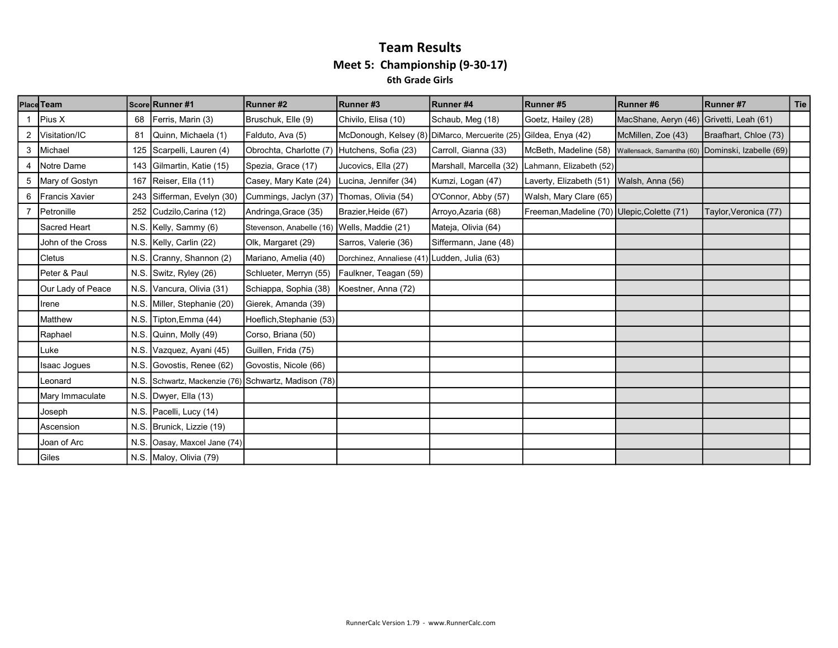#### Team Results Meet 5: Championship (9-30-17) 6th Grade Girls

|   | <b>Place Team</b>     |      | Score Runner #1                                      | Runner#2                                    | Runner#3                                       | Runner#4                | Runner#5                                    | Runner#6                  | Runner #7               | <b>Tie</b> |
|---|-----------------------|------|------------------------------------------------------|---------------------------------------------|------------------------------------------------|-------------------------|---------------------------------------------|---------------------------|-------------------------|------------|
|   | Pius X                | 68   | Ferris, Marin (3)                                    | Bruschuk, Elle (9)                          | Chivilo, Elisa (10)                            | Schaub, Meg (18)        | Goetz, Hailey (28)                          | MacShane, Aeryn (46)      | Grivetti, Leah (61)     |            |
| 2 | Visitation/IC         | 81   | Quinn, Michaela (1)                                  | Falduto, Ava (5)                            | McDonough, Kelsey (8) DiMarco, Mercuerite (25) |                         | Gildea, Enya (42)                           | McMillen, Zoe (43)        | Braafhart, Chloe (73)   |            |
|   | 3 Michael             | 125  | Scarpelli, Lauren (4)                                | Obrochta, Charlotte (7)                     | Hutchens, Sofia (23)                           | Carroll, Gianna (33)    | McBeth, Madeline (58)                       | Wallensack, Samantha (60) | Dominski, Izabelle (69) |            |
|   | Notre Dame            | 143  | Gilmartin, Katie (15)                                | Spezia, Grace (17)                          | Jucovics, Ella (27)                            | Marshall, Marcella (32) | Lahmann, Elizabeth (52)                     |                           |                         |            |
|   | 5 Mary of Gostyn      | 167  | Reiser, Ella (11)                                    | Casey, Mary Kate (24)                       | Lucina, Jennifer (34)                          | Kumzi, Logan (47)       | Laverty, Elizabeth (51)                     | Walsh, Anna (56)          |                         |            |
| 6 | <b>Francis Xavier</b> | 243  | Sifferman, Evelyn (30)                               | Cummings, Jaclyn (37)                       | Thomas, Olivia (54)                            | O'Connor, Abby (57)     | Walsh, Mary Clare (65)                      |                           |                         |            |
|   | Petronille            | 252  | Cudzilo, Carina (12)                                 | Andringa, Grace (35)                        | Brazier, Heide (67)                            | Arroyo, Azaria (68)     | Freeman, Madeline (70) Ulepic, Colette (71) |                           | Taylor, Veronica (77)   |            |
|   | Sacred Heart          |      | N.S. Kelly, Sammy (6)                                | Stevenson, Anabelle (16) Wells, Maddie (21) |                                                | Mateja, Olivia (64)     |                                             |                           |                         |            |
|   | John of the Cross     |      | N.S. Kelly, Carlin (22)                              | Olk, Margaret (29)                          | Sarros, Valerie (36)                           | Siffermann, Jane (48)   |                                             |                           |                         |            |
|   | <b>Cletus</b>         |      | N.S. Cranny, Shannon (2)                             | Mariano, Amelia (40)                        | Dorchinez, Annaliese (41) Ludden, Julia (63)   |                         |                                             |                           |                         |            |
|   | Peter & Paul          |      | N.S. Switz, Ryley (26)                               | Schlueter, Merryn (55)                      | Faulkner, Teagan (59)                          |                         |                                             |                           |                         |            |
|   | Our Lady of Peace     |      | N.S. Vancura, Olivia (31)                            | Schiappa, Sophia (38)                       | Koestner, Anna (72)                            |                         |                                             |                           |                         |            |
|   | Irene                 |      | N.S. Miller, Stephanie (20)                          | Gierek, Amanda (39)                         |                                                |                         |                                             |                           |                         |            |
|   | Matthew               | N.S. | Tipton, Emma (44)                                    | Hoeflich, Stephanie (53)                    |                                                |                         |                                             |                           |                         |            |
|   | Raphael               | N.S  | Quinn, Molly (49)                                    | Corso, Briana (50)                          |                                                |                         |                                             |                           |                         |            |
|   | Luke                  | N.S. | Vazquez, Ayani (45)                                  | Guillen, Frida (75)                         |                                                |                         |                                             |                           |                         |            |
|   | <b>Isaac Jogues</b>   | N.S. | . Govostis, Renee (62)                               | Govostis, Nicole (66)                       |                                                |                         |                                             |                           |                         |            |
|   | Leonard               |      | N.S. Schwartz, Mackenzie (76) Schwartz, Madison (78) |                                             |                                                |                         |                                             |                           |                         |            |
|   | Mary Immaculate       |      | N.S. Dwyer, Ella (13)                                |                                             |                                                |                         |                                             |                           |                         |            |
|   | Joseph                |      | N.S. Pacelli, Lucy (14)                              |                                             |                                                |                         |                                             |                           |                         |            |
|   | Ascension             |      | N.S. Brunick, Lizzie (19)                            |                                             |                                                |                         |                                             |                           |                         |            |
|   | Joan of Arc           | N.S. | Oasay, Maxcel Jane (74)                              |                                             |                                                |                         |                                             |                           |                         |            |
|   | Giles                 |      | N.S. Maloy, Olivia (79)                              |                                             |                                                |                         |                                             |                           |                         |            |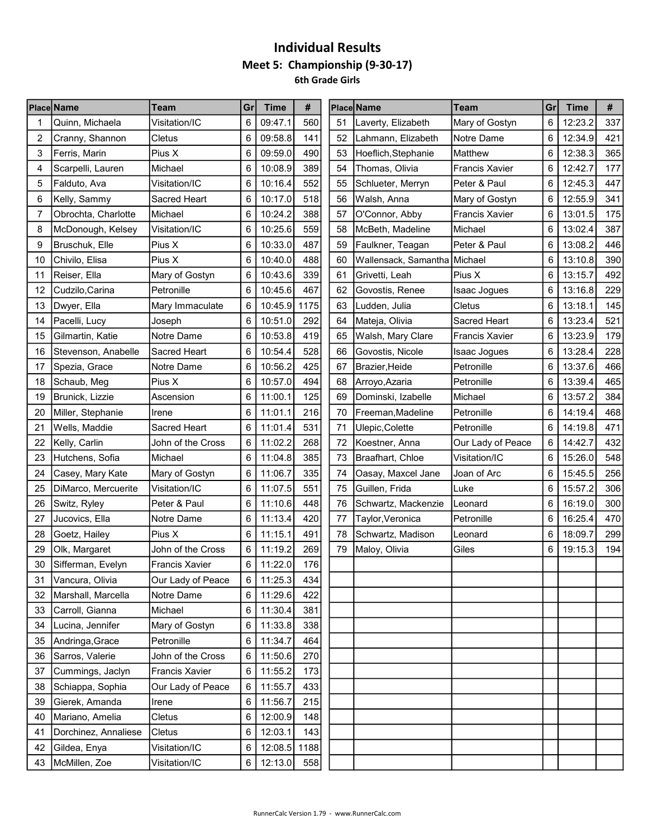# Individual Results Meet 5: Championship (9-30-17) 6th Grade Girls

|    | <b>Place Name</b>    | Team                  | Gr | <b>Time</b>  | #    |    | Place Name                   | <b>Team</b>           | Gr | <b>Time</b> | #   |
|----|----------------------|-----------------------|----|--------------|------|----|------------------------------|-----------------------|----|-------------|-----|
|    | Quinn, Michaela      | Visitation/IC         | 6  | 09:47.1      | 560  | 51 | Laverty, Elizabeth           | Mary of Gostyn        | 6  | 12:23.2     | 337 |
| 2  | Cranny, Shannon      | Cletus                | 6  | 09:58.8      | 141  | 52 | Lahmann, Elizabeth           | Notre Dame            | 6  | 12:34.9     | 421 |
| 3  | Ferris, Marin        | Pius X                | 6  | 09:59.0      | 490  | 53 | Hoeflich, Stephanie          | Matthew               | 6  | 12:38.3     | 365 |
| 4  | Scarpelli, Lauren    | Michael               | 6  | 10:08.9      | 389  | 54 | Thomas, Olivia               | <b>Francis Xavier</b> | 6  | 12:42.7     | 177 |
| 5  | Falduto, Ava         | Visitation/IC         | 6  | 10:16.4      | 552  | 55 | Schlueter, Merryn            | Peter & Paul          | 6  | 12:45.3     | 447 |
| 6  | Kelly, Sammy         | Sacred Heart          | 6  | 10:17.0      | 518  | 56 | Walsh, Anna                  | Mary of Gostyn        | 6  | 12:55.9     | 341 |
| 7  | Obrochta, Charlotte  | Michael               | 6  | 10:24.2      | 388  | 57 | O'Connor, Abby               | <b>Francis Xavier</b> | 6  | 13:01.5     | 175 |
| 8  | McDonough, Kelsey    | Visitation/IC         | 6  | 10:25.6      | 559  | 58 | McBeth, Madeline             | Michael               | 6  | 13:02.4     | 387 |
| 9  | Bruschuk, Elle       | Pius X                | 6  | 10:33.0      | 487  | 59 | Faulkner, Teagan             | Peter & Paul          | 6  | 13:08.2     | 446 |
| 10 | Chivilo, Elisa       | Pius X                | 6  | 10:40.0      | 488  | 60 | Wallensack, Samantha Michael |                       | 6  | 13:10.8     | 390 |
| 11 | Reiser, Ella         | Mary of Gostyn        | 6  | 10:43.6      | 339  | 61 | Grivetti, Leah               | Pius X                | 6  | 13:15.7     | 492 |
| 12 | Cudzilo, Carina      | Petronille            | 6  | 10:45.6      | 467  | 62 | Govostis, Renee              | Isaac Jogues          | 6  | 13:16.8     | 229 |
| 13 | Dwyer, Ella          | Mary Immaculate       | 6  | 10:45.9      | 1175 | 63 | Ludden, Julia                | Cletus                | 6  | 13:18.1     | 145 |
| 14 | Pacelli, Lucy        | Joseph                | 6  | 10:51.0      | 292  | 64 | Mateja, Olivia               | <b>Sacred Heart</b>   | 6  | 13:23.4     | 521 |
| 15 | Gilmartin, Katie     | Notre Dame            | 6  | 10:53.8      | 419  | 65 | Walsh, Mary Clare            | <b>Francis Xavier</b> | 6  | 13:23.9     | 179 |
| 16 | Stevenson, Anabelle  | Sacred Heart          | 6  | 10:54.4      | 528  | 66 | Govostis, Nicole             | Isaac Jogues          | 6  | 13:28.4     | 228 |
| 17 | Spezia, Grace        | Notre Dame            | 6  | 10:56.2      | 425  | 67 | Brazier,Heide                | Petronille            | 6  | 13:37.6     | 466 |
| 18 | Schaub, Meg          | Pius X                | 6  | 10:57.0      | 494  | 68 | Arroyo, Azaria               | Petronille            | 6  | 13:39.4     | 465 |
| 19 | Brunick, Lizzie      | Ascension             | 6  | 11:00.1      | 125  | 69 | Dominski, Izabelle           | Michael               | 6  | 13:57.2     | 384 |
| 20 | Miller, Stephanie    | Irene                 | 6  | 11:01.1      | 216  | 70 | Freeman, Madeline            | Petronille            | 6  | 14:19.4     | 468 |
| 21 | Wells, Maddie        | Sacred Heart          | 6  | 11:01.4      | 531  | 71 | Ulepic, Colette              | Petronille            | 6  | 14:19.8     | 471 |
| 22 | Kelly, Carlin        | John of the Cross     | 6  | 11:02.2      | 268  | 72 | Koestner, Anna               | Our Lady of Peace     | 6  | 14:42.7     | 432 |
| 23 | Hutchens, Sofia      | Michael               | 6  | 11:04.8      | 385  | 73 | Braafhart, Chloe             | Visitation/IC         | 6  | 15:26.0     | 548 |
| 24 | Casey, Mary Kate     | Mary of Gostyn        | 6  | 11:06.7      | 335  | 74 | Oasay, Maxcel Jane           | Joan of Arc           | 6  | 15:45.5     | 256 |
| 25 | DiMarco, Mercuerite  | Visitation/IC         | 6  | 11:07.5      | 551  | 75 | Guillen, Frida               | Luke                  | 6  | 15:57.2     | 306 |
| 26 | Switz, Ryley         | Peter & Paul          | 6  | 11:10.6      | 448  | 76 | Schwartz, Mackenzie          | Leonard               | 6  | 16:19.0     | 300 |
| 27 | Jucovics, Ella       | Notre Dame            | 6  | 11:13.4      | 420  | 77 | Taylor, Veronica             | Petronille            | 6  | 16:25.4     | 470 |
| 28 | Goetz, Hailey        | Pius X                | 6  | 11:15.1      | 491  | 78 | Schwartz, Madison            | Leonard               | 6  | 18:09.7     | 299 |
| 29 | Olk, Margaret        | John of the Cross     | 6  | 11:19.2      | 269  | 79 | Maloy, Olivia                | Giles                 | 6  | 19:15.3     | 194 |
| 30 | Sifferman, Evelyn    | <b>Francis Xavier</b> | 6  | 11:22.0      | 176  |    |                              |                       |    |             |     |
| 31 | Vancura, Olivia      | Our Lady of Peace     | 6  | 11:25.3      | 434  |    |                              |                       |    |             |     |
| 32 | Marshall, Marcella   | Notre Dame            | 6  | 11:29.6      | 422  |    |                              |                       |    |             |     |
| 33 | Carroll, Gianna      | Michael               | 6  | 11:30.4      | 381  |    |                              |                       |    |             |     |
| 34 | Lucina, Jennifer     | Mary of Gostyn        | 6  | 11:33.8      | 338  |    |                              |                       |    |             |     |
| 35 | Andringa, Grace      | Petronille            | 6  | 11:34.7      | 464  |    |                              |                       |    |             |     |
| 36 | Sarros, Valerie      | John of the Cross     | 6  | 11:50.6      | 270  |    |                              |                       |    |             |     |
| 37 | Cummings, Jaclyn     | <b>Francis Xavier</b> | 6  | 11:55.2      | 173  |    |                              |                       |    |             |     |
| 38 | Schiappa, Sophia     | Our Lady of Peace     | 6  | 11:55.7      | 433  |    |                              |                       |    |             |     |
| 39 | Gierek, Amanda       | Irene                 | 6  | 11:56.7      | 215  |    |                              |                       |    |             |     |
| 40 | Mariano, Amelia      | Cletus                | 6  | 12:00.9      | 148  |    |                              |                       |    |             |     |
| 41 | Dorchinez, Annaliese | Cletus                | 6  | 12:03.1      | 143  |    |                              |                       |    |             |     |
| 42 | Gildea, Enya         | Visitation/IC         | 6  | 12:08.5 1188 |      |    |                              |                       |    |             |     |
| 43 | McMillen, Zoe        | Visitation/IC         | 6  | 12:13.0      | 558  |    |                              |                       |    |             |     |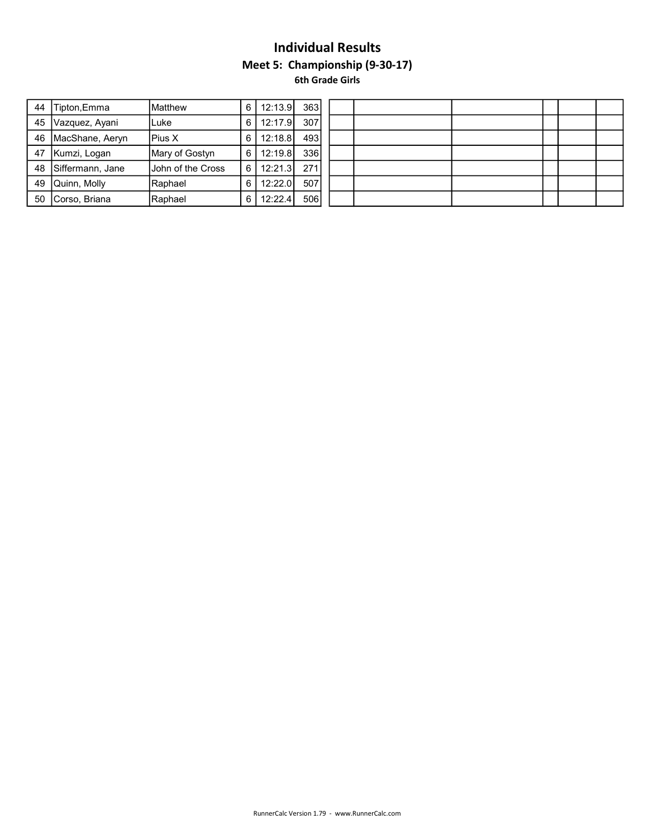## Individual Results Meet 5: Championship (9-30-17) 6th Grade Girls

| 44 | Tipton,Emma         | <b>I</b> Matthew  | 6 I | 12:13.9       | 363  |  |  |  |  |
|----|---------------------|-------------------|-----|---------------|------|--|--|--|--|
|    | 45   Vazquez, Ayani | lLuke             | 6 I | 12:17.9       | 307  |  |  |  |  |
| 46 | MacShane, Aeryn     | IPius X           | 6 I | 12:18.8       | 4931 |  |  |  |  |
| 47 | Kumzi, Logan        | Mary of Gostyn    |     | $6$   12:19.8 | 336  |  |  |  |  |
|    | 48 Siffermann, Jane | Uohn of the Cross |     | $6$   12:21.3 | 271  |  |  |  |  |
| 49 | Quinn, Molly        | Raphael           | 6 I | 12:22.0       | 507  |  |  |  |  |
| 50 | Corso, Briana       | <b>IRaphael</b>   | 6 I | 12:22.4       | 506  |  |  |  |  |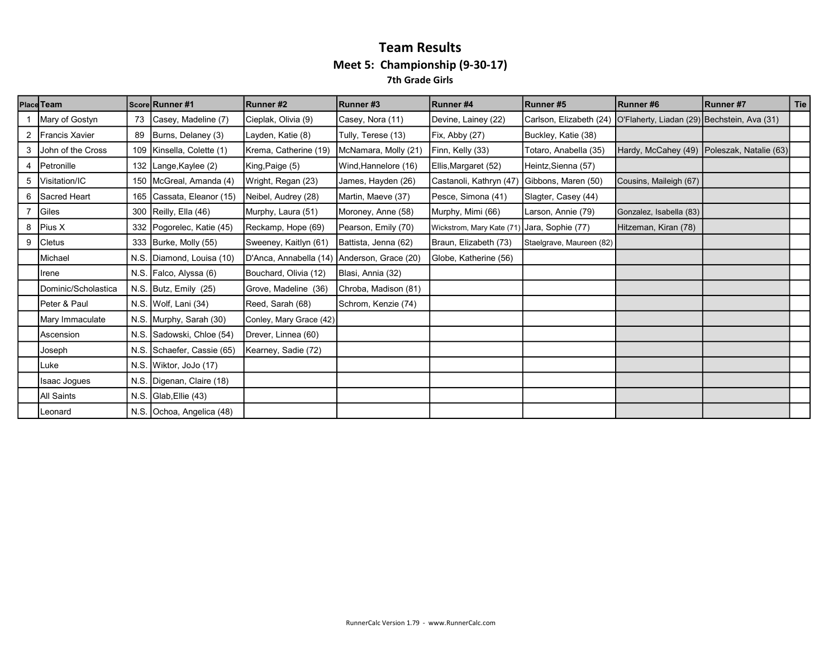#### Team Results Meet 5: Championship (9-30-17) 7th Grade Girls

|                | Place Team               |      | Score Runner #1           | Runner#2                                    | Runner#3             | Runner #4                 | Runner#5                 | Runner#6                                    | Runner#7                                     | Tie |
|----------------|--------------------------|------|---------------------------|---------------------------------------------|----------------------|---------------------------|--------------------------|---------------------------------------------|----------------------------------------------|-----|
|                | Mary of Gostyn           | 73   | Casey, Madeline (7)       | Cieplak, Olivia (9)                         | Casey, Nora (11)     | Devine, Lainey (22)       | Carlson, Elizabeth (24)  | O'Flaherty, Liadan (29) Bechstein, Ava (31) |                                              |     |
| $\overline{2}$ | Francis Xavier           | 89   | Burns, Delaney (3)        | Layden, Katie (8)                           | Tully, Terese (13)   | Fix, Abby (27)            | Buckley, Katie (38)      |                                             |                                              |     |
| 3              | Uohn of the Cross        |      | 109 Kinsella, Colette (1) | Krema, Catherine (19)                       | McNamara, Molly (21) | Finn, Kelly (33)          | Totaro, Anabella (35)    |                                             | Hardy, McCahey (49)   Poleszak, Natalie (63) |     |
|                | Petronille               |      | 132 Lange, Kaylee (2)     | King, Paige (5)                             | Wind, Hannelore (16) | Ellis, Margaret (52)      | Heintz, Sienna (57)      |                                             |                                              |     |
|                | 5   Visitation/IC        |      | 150 McGreal, Amanda (4)   | Wright, Regan (23)                          | James, Hayden (26)   | Castanoli, Kathryn (47)   | Gibbons, Maren (50)      | Cousins, Maileigh (67)                      |                                              |     |
| 6              | <b>Sacred Heart</b>      |      | 165 Cassata, Eleanor (15) | Neibel, Audrey (28)                         | Martin, Maeve (37)   | Pesce, Simona (41)        | Slagter, Casey (44)      |                                             |                                              |     |
|                | Giles                    |      | 300   Reilly, Ella (46)   | Murphy, Laura (51)                          | Moroney, Anne (58)   | Murphy, Mimi (66)         | Larson, Annie (79)       | Gonzalez, Isabella (83)                     |                                              |     |
| 8              | Pius X                   |      | 332 Pogorelec, Katie (45) | Reckamp, Hope (69)                          | Pearson, Emily (70)  | Wickstrom, Mary Kate (71) | Jara, Sophie (77)        | Hitzeman, Kiran (78)                        |                                              |     |
| 9              | <b>Cletus</b>            |      | 333 Burke, Molly (55)     | Sweeney, Kaitlyn (61)                       | Battista, Jenna (62) | Braun, Elizabeth (73)     | Staelgrave, Maureen (82) |                                             |                                              |     |
|                | Michael                  |      | N.S. Diamond, Louisa (10) | D'Anca, Annabella (14) Anderson, Grace (20) |                      | Globe, Katherine (56)     |                          |                                             |                                              |     |
|                | Ilrene                   |      | N.S. Falco, Alyssa (6)    | Bouchard, Olivia (12)                       | Blasi, Annia (32)    |                           |                          |                                             |                                              |     |
|                | Dominic/Scholastica      |      | N.S. Butz, Emily $(25)$   | Grove, Madeline (36)                        | Chroba, Madison (81) |                           |                          |                                             |                                              |     |
|                | <b>IPeter &amp; Paul</b> |      | N.S. Wolf, Lani (34)      | Reed, Sarah (68)                            | Schrom, Kenzie (74)  |                           |                          |                                             |                                              |     |
|                | Mary Immaculate          |      | N.S. Murphy, Sarah (30)   | Conley, Mary Grace (42)                     |                      |                           |                          |                                             |                                              |     |
|                | <b>Ascension</b>         | N.S. | Sadowski, Chloe (54)      | Drever, Linnea (60)                         |                      |                           |                          |                                             |                                              |     |
|                | Joseph                   | N.S. | Schaefer, Cassie (65)     | Kearney, Sadie (72)                         |                      |                           |                          |                                             |                                              |     |
|                | Luke                     |      | N.S. Wiktor, JoJo (17)    |                                             |                      |                           |                          |                                             |                                              |     |
|                | Isaac Jogues             |      | N.S. Digenan, Claire (18) |                                             |                      |                           |                          |                                             |                                              |     |
|                | All Saints               |      | N.S. $Glab,$ Ellie $(43)$ |                                             |                      |                           |                          |                                             |                                              |     |
|                | Leonard                  |      | N.S. Ochoa, Angelica (48) |                                             |                      |                           |                          |                                             |                                              |     |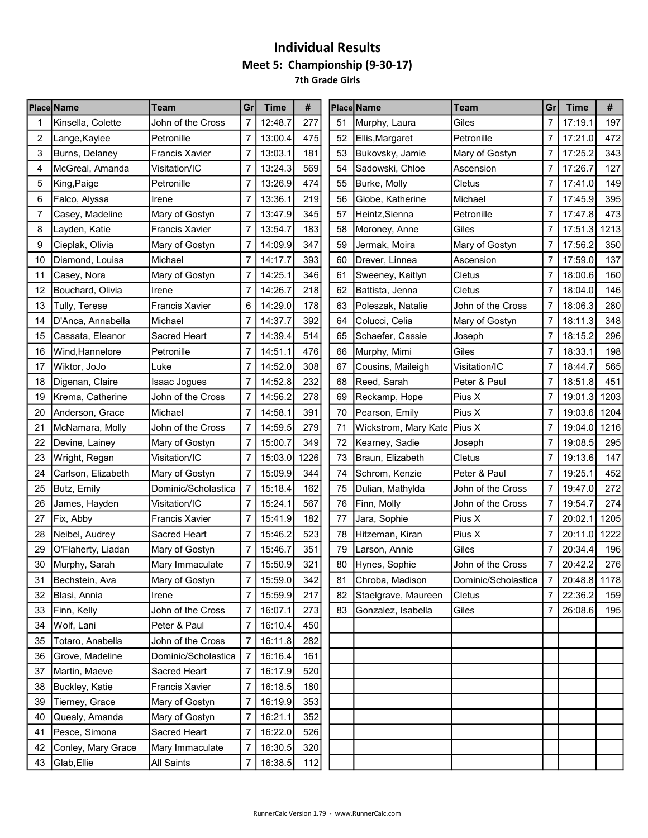# Individual Results Meet 5: Championship (9-30-17) 7th Grade Girls

|    | <b>Place Name</b>  | Team                  | Gr             | <b>Time</b> | #    |    | <b>Placel Name</b>   | Team                | Gr             | <b>Time</b>  | #    |
|----|--------------------|-----------------------|----------------|-------------|------|----|----------------------|---------------------|----------------|--------------|------|
|    | Kinsella, Colette  | John of the Cross     | 7              | 12:48.7     | 277  | 51 | Murphy, Laura        | Giles               | 7              | 17:19.1      | 197  |
| 2  | Lange, Kaylee      | Petronille            | 7              | 13:00.4     | 475  | 52 | Ellis,Margaret       | Petronille          | 7              | 17:21.0      | 472  |
| 3  | Burns, Delaney     | Francis Xavier        | 7              | 13:03.1     | 181  | 53 | Bukovsky, Jamie      | Mary of Gostyn      | 7              | 17:25.2      | 343  |
| 4  | McGreal, Amanda    | Visitation/IC         | 7              | 13:24.3     | 569  | 54 | Sadowski, Chloe      | Ascension           | 7              | 17:26.7      | 127  |
| 5  | King,Paige         | Petronille            | 7              | 13:26.9     | 474  | 55 | Burke, Molly         | Cletus              | 7              | 17:41.0      | 149  |
| 6  | Falco, Alyssa      | Irene                 | 7              | 13:36.1     | 219  | 56 | Globe, Katherine     | Michael             | 7              | 17:45.9      | 395  |
| 7  | Casey, Madeline    | Mary of Gostyn        | 7              | 13:47.9     | 345  | 57 | Heintz, Sienna       | Petronille          | 7              | 17:47.8      | 473  |
| 8  | Layden, Katie      | <b>Francis Xavier</b> | 7              | 13:54.7     | 183  | 58 | Moroney, Anne        | Giles               | 7              | 17:51.3      | 1213 |
| 9  | Cieplak, Olivia    | Mary of Gostyn        | $\overline{7}$ | 14:09.9     | 347  | 59 | Jermak, Moira        | Mary of Gostyn      | 7              | 17:56.2      | 350  |
| 10 | Diamond, Louisa    | Michael               | $\overline{7}$ | 14:17.7     | 393  | 60 | Drever, Linnea       | Ascension           | 7              | 17:59.0      | 137  |
| 11 | Casey, Nora        | Mary of Gostyn        | $\overline{7}$ | 14:25.1     | 346  | 61 | Sweeney, Kaitlyn     | Cletus              | 7              | 18:00.6      | 160  |
| 12 | Bouchard, Olivia   | Irene                 | 7              | 14:26.7     | 218  | 62 | Battista, Jenna      | Cletus              | $\overline{7}$ | 18:04.0      | 146  |
| 13 | Tully, Terese      | <b>Francis Xavier</b> | 6              | 14:29.0     | 178  | 63 | Poleszak, Natalie    | John of the Cross   | 7              | 18:06.3      | 280  |
| 14 | D'Anca, Annabella  | Michael               | $\overline{7}$ | 14:37.7     | 392  | 64 | Colucci, Celia       | Mary of Gostyn      | 7              | 18:11.3      | 348  |
| 15 | Cassata, Eleanor   | Sacred Heart          | $\overline{7}$ | 14:39.4     | 514  | 65 | Schaefer, Cassie     | Joseph              | 7              | 18:15.2      | 296  |
| 16 | Wind, Hannelore    | Petronille            | $\overline{7}$ | 14:51.1     | 476  | 66 | Murphy, Mimi         | Giles               | 7              | 18:33.1      | 198  |
| 17 | Wiktor, JoJo       | Luke                  | $\overline{7}$ | 14:52.0     | 308  | 67 | Cousins, Maileigh    | Visitation/IC       | 7              | 18:44.7      | 565  |
| 18 | Digenan, Claire    | Isaac Jogues          | 7              | 14:52.8     | 232  | 68 | Reed, Sarah          | Peter & Paul        | 7              | 18:51.8      | 451  |
| 19 | Krema, Catherine   | John of the Cross     | 7              | 14:56.2     | 278  | 69 | Reckamp, Hope        | Pius X              | 7              | 19:01.3      | 1203 |
| 20 | Anderson, Grace    | Michael               | $\overline{7}$ | 14:58.1     | 391  | 70 | Pearson, Emily       | Pius X              | 7              | 19:03.6      | 1204 |
| 21 | McNamara, Molly    | John of the Cross     | $\overline{7}$ | 14:59.5     | 279  | 71 | Wickstrom, Mary Kate | Pius X              | 7              | 19:04.0      | 1216 |
| 22 | Devine, Lainey     | Mary of Gostyn        | 7              | 15:00.7     | 349  | 72 | Kearney, Sadie       | Joseph              | 7              | 19:08.5      | 295  |
| 23 | Wright, Regan      | Visitation/IC         | 7              | 15:03.0     | 1226 | 73 | Braun, Elizabeth     | Cletus              | 7              | 19:13.6      | 147  |
| 24 | Carlson, Elizabeth | Mary of Gostyn        | $\overline{7}$ | 15:09.9     | 344  | 74 | Schrom, Kenzie       | Peter & Paul        | 7              | 19:25.1      | 452  |
| 25 | Butz, Emily        | Dominic/Scholastica   |                | 15:18.4     | 162  | 75 | Dulian, Mathylda     | John of the Cross   | 7              | 19:47.0      | 272  |
| 26 | James, Hayden      | Visitation/IC         | $\overline{7}$ | 15:24.1     | 567  | 76 | Finn, Molly          | John of the Cross   | 7              | 19:54.7      | 274  |
| 27 | Fix, Abby          | <b>Francis Xavier</b> | 7              | 15:41.9     | 182  | 77 | Jara, Sophie         | Pius X              | 7              | 20:02.1      | 1205 |
| 28 | Neibel, Audrey     | Sacred Heart          | 7              | 15:46.2     | 523  | 78 | Hitzeman, Kiran      | Pius X              | 7              | 20:11.0      | 1222 |
| 29 | O'Flaherty, Liadan | Mary of Gostyn        | $\overline{7}$ | 15:46.7     | 351  | 79 | Larson, Annie        | Giles               | 7              | 20:34.4      | 196  |
| 30 | Murphy, Sarah      | Mary Immaculate       | 7              | 15:50.9     | 321  | 80 | Hynes, Sophie        | John of the Cross   | 7              | 20:42.2      | 276  |
| 31 | Bechstein, Ava     | Mary of Gostyn        | 7              | 15:59.0     | 342  | 81 | Chroba, Madison      | Dominic/Scholastica | 7              | 20:48.8 1178 |      |
| 32 | Blasi, Annia       | Irene                 | 7              | 15:59.9     | 217  | 82 | Staelgrave, Maureen  | Cletus              | 7              | 22:36.2      | 159  |
| 33 | Finn, Kelly        | John of the Cross     | 7              | 16:07.1     | 273  | 83 | Gonzalez, Isabella   | Giles               | 7              | 26:08.6      | 195  |
| 34 | Wolf, Lani         | Peter & Paul          | 7              | 16:10.4     | 450  |    |                      |                     |                |              |      |
| 35 | Totaro, Anabella   | John of the Cross     | 7              | 16:11.8     | 282  |    |                      |                     |                |              |      |
| 36 | Grove, Madeline    | Dominic/Scholastica   | 7              | 16:16.4     | 161  |    |                      |                     |                |              |      |
| 37 | Martin, Maeve      | Sacred Heart          | 7              | 16:17.9     | 520  |    |                      |                     |                |              |      |
| 38 | Buckley, Katie     | <b>Francis Xavier</b> | 7              | 16:18.5     | 180  |    |                      |                     |                |              |      |
| 39 | Tierney, Grace     | Mary of Gostyn        | 7              | 16:19.9     | 353  |    |                      |                     |                |              |      |
| 40 | Quealy, Amanda     | Mary of Gostyn        | 7              | 16:21.1     | 352  |    |                      |                     |                |              |      |
| 41 | Pesce, Simona      | Sacred Heart          | 7              | 16:22.0     | 526  |    |                      |                     |                |              |      |
| 42 | Conley, Mary Grace | Mary Immaculate       | 7              | 16:30.5     | 320  |    |                      |                     |                |              |      |
| 43 | Glab, Ellie        | <b>All Saints</b>     | 7              | 16:38.5     | 112  |    |                      |                     |                |              |      |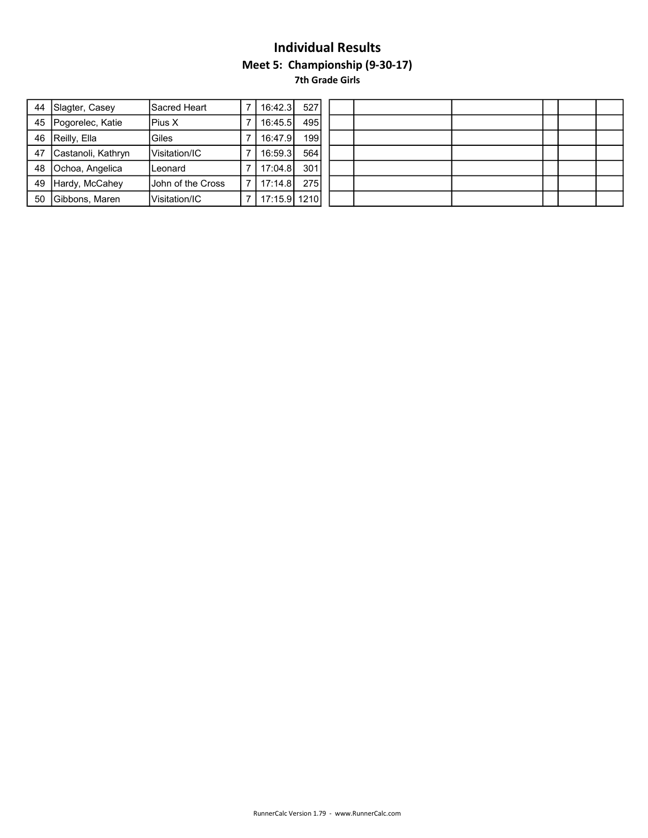# Individual Results Meet 5: Championship (9-30-17) 7th Grade Girls

|    | 44 Slagter, Casey     | lSacred Heart         |     | 16:42.3      | 527              |  |  |  |  |
|----|-----------------------|-----------------------|-----|--------------|------------------|--|--|--|--|
|    | 45   Pogorelec, Katie | IPius X               |     | 16:45.5      | 495              |  |  |  |  |
| 46 | Reilly, Ella          | Giles                 |     | 16:47.9      | 199 <sup>1</sup> |  |  |  |  |
| 47 | Castanoli, Kathryn    | <b>IVisitation/IC</b> |     | 16:59.3      | 564              |  |  |  |  |
| 48 | Ochoa, Angelica       | Leonard               |     | 17:04.8      | 301              |  |  |  |  |
| 49 | Hardy, McCahey        | Uohn of the Cross     | 7 I | 17:14.8      | 275              |  |  |  |  |
| 50 | Gibbons, Maren        | lVisitation/IC        |     | 17:15.9 1210 |                  |  |  |  |  |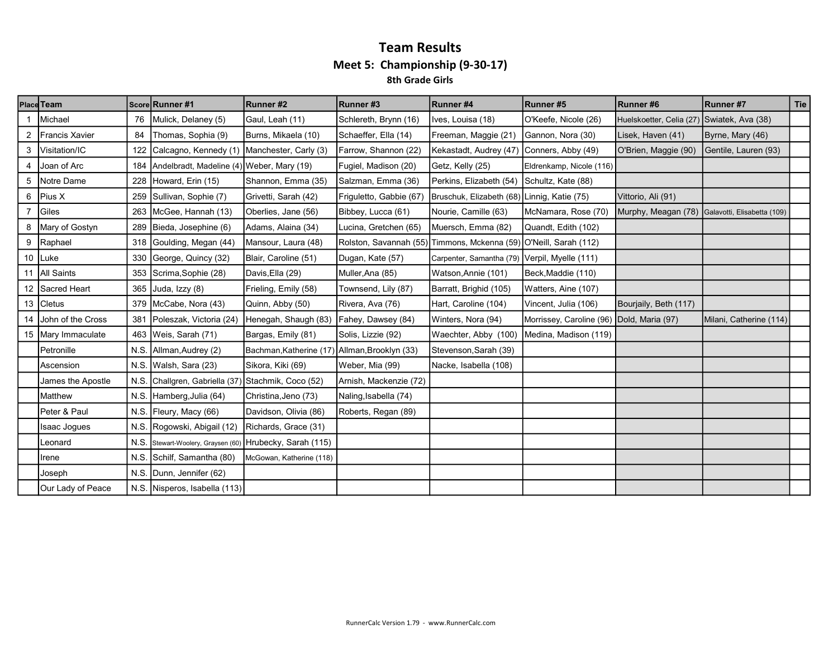#### Team Results Meet 5: Championship (9-30-17) 8th Grade Girls

|   | Place Team           |      | Score Runner #1                                     | Runner #2                                     | Runner#3                | Runner #4                                                         | Runner #5                | Runner#6                                        | Runner#7                | Tie |
|---|----------------------|------|-----------------------------------------------------|-----------------------------------------------|-------------------------|-------------------------------------------------------------------|--------------------------|-------------------------------------------------|-------------------------|-----|
|   | Michael              | 76   | Mulick, Delaney (5)                                 | Gaul, Leah (11)                               | Schlereth, Brynn (16)   | Ives, Louisa (18)                                                 | O'Keefe, Nicole (26)     | Huelskoetter, Celia (27) Swiatek, Ava (38)      |                         |     |
| 2 | Francis Xavier       | 84   | Thomas, Sophia (9)                                  | Burns, Mikaela (10)                           | Schaeffer, Ella (14)    | Freeman, Maggie (21)                                              | Gannon, Nora (30)        | Lisek, Haven (41)                               | Byrne, Mary (46)        |     |
| 3 | Visitation/IC        | 122  | Calcagno, Kennedy (1) Manchester, Carly (3)         |                                               | Farrow, Shannon (22)    | Kekastadt, Audrey (47) Conners, Abby (49)                         |                          | O'Brien, Maggie (90)                            | Gentile, Lauren (93)    |     |
| 4 | Joan of Arc          |      | 184 Andelbradt, Madeline (4) Weber, Mary (19)       |                                               | Fugiel, Madison (20)    | Getz, Kelly (25)                                                  | Eldrenkamp, Nicole (116) |                                                 |                         |     |
|   | 5 Notre Dame         | 228  | Howard, Erin (15)                                   | Shannon, Emma (35)                            | Salzman, Emma (36)      | Perkins, Elizabeth (54)                                           | Schultz, Kate (88)       |                                                 |                         |     |
| 6 | Pius X               |      | 259 Sullivan, Sophie (7)                            | Grivetti, Sarah (42)                          | Friguletto, Gabbie (67) | Bruschuk, Elizabeth (68) Linnig, Katie (75)                       |                          | Vittorio, Ali (91)                              |                         |     |
| 7 | Giles                | 263  | McGee, Hannah (13)                                  | Oberlies, Jane (56)                           | Bibbey, Lucca (61)      | Nourie, Camille (63)                                              | McNamara, Rose (70)      | Murphy, Meagan (78) Galavotti, Elisabetta (109) |                         |     |
|   | 8   Mary of Gostyn   |      | 289 Bieda, Josephine (6)                            | Adams, Alaina (34)                            | Lucina, Gretchen (65)   | Muersch, Emma (82)                                                | Quandt, Edith (102)      |                                                 |                         |     |
|   | 9 Raphael            |      | 318 Goulding, Megan (44)                            | Mansour, Laura (48)                           |                         | Rolston, Savannah (55) Timmons, Mckenna (59) O'Neill, Sarah (112) |                          |                                                 |                         |     |
|   | 10 Luke              |      | 330 George, Quincy (32)                             | Blair, Caroline (51)                          | Dugan, Kate (57)        | Carpenter, Samantha (79) Verpil, Myelle (111)                     |                          |                                                 |                         |     |
|   | 11 All Saints        |      | 353 Scrima, Sophie (28)                             | Davis, Ella (29)                              | Muller, Ana (85)        | Watson, Annie (101)                                               | Beck, Maddie (110)       |                                                 |                         |     |
|   | 12 Sacred Heart      | 365  | Juda, Izzy (8)                                      | Frieling, Emily (58)                          | Townsend, Lily (87)     | Barratt, Brighid (105)                                            | Watters, Aine (107)      |                                                 |                         |     |
|   | 13 Cletus            |      | 379 McCabe, Nora (43)                               | Quinn, Abby (50)                              | Rivera, Ava (76)        | Hart, Caroline (104)                                              | Vincent, Julia (106)     | Bourjaily, Beth (117)                           |                         |     |
|   | 14 John of the Cross | 381  | Poleszak, Victoria (24)                             | Henegah, Shaugh (83)                          | Fahey, Dawsey (84)      | Winters, Nora (94)                                                | Morrissey, Caroline (96) | Dold, Maria (97)                                | Milani, Catherine (114) |     |
|   | 15 Mary Immaculate   |      | 463   Weis, Sarah (71)                              | Bargas, Emily (81)                            | Solis, Lizzie (92)      | Waechter, Abby (100)                                              | Medina, Madison (119)    |                                                 |                         |     |
|   | Petronille           |      | N.S. Allman, Audrey (2)                             | Bachman, Katherine (17) Allman, Brooklyn (33) |                         | Stevenson, Sarah (39)                                             |                          |                                                 |                         |     |
|   | Ascension            |      | N.S. Walsh, Sara (23)                               | Sikora, Kiki (69)                             | Weber, Mia (99)         | Nacke, Isabella (108)                                             |                          |                                                 |                         |     |
|   | James the Apostle    |      | N.S. Challgren, Gabriella (37)                      | Stachmik, Coco (52)                           | Arnish, Mackenzie (72)  |                                                                   |                          |                                                 |                         |     |
|   | <b>I</b> Matthew     |      | N.S. Hamberg, Julia (64)                            | Christina, Jeno (73)                          | Naling, Isabella (74)   |                                                                   |                          |                                                 |                         |     |
|   | Peter & Paul         | N.S. | Fleury, Macy (66)                                   | Davidson, Olivia (86)                         | Roberts, Regan (89)     |                                                                   |                          |                                                 |                         |     |
|   | <b>Isaac Jogues</b>  | N.S. | Rogowski, Abigail (12)                              | Richards, Grace (31)                          |                         |                                                                   |                          |                                                 |                         |     |
|   | Leonard              | N.S. | Stewart-Woolery, Graysen (60) Hrubecky, Sarah (115) |                                               |                         |                                                                   |                          |                                                 |                         |     |
|   | Irene                | N.S. | Schilf, Samantha (80)                               | McGowan, Katherine (118)                      |                         |                                                                   |                          |                                                 |                         |     |
|   | Joseph               |      | N.S. Dunn, Jennifer (62)                            |                                               |                         |                                                                   |                          |                                                 |                         |     |
|   | Our Lady of Peace    |      | N.S. Nisperos, Isabella (113)                       |                                               |                         |                                                                   |                          |                                                 |                         |     |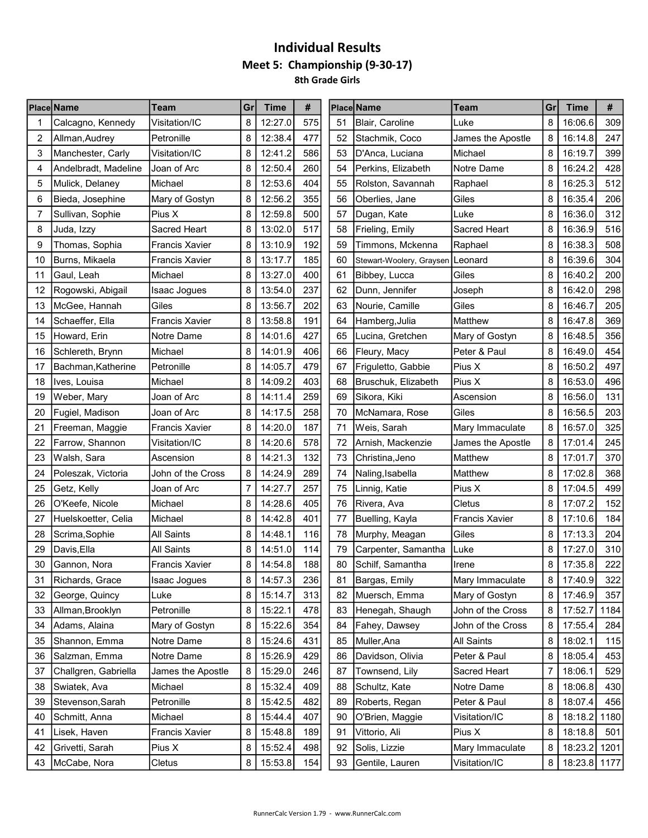# Individual Results Meet 5: Championship (9-30-17) 8th Grade Girls

|    | <b>Place Name</b>    | Team                  | Gr | <b>Time</b> | #   |    | Place Name               | <b>Team</b>           | Gr | <b>Time</b>  | #    |
|----|----------------------|-----------------------|----|-------------|-----|----|--------------------------|-----------------------|----|--------------|------|
|    | Calcagno, Kennedy    | Visitation/IC         | 8  | 12:27.0     | 575 | 51 | Blair, Caroline          | Luke                  | 8  | 16:06.6      | 309  |
| 2  | Allman,Audrey        | Petronille            | 8  | 12:38.4     | 477 | 52 | Stachmik, Coco           | James the Apostle     | 8  | 16:14.8      | 247  |
| 3  | Manchester, Carly    | Visitation/IC         | 8  | 12:41.2     | 586 | 53 | D'Anca, Luciana          | Michael               | 8  | 16:19.7      | 399  |
| 4  | Andelbradt, Madeline | Joan of Arc           | 8  | 12:50.4     | 260 | 54 | Perkins, Elizabeth       | Notre Dame            | 8  | 16:24.2      | 428  |
| 5  | Mulick, Delaney      | Michael               | 8  | 12:53.6     | 404 | 55 | Rolston, Savannah        | Raphael               | 8  | 16:25.3      | 512  |
| 6  | Bieda, Josephine     | Mary of Gostyn        | 8  | 12:56.2     | 355 | 56 | Oberlies, Jane           | Giles                 | 8  | 16:35.4      | 206  |
| 7  | Sullivan, Sophie     | Pius X                | 8  | 12:59.8     | 500 | 57 | Dugan, Kate              | Luke                  | 8  | 16:36.0      | 312  |
| 8  | Juda, Izzy           | Sacred Heart          | 8  | 13:02.0     | 517 | 58 | Frieling, Emily          | Sacred Heart          | 8  | 16:36.9      | 516  |
| 9  | Thomas, Sophia       | <b>Francis Xavier</b> | 8  | 13:10.9     | 192 | 59 | Timmons, Mckenna         | Raphael               | 8  | 16:38.3      | 508  |
| 10 | Burns, Mikaela       | <b>Francis Xavier</b> | 8  | 13:17.7     | 185 | 60 | Stewart-Woolery, Graysen | Leonard               | 8  | 16:39.6      | 304  |
| 11 | Gaul, Leah           | Michael               | 8  | 13:27.0     | 400 | 61 | Bibbey, Lucca            | Giles                 | 8  | 16:40.2      | 200  |
| 12 | Rogowski, Abigail    | <b>Isaac Jogues</b>   | 8  | 13:54.0     | 237 | 62 | Dunn, Jennifer           | Joseph                | 8  | 16:42.0      | 298  |
| 13 | McGee, Hannah        | Giles                 | 8  | 13:56.7     | 202 | 63 | Nourie, Camille          | Giles                 | 8  | 16:46.7      | 205  |
| 14 | Schaeffer, Ella      | Francis Xavier        | 8  | 13:58.8     | 191 | 64 | Hamberg, Julia           | Matthew               | 8  | 16:47.8      | 369  |
| 15 | Howard, Erin         | Notre Dame            | 8  | 14:01.6     | 427 | 65 | Lucina, Gretchen         | Mary of Gostyn        | 8  | 16:48.5      | 356  |
| 16 | Schlereth, Brynn     | Michael               | 8  | 14:01.9     | 406 | 66 | Fleury, Macy             | Peter & Paul          | 8  | 16:49.0      | 454  |
| 17 | Bachman, Katherine   | Petronille            | 8  | 14:05.7     | 479 | 67 | Friguletto, Gabbie       | Pius X                | 8  | 16:50.2      | 497  |
| 18 | Ives, Louisa         | Michael               | 8  | 14:09.2     | 403 | 68 | Bruschuk, Elizabeth      | Pius X                | 8  | 16:53.0      | 496  |
| 19 | Weber, Mary          | Joan of Arc           | 8  | 14:11.4     | 259 | 69 | Sikora, Kiki             | Ascension             | 8  | 16:56.0      | 131  |
| 20 | Fugiel, Madison      | Joan of Arc           | 8  | 14:17.5     | 258 | 70 | McNamara, Rose           | Giles                 | 8  | 16:56.5      | 203  |
| 21 | Freeman, Maggie      | <b>Francis Xavier</b> | 8  | 14:20.0     | 187 | 71 | Weis, Sarah              | Mary Immaculate       | 8  | 16:57.0      | 325  |
| 22 | Farrow, Shannon      | Visitation/IC         | 8  | 14:20.6     | 578 | 72 | Arnish, Mackenzie        | James the Apostle     | 8  | 17:01.4      | 245  |
| 23 | Walsh, Sara          | Ascension             | 8  | 14:21.3     | 132 | 73 | Christina, Jeno          | Matthew               | 8  | 17:01.7      | 370  |
| 24 | Poleszak, Victoria   | John of the Cross     | 8  | 14:24.9     | 289 | 74 | Naling, Isabella         | Matthew               | 8  | 17:02.8      | 368  |
| 25 | Getz, Kelly          | Joan of Arc           | 7  | 14:27.7     | 257 | 75 | Linnig, Katie            | Pius X                | 8  | 17:04.5      | 499  |
| 26 | O'Keefe, Nicole      | Michael               | 8  | 14:28.6     | 405 | 76 | Rivera, Ava              | Cletus                | 8  | 17:07.2      | 152  |
| 27 | Huelskoetter, Celia  | Michael               | 8  | 14:42.8     | 401 | 77 | Buelling, Kayla          | <b>Francis Xavier</b> | 8  | 17:10.6      | 184  |
| 28 | Scrima, Sophie       | All Saints            | 8  | 14:48.1     | 116 | 78 | Murphy, Meagan           | Giles                 | 8  | 17:13.3      | 204  |
| 29 | Davis, Ella          | <b>All Saints</b>     | 8  | 14:51.0     | 114 | 79 | Carpenter, Samantha      | Luke                  | 8  | 17:27.0      | 310  |
| 30 | Gannon, Nora         | <b>Francis Xavier</b> | 8  | 14:54.8     | 188 | 80 | Schilf, Samantha         | Irene                 | 8  | 17:35.8      | 222  |
| 31 | Richards, Grace      | Isaac Jogues          | 8  | 14:57.3     | 236 | 81 | Bargas, Emily            | Mary Immaculate       | 8  | 17:40.9      | 322  |
| 32 | George, Quincy       | Luke                  | 8  | 15:14.7     | 313 | 82 | Muersch, Emma            | Mary of Gostyn        | 8  | 17:46.9      | 357  |
| 33 | Allman, Brooklyn     | Petronille            | 8  | 15:22.1     | 478 | 83 | Henegah, Shaugh          | John of the Cross     | 8  | 17:52.7      | 1184 |
| 34 | Adams, Alaina        | Mary of Gostyn        | 8  | 15:22.6     | 354 | 84 | Fahey, Dawsey            | John of the Cross     | 8  | 17:55.4      | 284  |
| 35 | Shannon, Emma        | Notre Dame            | 8  | 15:24.6     | 431 | 85 | Muller, Ana              | All Saints            | 8  | 18:02.1      | 115  |
| 36 | Salzman, Emma        | Notre Dame            | 8  | 15:26.9     | 429 | 86 | Davidson, Olivia         | Peter & Paul          | 8  | 18:05.4      | 453  |
| 37 | Challgren, Gabriella | James the Apostle     | 8  | 15:29.0     | 246 | 87 | Townsend, Lily           | Sacred Heart          | 7  | 18:06.1      | 529  |
| 38 | Swiatek, Ava         | Michael               | 8  | 15:32.4     | 409 | 88 | Schultz, Kate            | Notre Dame            | 8  | 18:06.8      | 430  |
| 39 | Stevenson, Sarah     | Petronille            | 8  | 15:42.5     | 482 | 89 | Roberts, Regan           | Peter & Paul          | 8  | 18:07.4      | 456  |
| 40 | Schmitt, Anna        | Michael               | 8  | 15:44.4     | 407 | 90 | O'Brien, Maggie          | Visitation/IC         | 8  | 18:18.2      | 1180 |
| 41 | Lisek, Haven         | Francis Xavier        | 8  | 15:48.8     | 189 | 91 | Vittorio, Ali            | Pius X                | 8  | 18:18.8      | 501  |
| 42 | Grivetti, Sarah      | Pius X                | 8  | 15:52.4     | 498 | 92 | Solis, Lizzie            | Mary Immaculate       | 8  | 18:23.2      | 1201 |
| 43 | McCabe, Nora         | Cletus                | 8  | 15:53.8     | 154 | 93 | Gentile, Lauren          | Visitation/IC         | 8  | 18:23.8 1177 |      |